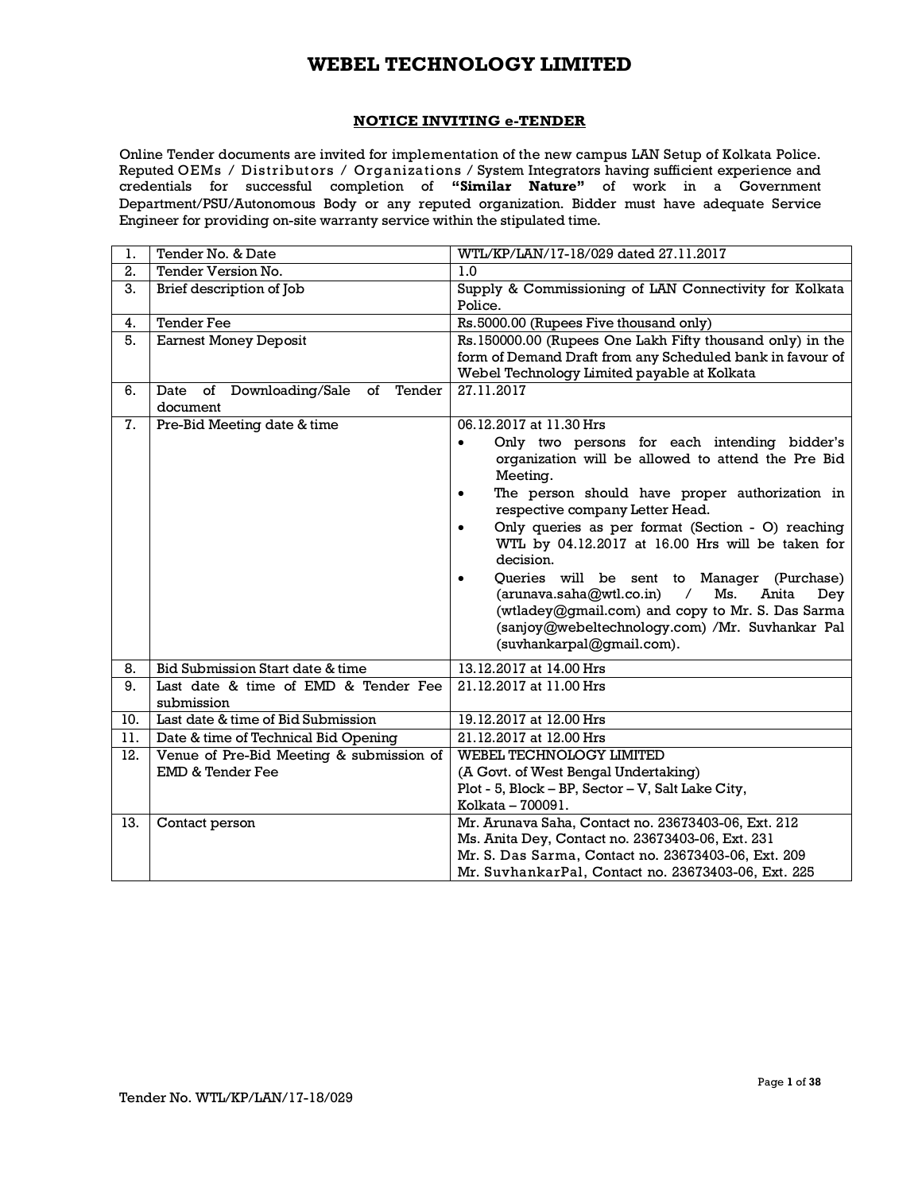### **NOTICE INVITING e-TENDER**

Online Tender documents are invited for implementation of the new campus LAN Setup of Kolkata Police. Reputed OEMs / Distributors / Organizations / System Integrators having sufficient experience and credentials for successful completion of **"Similar Nature"** of work in a Government Department/PSU/Autonomous Body or any reputed organization. Bidder must have adequate Service Engineer for providing on-site warranty service within the stipulated time.

| 1.  | Tender No. & Date                              | WTL/KP/LAN/17-18/029 dated 27.11.2017                          |
|-----|------------------------------------------------|----------------------------------------------------------------|
| 2.  | Tender Version No.                             | 1.0                                                            |
| 3.  | Brief description of Job                       | Supply & Commissioning of LAN Connectivity for Kolkata         |
|     |                                                | Police.                                                        |
| 4.  | <b>Tender Fee</b>                              | Rs.5000.00 (Rupees Five thousand only)                         |
| 5.  | <b>Earnest Money Deposit</b>                   | Rs. 150000.00 (Rupees One Lakh Fifty thousand only) in the     |
|     |                                                | form of Demand Draft from any Scheduled bank in favour of      |
|     |                                                | Webel Technology Limited payable at Kolkata                    |
| 6.  | Tender<br>Downloading/Sale<br>of<br>Date<br>οf | 27.11.2017                                                     |
|     | document                                       |                                                                |
| 7.  | Pre-Bid Meeting date & time                    | 06.12.2017 at 11.30 Hrs                                        |
|     |                                                | Only two persons for each intending bidder's<br>$\bullet$      |
|     |                                                | organization will be allowed to attend the Pre Bid             |
|     |                                                | Meeting.                                                       |
|     |                                                | The person should have proper authorization in<br>$\bullet$    |
|     |                                                | respective company Letter Head.                                |
|     |                                                | Only queries as per format (Section - O) reaching<br>$\bullet$ |
|     |                                                | WTL by 04.12.2017 at 16.00 Hrs will be taken for               |
|     |                                                | decision.                                                      |
|     |                                                | Queries will be sent to Manager (Purchase)<br>$\bullet$        |
|     |                                                | (arunava.saha@wtl.co.in)<br>Ms.<br>$\sqrt{2}$<br>Anita<br>Dey  |
|     |                                                | (wtladey@gmail.com) and copy to Mr. S. Das Sarma               |
|     |                                                | (sanjoy@webeltechnology.com) /Mr. Suvhankar Pal                |
|     |                                                | (suvhankarpal@gmail.com).                                      |
| 8.  | Bid Submission Start date & time               | 13.12.2017 at 14.00 Hrs                                        |
| 9.  | Last date & time of EMD & Tender Fee           | 21.12.2017 at 11.00 Hrs                                        |
|     | submission                                     |                                                                |
| 10. | Last date & time of Bid Submission             | 19.12.2017 at 12.00 Hrs                                        |
| 11. | Date & time of Technical Bid Opening           | 21.12.2017 at 12.00 Hrs                                        |
| 12. | Venue of Pre-Bid Meeting & submission of       | WEBEL TECHNOLOGY LIMITED                                       |
|     | EMD & Tender Fee                               | (A Govt. of West Bengal Undertaking)                           |
|     |                                                | Plot - 5, Block – BP, Sector – V, Salt Lake City,              |
|     |                                                | Kolkata - 700091.                                              |
| 13. | Contact person                                 | Mr. Arunava Saha, Contact no. 23673403-06, Ext. 212            |
|     |                                                | Ms. Anita Dey, Contact no. 23673403-06, Ext. 231               |
|     |                                                | Mr. S. Das Sarma, Contact no. 23673403-06, Ext. 209            |
|     |                                                | Mr. SuvhankarPal, Contact no. 23673403-06, Ext. 225            |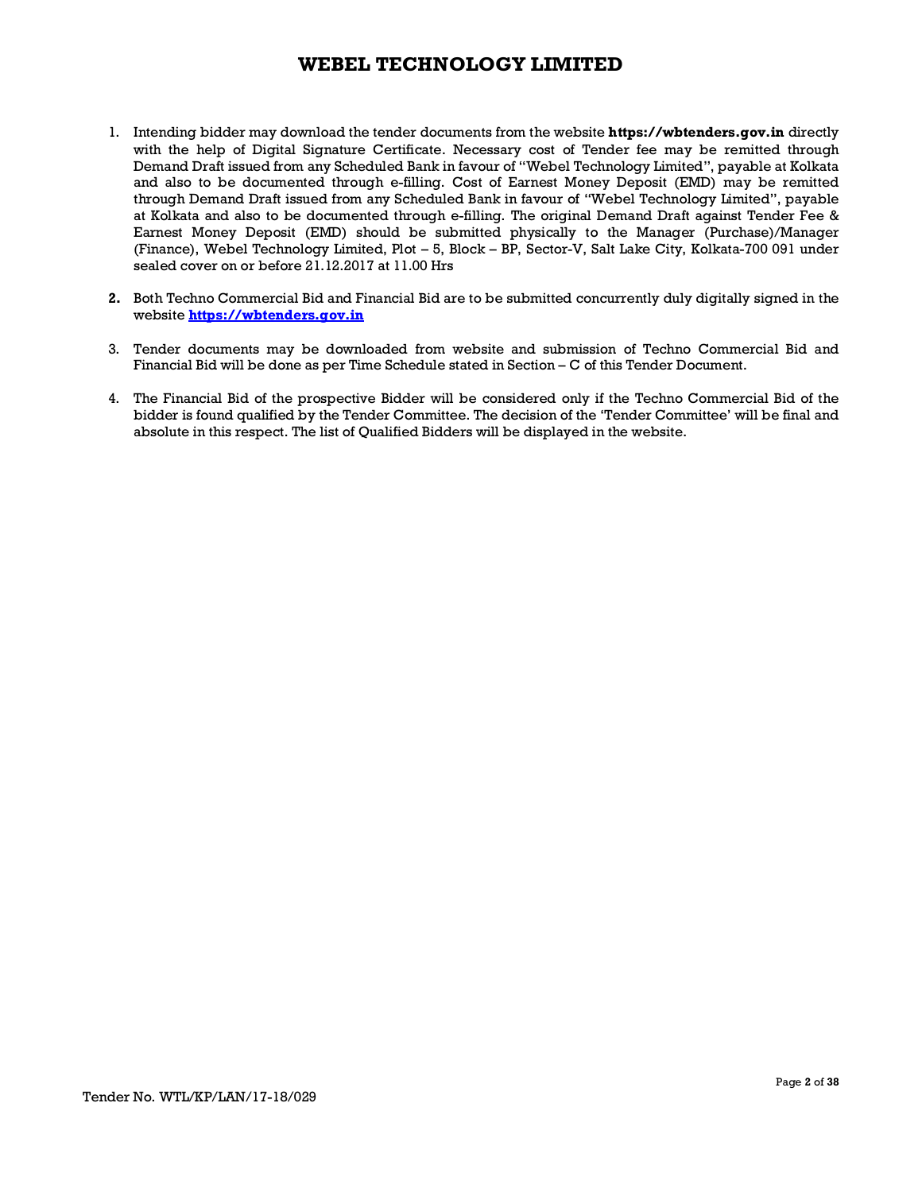- 1. Intending bidder may download the tender documents from the website **https://wbtenders.gov.in** directly with the help of Digital Signature Certificate. Necessary cost of Tender fee may be remitted through Demand Draft issued from any Scheduled Bank in favour of "Webel Technology Limited", payable at Kolkata and also to be documented through e-filling. Cost of Earnest Money Deposit (EMD) may be remitted through Demand Draft issued from any Scheduled Bank in favour of "Webel Technology Limited", payable at Kolkata and also to be documented through e-filling. The original Demand Draft against Tender Fee & Earnest Money Deposit (EMD) should be submitted physically to the Manager (Purchase)/Manager (Finance), Webel Technology Limited, Plot – 5, Block – BP, Sector-V, Salt Lake City, Kolkata-700 091 under sealed cover on or before 21.12.2017 at 11.00 Hrs
- **2.** Both Techno Commercial Bid and Financial Bid are to be submitted concurrently duly digitally signed in the website **https://wbtenders.gov.in**
- 3. Tender documents may be downloaded from website and submission of Techno Commercial Bid and Financial Bid will be done as per Time Schedule stated in Section – C of this Tender Document.
- 4. The Financial Bid of the prospective Bidder will be considered only if the Techno Commercial Bid of the bidder is found qualified by the Tender Committee. The decision of the 'Tender Committee' will be final and absolute in this respect. The list of Qualified Bidders will be displayed in the website.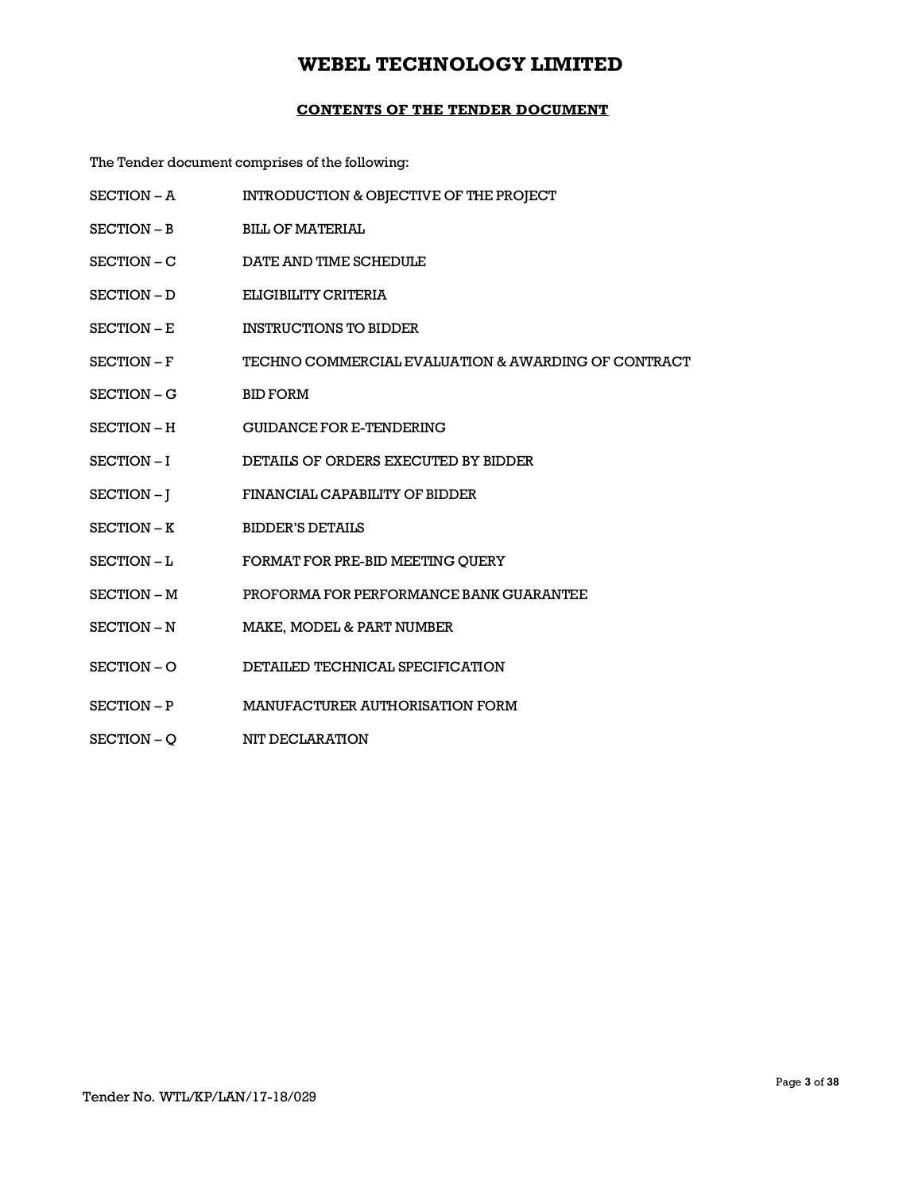## **CONTENTS OF THE TENDER DOCUMENT**

The Tender document comprises of the following:

| SECTION - A | INTRODUCTION & OBJECTIVE OF THE PROJECT             |
|-------------|-----------------------------------------------------|
| SECTION - B | <b>BILL OF MATERIAL</b>                             |
| SECTION – C | DATE AND TIME SCHEDULE                              |
| SECTION - D | ELIGIBILITY CRITERIA                                |
| SECTION - E | <b>INSTRUCTIONS TO BIDDER</b>                       |
| SECTION - F | TECHNO COMMERCIAL EVALUATION & AWARDING OF CONTRACT |
| SECTION – G | <b>BID FORM</b>                                     |
| SECTION - H | <b>GUIDANCE FOR E-TENDERING</b>                     |
| SECTION-I   | DETAILS OF ORDERS EXECUTED BY BIDDER                |
| SECTION-I   | FINANCIAL CAPABILITY OF BIDDER                      |
| SECTION - K | <b>BIDDER'S DETAILS</b>                             |
| SECTION-L   | FORMAT FOR PRE-BID MEETING QUERY                    |
| SECTION - M | PROFORMA FOR PERFORMANCE BANK GUARANTEE             |
| SECTION - N | MAKE, MODEL & PART NUMBER                           |
| SECTION-O   | DETAILED TECHNICAL SPECIFICATION                    |
| SECTION - P | MANUFACTURER AUTHORISATION FORM                     |
| SECTION - O | <b>NIT DECLARATION</b>                              |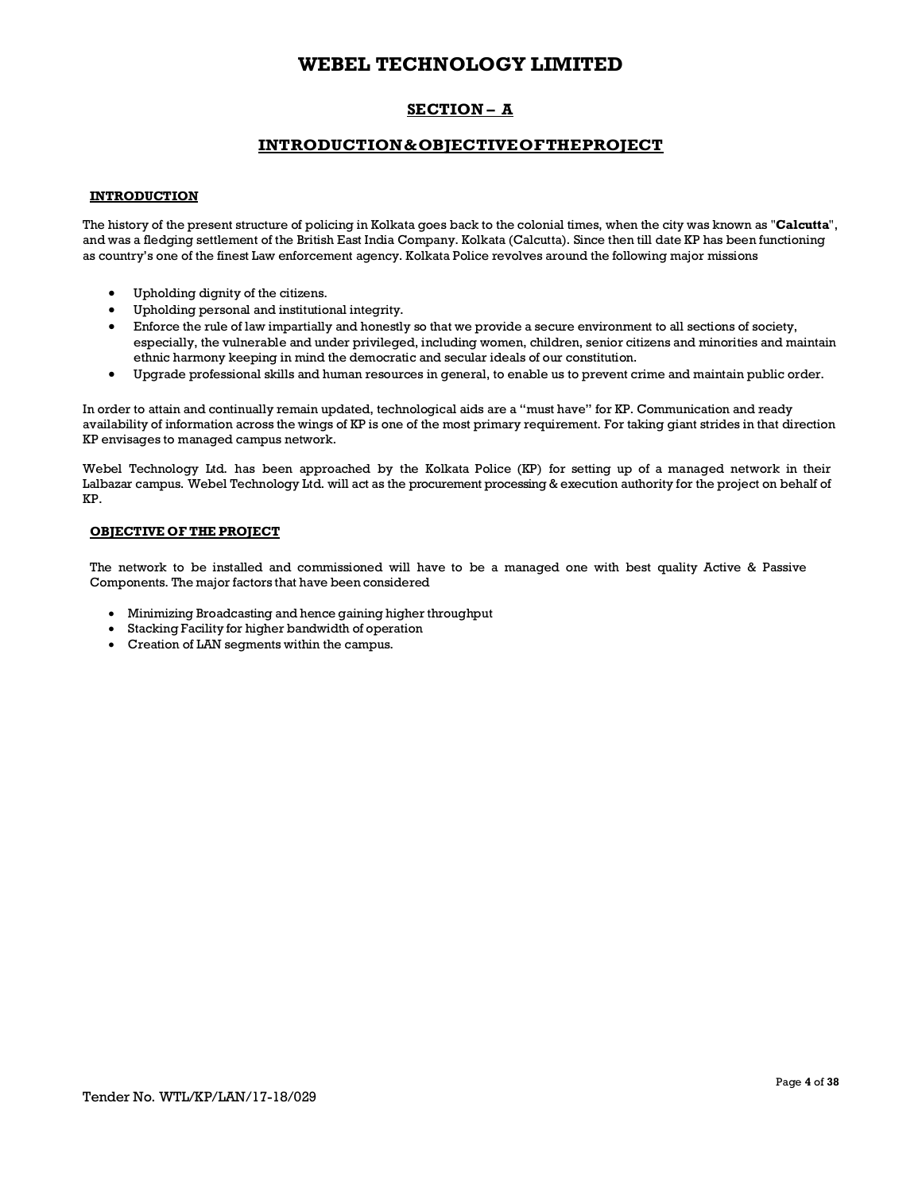# **SECTION – A**

## **INTRODUCTION&OBJECTIVEOFTHEPROJECT**

### **INTRODUCTION**

The history of the present structure of policing in Kolkata goes back to the colonial times, when the city was known as "**Calcutta**", and was a fledging settlement of the British East India Company. Kolkata (Calcutta). Since then till date KP has been functioning as country's one of the finest Law enforcement agency. Kolkata Police revolves around the following major missions

- Upholding dignity of the citizens.
- Upholding personal and institutional integrity.
- Enforce the rule of law impartially and honestly so that we provide a secure environment to all sections of society, especially, the vulnerable and under privileged, including women, children, senior citizens and minorities and maintain ethnic harmony keeping in mind the democratic and secular ideals of our constitution.
- · Upgrade professional skills and human resources in general, to enable us to prevent crime and maintain public order.

In order to attain and continually remain updated, technological aids are a "must have" for KP. Communication and ready availability of information across the wings of KP is one of the most primary requirement. For taking giant strides in that direction KP envisages to managed campus network.

Webel Technology Ltd. has been approached by the Kolkata Police (KP) for setting up of a managed network in their Lalbazar campus. Webel Technology Ltd. will act as the procurement processing & execution authority for the project on behalf of KP.

### **OBJECTIVE OF THE PROJECT**

The network to be installed and commissioned will have to be a managed one with best quality Active & Passive Components. The major factors that have been considered

- · Minimizing Broadcasting and hence gaining higher throughput
- Stacking Facility for higher bandwidth of operation
- · Creation of LAN segments within the campus.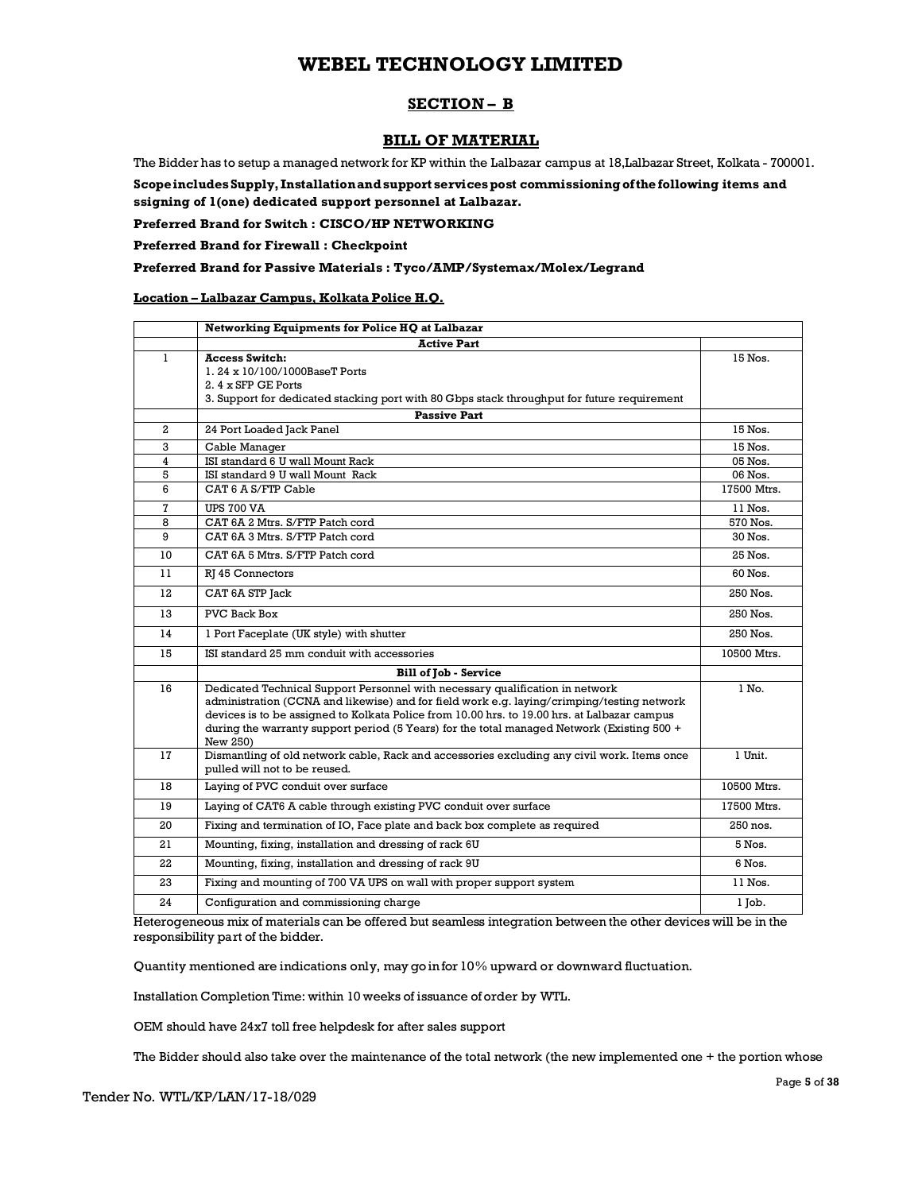## **SECTION – B**

## **BILL OF MATERIAL**

The Bidder has to setup a managed network for KP within the Lalbazar campus at 18,Lalbazar Street, Kolkata - 700001.

**ScopeincludesSupply, Installationandsupport servicespost commissioningofthefollowing items and ssigning of 1(one) dedicated support personnel at Lalbazar.**

**Preferred Brand for Switch : CISCO/HP NETWORKING** 

**Preferred Brand for Firewall : Checkpoint**

### **Preferred Brand for Passive Materials : Tyco/AMP/Systemax/Molex/Legrand**

### **Location – Lalbazar Campus, Kolkata Police H.Q.**

|                | Networking Equipments for Police HQ at Lalbazar                                                                                                                                                                                                                                                                                                                                       |             |
|----------------|---------------------------------------------------------------------------------------------------------------------------------------------------------------------------------------------------------------------------------------------------------------------------------------------------------------------------------------------------------------------------------------|-------------|
|                | <b>Active Part</b>                                                                                                                                                                                                                                                                                                                                                                    |             |
| $\mathbf{I}$   | <b>Access Switch:</b><br>1.24 x 10/100/1000BaseT Ports<br>2.4 x SFP GE Ports<br>3. Support for dedicated stacking port with 80 Gbps stack throughput for future requirement                                                                                                                                                                                                           | 15 Nos.     |
|                | <b>Passive Part</b>                                                                                                                                                                                                                                                                                                                                                                   |             |
| $\mathbf{2}$   | 24 Port Loaded Jack Panel                                                                                                                                                                                                                                                                                                                                                             | 15 Nos.     |
| 3              | Cable Manager                                                                                                                                                                                                                                                                                                                                                                         | 15 Nos.     |
| $\overline{4}$ | ISI standard 6 U wall Mount Rack                                                                                                                                                                                                                                                                                                                                                      | 05 Nos.     |
| 5              | ISI standard 9 U wall Mount Rack                                                                                                                                                                                                                                                                                                                                                      | 06 Nos.     |
| 6              | CAT 6 A S/FTP Cable                                                                                                                                                                                                                                                                                                                                                                   | 17500 Mtrs. |
| $\mathbf{7}$   | <b>UPS 700 VA</b>                                                                                                                                                                                                                                                                                                                                                                     | 11 Nos.     |
| 8              | CAT 6A 2 Mtrs. S/FTP Patch cord                                                                                                                                                                                                                                                                                                                                                       | 570 Nos.    |
| 9              | CAT 6A 3 Mtrs. S/FTP Patch cord                                                                                                                                                                                                                                                                                                                                                       | 30 Nos.     |
| 10             | CAT 6A 5 Mtrs. S/FTP Patch cord                                                                                                                                                                                                                                                                                                                                                       | 25 Nos.     |
| 11             | RJ 45 Connectors                                                                                                                                                                                                                                                                                                                                                                      | 60 Nos.     |
| 12             | CAT 6A STP Jack                                                                                                                                                                                                                                                                                                                                                                       | 250 Nos.    |
| 13             | <b>PVC Back Box</b>                                                                                                                                                                                                                                                                                                                                                                   | 250 Nos.    |
| 14             | 1 Port Faceplate (UK style) with shutter                                                                                                                                                                                                                                                                                                                                              | 250 Nos.    |
| 15             | ISI standard 25 mm conduit with accessories                                                                                                                                                                                                                                                                                                                                           | 10500 Mtrs. |
|                | <b>Bill of Job - Service</b>                                                                                                                                                                                                                                                                                                                                                          |             |
| 16             | Dedicated Technical Support Personnel with necessary qualification in network<br>administration (CCNA and likewise) and for field work e.g. laying/crimping/testing network<br>devices is to be assigned to Kolkata Police from 10.00 hrs. to 19.00 hrs. at Lalbazar campus<br>during the warranty support period (5 Years) for the total managed Network (Existing 500 +<br>New 250) | $1$ No.     |
| 17             | Dismantling of old network cable, Rack and accessories excluding any civil work. Items once<br>pulled will not to be reused.                                                                                                                                                                                                                                                          | 1 Unit.     |
| 18             | Laying of PVC conduit over surface                                                                                                                                                                                                                                                                                                                                                    | 10500 Mtrs. |
| 19             | Laying of CAT6 A cable through existing PVC conduit over surface                                                                                                                                                                                                                                                                                                                      | 17500 Mtrs. |
| 20             | Fixing and termination of IO, Face plate and back box complete as required                                                                                                                                                                                                                                                                                                            | 250 nos.    |
| 21             | Mounting, fixing, installation and dressing of rack 6U                                                                                                                                                                                                                                                                                                                                | 5 Nos.      |
| 22             | Mounting, fixing, installation and dressing of rack 9U                                                                                                                                                                                                                                                                                                                                | 6 Nos.      |
| 23             | Fixing and mounting of 700 VA UPS on wall with proper support system                                                                                                                                                                                                                                                                                                                  | 11 Nos.     |
| 24             | Configuration and commissioning charge                                                                                                                                                                                                                                                                                                                                                | l Job.      |

Heterogeneous mix of materials can be offered but seamless integration between the other devices will be in the responsibility part of the bidder.

Quantity mentioned are indications only, may go in for 10% upward or downward fluctuation.

Installation Completion Time: within 10 weeks of issuance of order by WTL.

OEM should have 24x7 toll free helpdesk for after sales support

The Bidder should also take over the maintenance of the total network (the new implemented one + the portion whose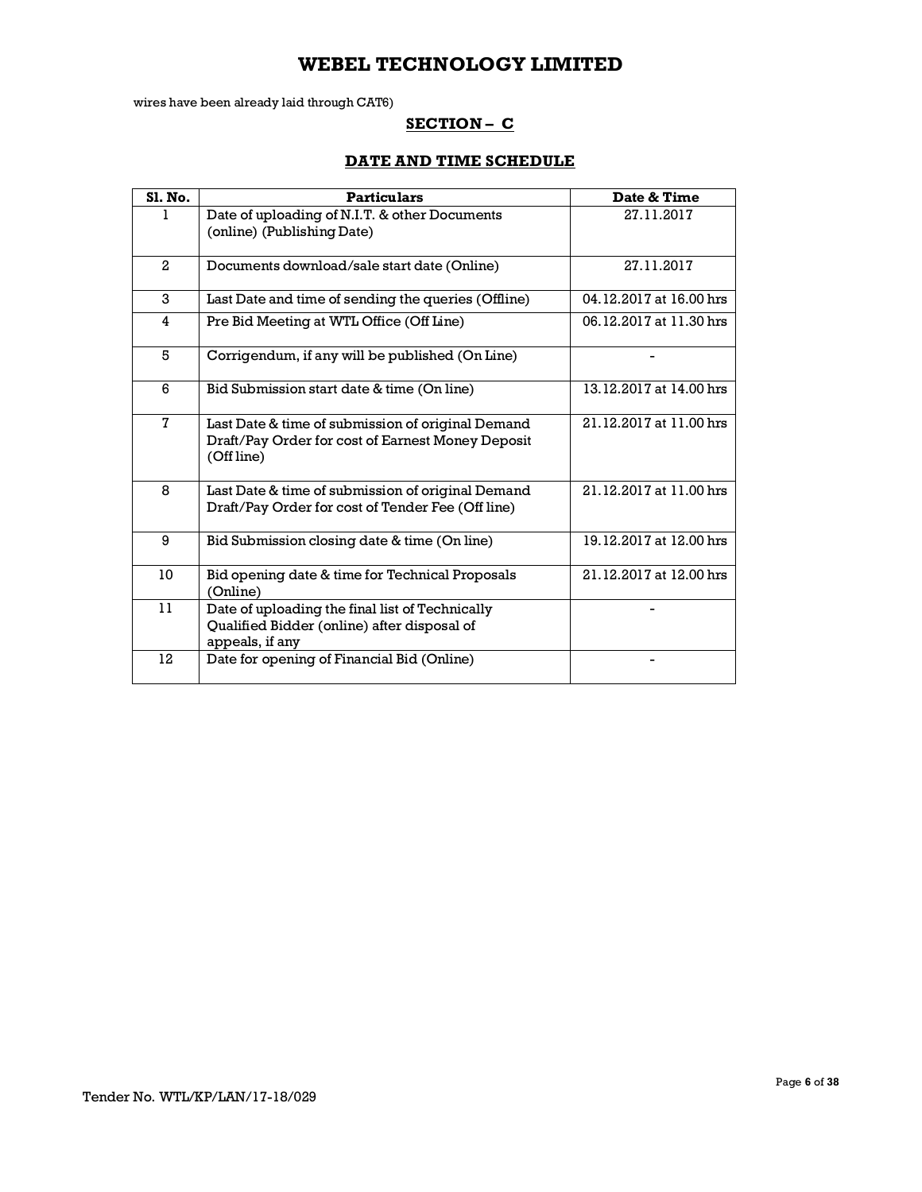wires have been already laid through CAT6)

## **SECTION – C**

## **DATE AND TIME SCHEDULE**

| Sl. No.      | <b>Particulars</b>                                                                                                   | Date & Time             |
|--------------|----------------------------------------------------------------------------------------------------------------------|-------------------------|
| L            | Date of uploading of N.I.T. & other Documents<br>(online) (Publishing Date)                                          | 27.11.2017              |
| $\mathbf{2}$ | Documents download/sale start date (Online)                                                                          | 27.11.2017              |
| 3            | Last Date and time of sending the queries (Offline)                                                                  | 04.12.2017 at 16.00 hrs |
| 4            | Pre Bid Meeting at WTL Office (Off Line)                                                                             | 06.12.2017 at 11.30 hrs |
| 5            | Corrigendum, if any will be published (On Line)                                                                      |                         |
| 6            | Bid Submission start date & time (On line)                                                                           | 13.12.2017 at 14.00 hrs |
| $\mathbf{7}$ | Last Date & time of submission of original Demand<br>Draft/Pay Order for cost of Earnest Money Deposit<br>(Off line) | 21.12.2017 at 11.00 hrs |
| 8            | Last Date & time of submission of original Demand<br>Draft/Pay Order for cost of Tender Fee (Off line)               | 21.12.2017 at 11.00 hrs |
| 9            | Bid Submission closing date & time (On line)                                                                         | 19.12.2017 at 12.00 hrs |
| 10           | Bid opening date & time for Technical Proposals<br>(Online)                                                          | 21.12.2017 at 12.00 hrs |
| 11           | Date of uploading the final list of Technically<br>Qualified Bidder (online) after disposal of<br>appeals, if any    |                         |
| 12           | Date for opening of Financial Bid (Online)                                                                           |                         |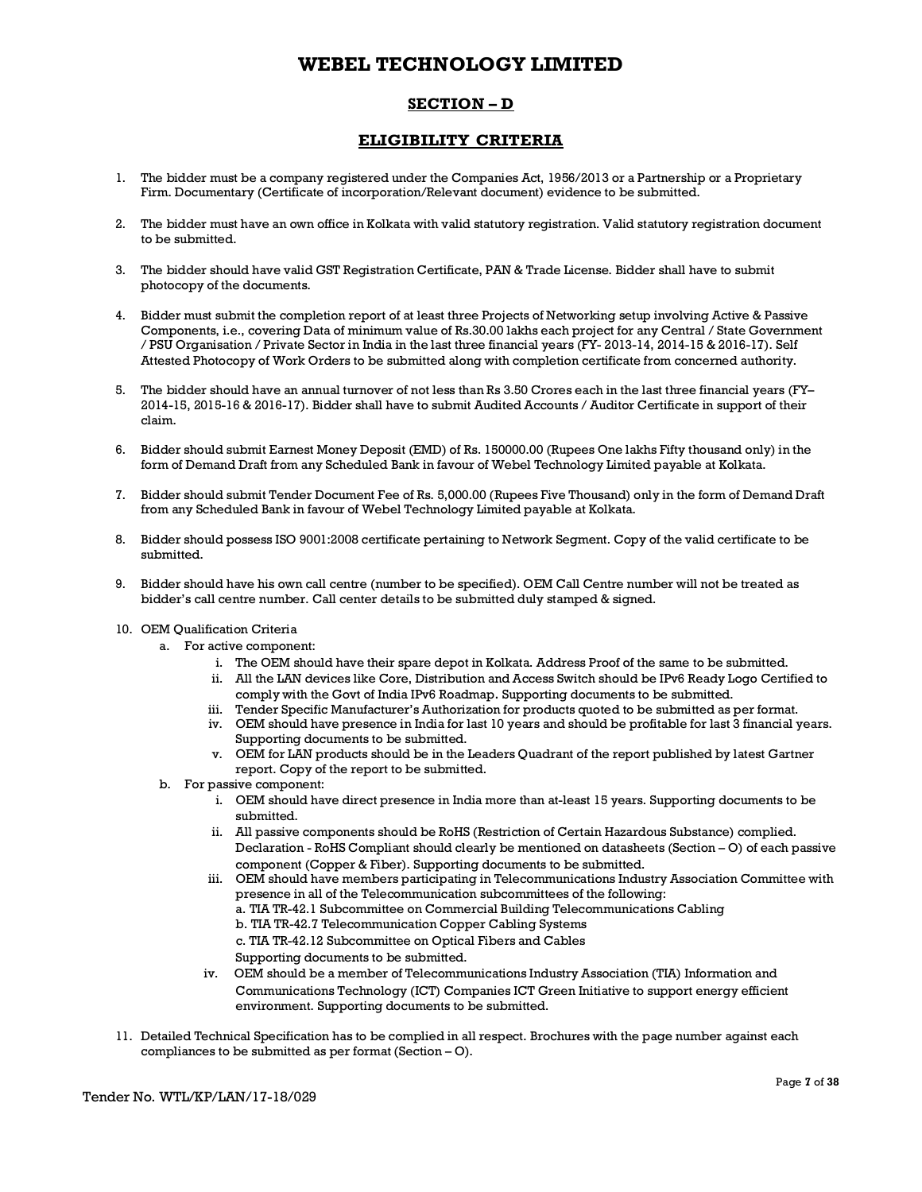## **SECTION – D**

## **ELIGIBILITY CRITERIA**

- 1. The bidder must be a company registered under the Companies Act, 1956/2013 or a Partnership or a Proprietary Firm. Documentary (Certificate of incorporation/Relevant document) evidence to be submitted.
- 2. The bidder must have an own office in Kolkata with valid statutory registration. Valid statutory registration document to be submitted.
- 3. The bidder should have valid GST Registration Certificate, PAN & Trade License. Bidder shall have to submit photocopy of the documents.
- 4. Bidder must submit the completion report of at least three Projects of Networking setup involving Active & Passive Components, i.e., covering Data of minimum value of Rs.30.00 lakhs each project for any Central / State Government / PSU Organisation / Private Sector in India in the last three financial years (FY- 2013-14, 2014-15 & 2016-17). Self Attested Photocopy of Work Orders to be submitted along with completion certificate from concerned authority.
- 5. The bidder should have an annual turnover of not less than Rs 3.50 Crores each in the last three financial years (FY– 2014-15, 2015-16 & 2016-17). Bidder shall have to submit Audited Accounts / Auditor Certificate in support of their claim.
- 6. Bidder should submit Earnest Money Deposit (EMD) of Rs. 150000.00 (Rupees One lakhs Fifty thousand only) in the form of Demand Draft from any Scheduled Bank in favour of Webel Technology Limited payable at Kolkata.
- 7. Bidder should submit Tender Document Fee of Rs. 5,000.00 (Rupees Five Thousand) only in the form of Demand Draft from any Scheduled Bank in favour of Webel Technology Limited payable at Kolkata.
- 8. Bidder should possess ISO 9001:2008 certificate pertaining to Network Segment. Copy of the valid certificate to be submitted.
- 9. Bidder should have his own call centre (number to be specified). OEM Call Centre number will not be treated as bidder's call centre number. Call center details to be submitted duly stamped & signed.
- 10. OEM Qualification Criteria
	- a. For active component:
		- i. The OEM should have their spare depot in Kolkata. Address Proof of the same to be submitted.
		- ii. All the LAN devices like Core, Distribution and Access Switch should be IPv6 Ready Logo Certified to comply with the Govt of India IPv6 Roadmap. Supporting documents to be submitted.
		- iii. Tender Specific Manufacturer's Authorization for products quoted to be submitted as per format.
		- iv. OEM should have presence in India for last 10 years and should be profitable for last 3 financial years. Supporting documents to be submitted.
		- v. OEM for LAN products should be in the Leaders Quadrant of the report published by latest Gartner report. Copy of the report to be submitted.
	- b. For passive component:
		- i. OEM should have direct presence in India more than at-least 15 years. Supporting documents to be submitted.
		- ii. All passive components should be RoHS (Restriction of Certain Hazardous Substance) complied. Declaration - RoHS Compliant should clearly be mentioned on datasheets (Section – O) of each passive component (Copper & Fiber). Supporting documents to be submitted.
		- iii. OEM should have members participating in Telecommunications Industry Association Committee with presence in all of the Telecommunication subcommittees of the following:
			- a. TIA TR-42.1 Subcommittee on Commercial Building Telecommunications Cabling
			- b. TIA TR-42.7 Telecommunication Copper Cabling Systems
			- c. TIA TR-42.12 Subcommittee on Optical Fibers and Cables

Supporting documents to be submitted.

- iv. OEM should be a member of Telecommunications Industry Association (TIA) Information and Communications Technology (ICT) Companies ICT Green Initiative to support energy efficient environment. Supporting documents to be submitted.
- 11. Detailed Technical Specification has to be complied in all respect. Brochures with the page number against each compliances to be submitted as per format (Section – O).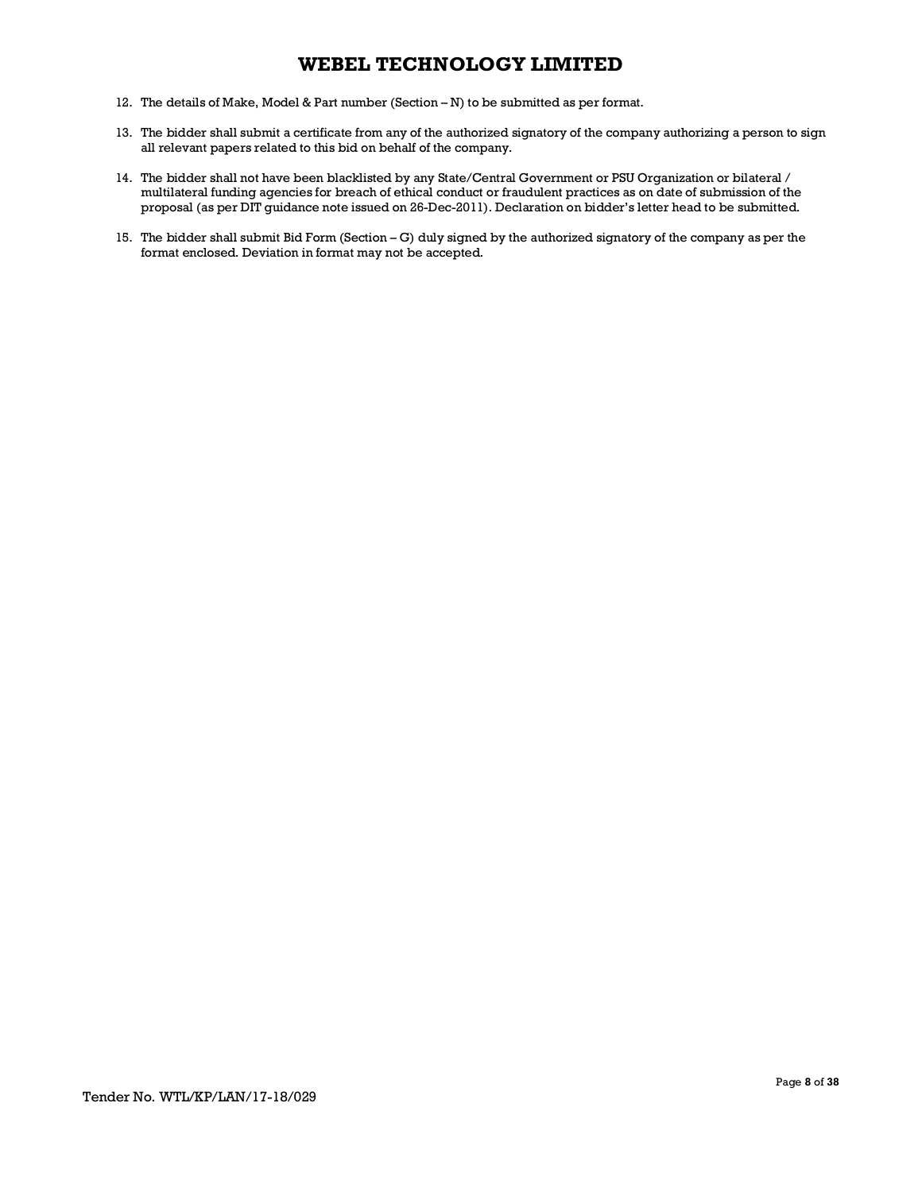- 12. The details of Make, Model & Part number (Section N) to be submitted as per format.
- 13. The bidder shall submit a certificate from any of the authorized signatory of the company authorizing a person to sign all relevant papers related to this bid on behalf of the company.
- 14. The bidder shall not have been blacklisted by any State/Central Government or PSU Organization or bilateral / multilateral funding agencies for breach of ethical conduct or fraudulent practices as on date of submission of the proposal (as per DIT guidance note issued on 26-Dec-2011). Declaration on bidder's letter head to be submitted.
- 15. The bidder shall submit Bid Form (Section G) duly signed by the authorized signatory of the company as per the format enclosed. Deviation in format may not be accepted.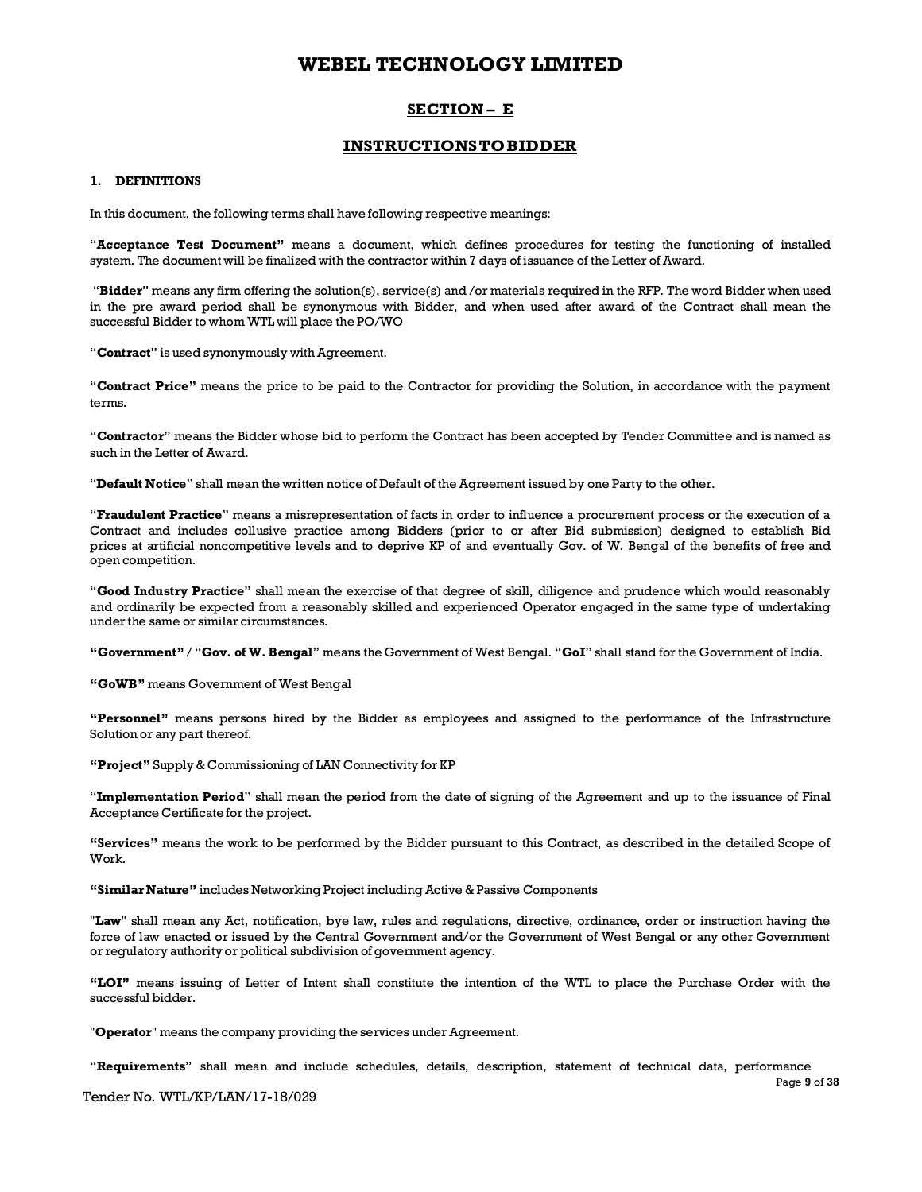## **SECTION – E**

## **INSTRUCTIONSTOBIDDER**

#### **1. DEFINITIONS**

In this document, the following terms shall have following respective meanings:

"**Acceptance Test Document"** means a document, which defines procedures for testing the functioning of installed system. The document will be finalized with the contractor within 7 days of issuance of the Letter of Award.

"**Bidder**" means any firm offering the solution(s), service(s) and /or materials required in the RFP. The word Bidder when used in the pre award period shall be synonymous with Bidder, and when used after award of the Contract shall mean the successful Bidder to whom WTL will place the PO/WO

"**Contract**" is used synonymously with Agreement.

"**Contract Price"** means the price to be paid to the Contractor for providing the Solution, in accordance with the payment terms.

"**Contractor**" means the Bidder whose bid to perform the Contract has been accepted by Tender Committee and is named as such in the Letter of Award.

"**Default Notice**" shall mean the written notice of Default of the Agreement issued by one Party to the other.

"**Fraudulent Practice**" means a misrepresentation of facts in order to influence a procurement process or the execution of a Contract and includes collusive practice among Bidders (prior to or after Bid submission) designed to establish Bid prices at artificial noncompetitive levels and to deprive KP of and eventually Gov. of W. Bengal of the benefits of free and open competition.

"**Good Industry Practice**" shall mean the exercise of that degree of skill, diligence and prudence which would reasonably and ordinarily be expected from a reasonably skilled and experienced Operator engaged in the same type of undertaking under the same or similar circumstances.

**"Government"** / "**Gov. of W. Bengal**" means the Government of West Bengal. "**GoI**" shall stand for the Government of India.

**"GoWB"** means Government of West Bengal

**"Personnel"** means persons hired by the Bidder as employees and assigned to the performance of the Infrastructure Solution or any part thereof.

**"Project"** Supply& Commissioning of LAN Connectivity for KP

"**Implementation Period**" shall mean the period from the date of signing of the Agreement and up to the issuance of Final Acceptance Certificate for the project.

**"Services"** means the work to be performed by the Bidder pursuant to this Contract, as described in the detailed Scope of Work.

**"SimilarNature"** includes Networking Project including Active & Passive Components

"**Law**" shall mean any Act, notification, bye law, rules and regulations, directive, ordinance, order or instruction having the force of law enacted or issued by the Central Government and/or the Government of West Bengal or any other Government or regulatory authority or political subdivision of government agency.

**"LOI"** means issuing of Letter of Intent shall constitute the intention of the WTL to place the Purchase Order with the successful bidder.

"**Operator**" means the company providing the services under Agreement.

"**Requirements**" shall mean and include schedules, details, description, statement of technical data, performance

Tender No. WTL/KP/LAN/17-18/029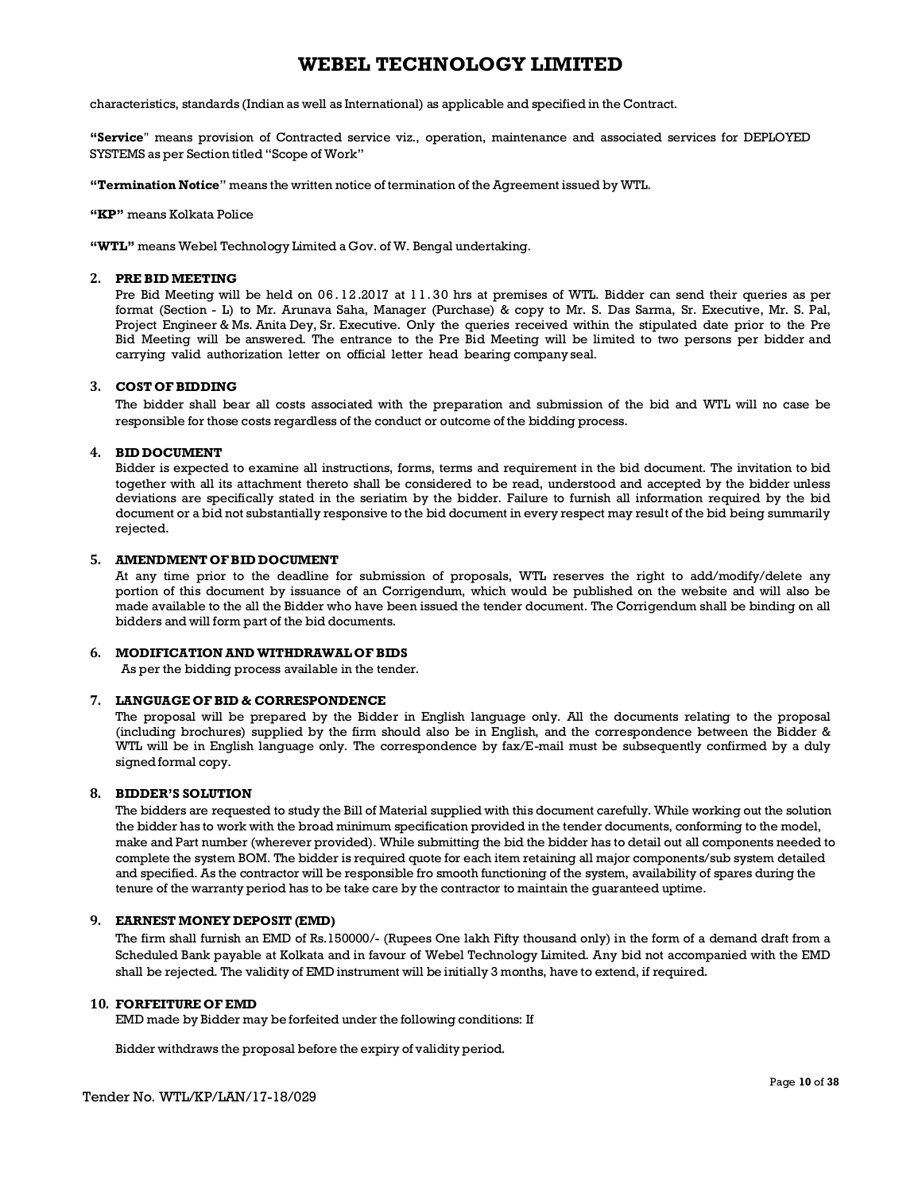characteristics, standards (Indian as well as International) as applicable and specified in the Contract.

**"Service**" means provision of Contracted service viz., operation, maintenance and associated services for DEPLOYED SYSTEMS as per Section titled "Scope of Work"

**"Termination Notice**" means the written notice of termination of the Agreement issued by WTL.

**"KP"** means Kolkata Police

**"WTL"** means Webel Technology Limited a Gov. of W. Bengal undertaking.

#### **2. PRE BID MEETING**

Pre Bid Meeting will be held on 06. 12.2017 at 1 1. 30 hrs at premises of WTL. Bidder can send their queries as per format (Section - L) to Mr. Arunava Saha, Manager (Purchase) & copy to Mr. S. Das Sarma, Sr. Executive, Mr. S. Pal, Project Engineer & Ms. Anita Dey, Sr. Executive. Only the queries received within the stipulated date prior to the Pre Bid Meeting will be answered. The entrance to the Pre Bid Meeting will be limited to two persons per bidder and carrying valid authorization letter on official letter head bearing companyseal.

#### **3. COST OFBIDDING**

The bidder shall bear all costs associated with the preparation and submission of the bid and WTL will no case be responsible for those costs regardless of the conduct or outcome of the bidding process.

### **4. BID DOCUMENT**

Bidder is expected to examine all instructions, forms, terms and requirement in the bid document. The invitation to bid together with all its attachment thereto shall be considered to be read, understood and accepted by the bidder unless deviations are specifically stated in the seriatim by the bidder. Failure to furnish all information required by the bid document or a bid not substantially responsive to the bid document in every respect may result of the bid being summarily rejected.

#### **5. AMENDMENT OFBID DOCUMENT**

At any time prior to the deadline for submission of proposals, WTL reserves the right to add/modify/delete any portion of this document by issuance of an Corrigendum, which would be published on the website and will also be made available to the all the Bidder who have been issued the tender document. The Corrigendum shall be binding on all bidders and will form part of the bid documents.

### **6. MODIFICATION AND WITHDRAWAL OF BIDS**

As per the bidding process available in the tender.

#### **7. LANGUAGE OFBID & CORRESPONDENCE**

The proposal will be prepared by the Bidder in English language only. All the documents relating to the proposal (including brochures) supplied by the firm should also be in English, and the correspondence between the Bidder & WTL will be in English language only. The correspondence by fax/E-mail must be subsequently confirmed by a duly signed formal copy.

#### **8. BIDDER'S SOLUTION**

The bidders are requested to study the Bill of Material supplied with this document carefully. While working out the solution the bidder has to work with the broad minimum specification provided in the tender documents, conforming to the model, make and Part number (wherever provided). While submitting the bid the bidder has to detail out all components needed to complete the system BOM. The bidder is required quote for each item retaining all major components/sub system detailed and specified. As the contractor will be responsible fro smooth functioning of the system, availability of spares during the tenure of the warranty period has to be take care by the contractor to maintain the guaranteed uptime.

### **9. EARNEST MONEY DEPOSIT (EMD)**

The firm shall furnish an EMD of Rs.150000/- (Rupees One lakh Fifty thousand only) in the form of a demand draft from a Scheduled Bank payable at Kolkata and in favour of Webel Technology Limited. Any bid not accompanied with the EMD shall be rejected. The validity of EMD instrument will be initially 3 months, have to extend, if required.

### **10. FORFEITURE OF EMD**

EMD made by Bidder may be forfeited under the following conditions: If

Bidder withdraws the proposal before the expiry of validity period.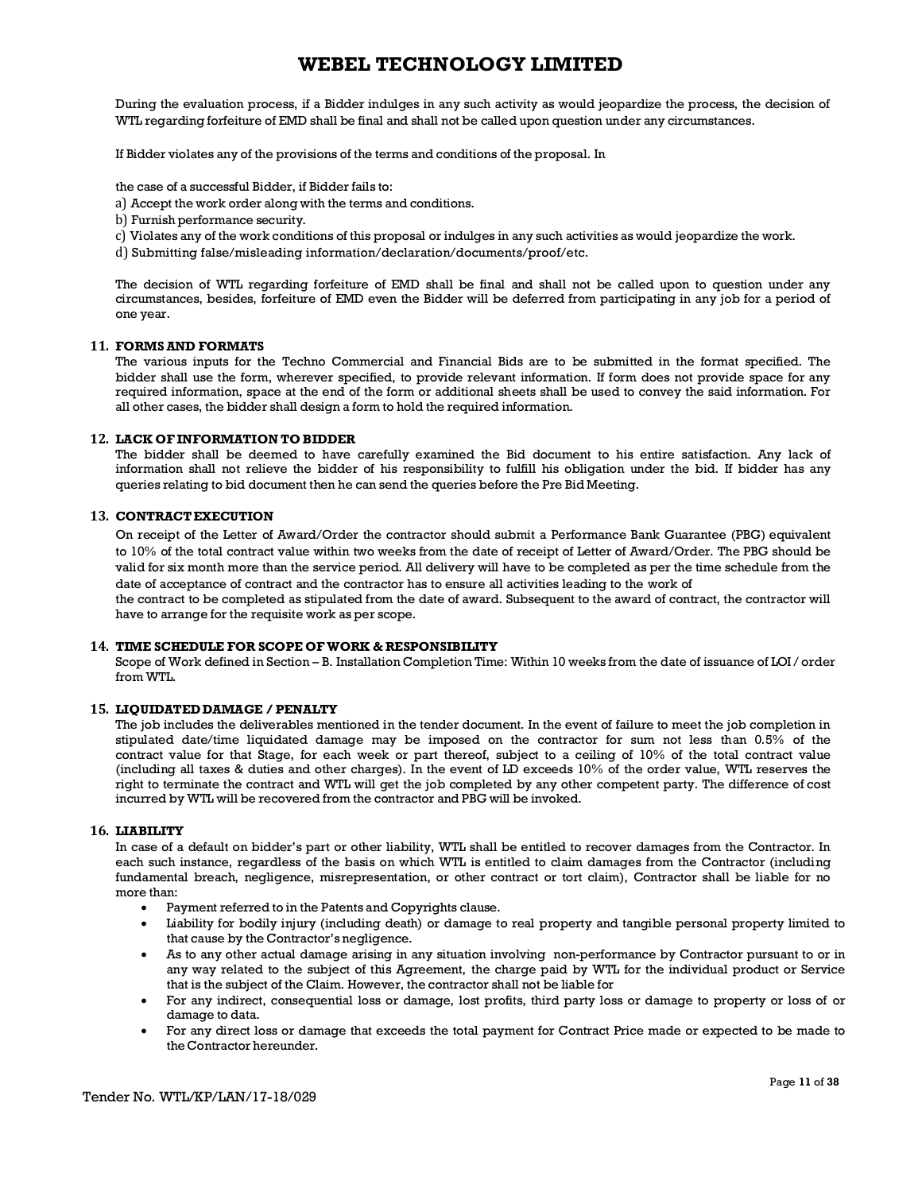During the evaluation process, if a Bidder indulges in any such activity as would jeopardize the process, the decision of WTL regarding forfeiture of EMD shall be final and shall not be called upon question under any circumstances.

If Bidder violates any of the provisions of the terms and conditions of the proposal. In

the case of a successful Bidder, if Bidder fails to:

- a) Accept the work order along with the terms and conditions.
- b) Furnish performance security.
- c) Violates any of the work conditions of this proposal or indulges in any such activities as would jeopardize the work.
- d) Submitting false/misleading information/declaration/documents/proof/etc.

The decision of WTL regarding forfeiture of EMD shall be final and shall not be called upon to question under any circumstances, besides, forfeiture of EMD even the Bidder will be deferred from participating in any job for a period of one year.

#### **11. FORMSAND FORMATS**

The various inputs for the Techno Commercial and Financial Bids are to be submitted in the format specified. The bidder shall use the form, wherever specified, to provide relevant information. If form does not provide space for any required information, space at the end of the form or additional sheets shall be used to convey the said information. For all other cases, the bidder shall design a form to hold the required information.

#### **12. LACK OF INFORMATION TO BIDDER**

The bidder shall be deemed to have carefully examined the Bid document to his entire satisfaction. Any lack of information shall not relieve the bidder of his responsibility to fulfill his obligation under the bid. If bidder has any queries relating to bid document then he can send the queries before the Pre Bid Meeting.

#### **13. CONTRACTEXECUTION**

On receipt of the Letter of Award/Order the contractor should submit a Performance Bank Guarantee (PBG) equivalent to 10% of the total contract value within two weeks from the date of receipt of Letter of Award/Order. The PBG should be valid for six month more than the service period. All delivery will have to be completed as per the time schedule from the date of acceptance of contract and the contractor has to ensure all activities leading to the work of

the contract to be completed as stipulated from the date of award. Subsequent to the award of contract, the contractor will have to arrange for the requisite work as per scope.

#### **14. TIME SCHEDULE FOR SCOPE OF WORK & RESPONSIBILITY**

Scope of Work defined in Section – B. Installation Completion Time: Within 10 weeks from the date of issuance of LOI / order from WTL.

#### **15. LIQUIDATEDDAMAGE / PENALTY**

The job includes the deliverables mentioned in the tender document. In the event of failure to meet the job completion in stipulated date/time liquidated damage may be imposed on the contractor for sum not less than 0.5% of the contract value for that Stage, for each week or part thereof, subject to a ceiling of 10% of the total contract value (including all taxes & duties and other charges). In the event of LD exceeds 10% of the order value, WTL reserves the right to terminate the contract and WTL will get the job completed by any other competent party. The difference of cost incurred by WTL will be recovered from the contractor and PBG will be invoked.

#### **16. LIABILITY**

In case of a default on bidder's part or other liability, WTL shall be entitled to recover damages from the Contractor. In each such instance, regardless of the basis on which WTL is entitled to claim damages from the Contractor (including fundamental breach, negligence, misrepresentation, or other contract or tort claim), Contractor shall be liable for no more than:

- · Payment referred to in the Patents and Copyrights clause.
- · Liability for bodily injury (including death) or damage to real property and tangible personal property limited to that cause by the Contractor's negligence.
- · As to any other actual damage arising in any situation involving non-performance by Contractor pursuant to or in any way related to the subject of this Agreement, the charge paid by WTL for the individual product or Service that is the subject of the Claim. However, the contractor shall not be liable for
- · For any indirect, consequential loss or damage, lost profits, third party loss or damage to property or loss of or damage to data.
- · For any direct loss or damage that exceeds the total payment for Contract Price made or expected to be made to the Contractor hereunder.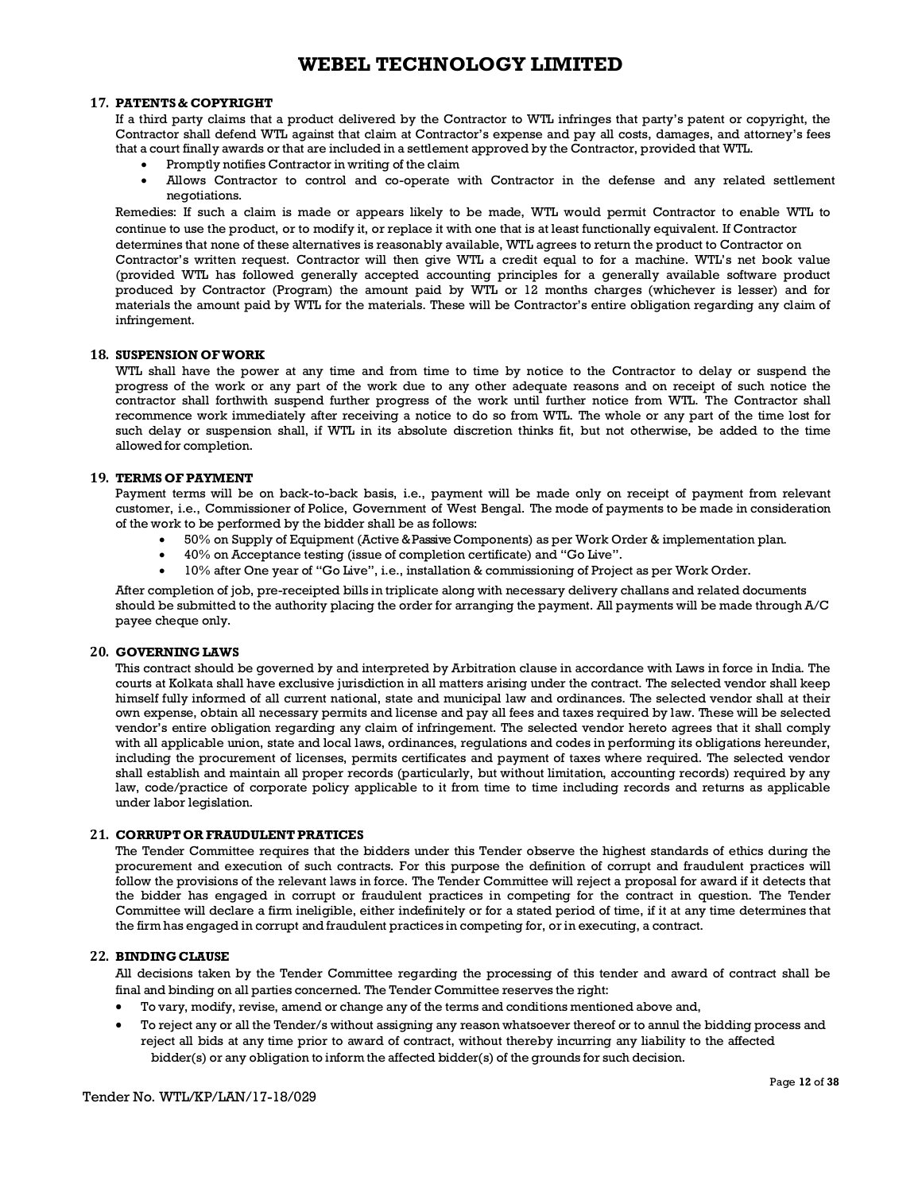### **17. PATENTS & COPYRIGHT**

If a third party claims that a product delivered by the Contractor to WTL infringes that party's patent or copyright, the Contractor shall defend WTL against that claim at Contractor's expense and pay all costs, damages, and attorney's fees that a court finally awards or that are included in a settlement approved by the Contractor, provided that WTL.

- Promptly notifies Contractor in writing of the claim
- · Allows Contractor to control and co-operate with Contractor in the defense and any related settlement negotiations.

Remedies: If such a claim is made or appears likely to be made, WTL would permit Contractor to enable WTL to continue to use the product, or to modify it, or replace it with one that is at least functionally equivalent. If Contractor determines that none of these alternatives is reasonably available, WTL agrees to return the product to Contractor on Contractor's written request. Contractor will then give WTL a credit equal to for a machine. WTL's net book value (provided WTL has followed generally accepted accounting principles for a generally available software product produced by Contractor (Program) the amount paid by WTL or 12 months charges (whichever is lesser) and for materials the amount paid by WTL for the materials. These will be Contractor's entire obligation regarding any claim of infringement.

#### **18. SUSPENSION OFWORK**

WTL shall have the power at any time and from time to time by notice to the Contractor to delay or suspend the progress of the work or any part of the work due to any other adequate reasons and on receipt of such notice the contractor shall forthwith suspend further progress of the work until further notice from WTL. The Contractor shall recommence work immediately after receiving a notice to do so from WTL. The whole or any part of the time lost for such delay or suspension shall, if WTL in its absolute discretion thinks fit, but not otherwise, be added to the time allowed for completion.

#### **19. TERMS OF PAYMENT**

Payment terms will be on back-to-back basis, i.e., payment will be made only on receipt of payment from relevant customer, i.e., Commissioner of Police, Government of West Bengal. The mode of payments to be made in consideration of the work to be performed by the bidder shall be as follows:

- · 50% on Supply of Equipment (Active &Passive Components) as per Work Order & implementation plan.
- · 40% on Acceptance testing (issue of completion certificate) and "Go Live".
- · 10% after One year of "Go Live", i.e., installation & commissioning of Project as per Work Order.

After completion of job, pre-receipted bills in triplicate along with necessary delivery challans and related documents should be submitted to the authority placing the order for arranging the payment. All payments will be made through A/C payee cheque only.

#### **20. GOVERNING LAWS**

This contract should be governed by and interpreted by Arbitration clause in accordance with Laws in force in India. The courts at Kolkata shall have exclusive jurisdiction in all matters arising under the contract. The selected vendor shall keep himself fully informed of all current national, state and municipal law and ordinances. The selected vendor shall at their own expense, obtain all necessary permits and license and pay all fees and taxes required by law. These will be selected vendor's entire obligation regarding any claim of infringement. The selected vendor hereto agrees that it shall comply with all applicable union, state and local laws, ordinances, regulations and codes in performing its obligations hereunder, including the procurement of licenses, permits certificates and payment of taxes where required. The selected vendor shall establish and maintain all proper records (particularly, but without limitation, accounting records) required by any law, code/practice of corporate policy applicable to it from time to time including records and returns as applicable under labor legislation.

### **21. CORRUPTOR FRAUDULENTPRATICES**

The Tender Committee requires that the bidders under this Tender observe the highest standards of ethics during the procurement and execution of such contracts. For this purpose the definition of corrupt and fraudulent practices will follow the provisions of the relevant laws in force. The Tender Committee will reject a proposal for award if it detects that the bidder has engaged in corrupt or fraudulent practices in competing for the contract in question. The Tender Committee will declare a firm ineligible, either indefinitely or for a stated period of time, if it at any time determines that the firm has engaged in corrupt and fraudulent practices in competing for, or in executing, a contract.

#### **22. BINDINGCLAUSE**

All decisions taken by the Tender Committee regarding the processing of this tender and award of contract shall be final and binding on all parties concerned. The Tender Committee reserves the right:

- · To vary, modify, revise, amend or change any of the terms and conditions mentioned above and,
- · To reject any or all the Tender/s without assigning any reason whatsoever thereof or to annul the bidding process and reject all bids at any time prior to award of contract, without thereby incurring any liability to the affected bidder(s) or any obligation to inform the affected bidder(s) of the grounds for such decision.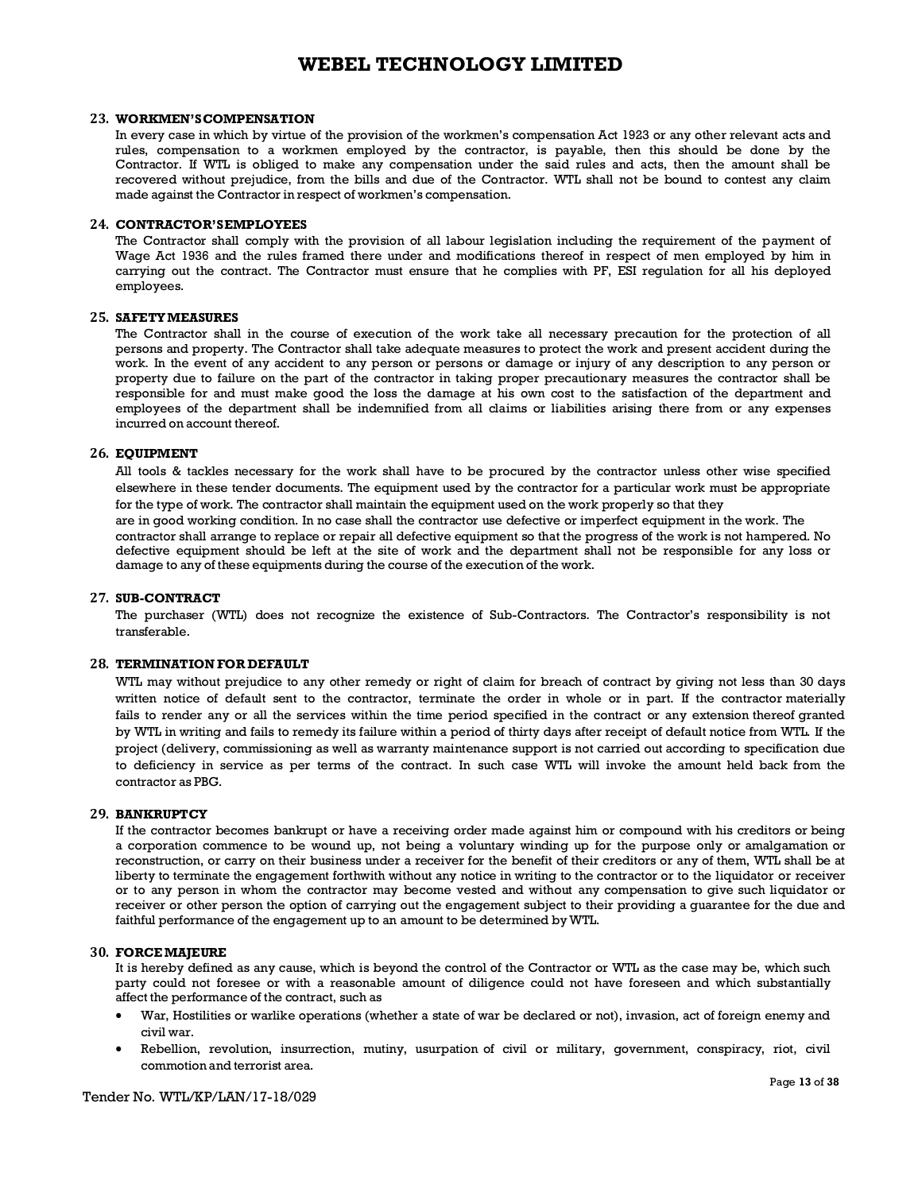#### **23. WORKMEN'SCOMPENSATION**

In every case in which by virtue of the provision of the workmen's compensation Act 1923 or any other relevant acts and rules, compensation to a workmen employed by the contractor, is payable, then this should be done by the Contractor. If WTL is obliged to make any compensation under the said rules and acts, then the amount shall be recovered without prejudice, from the bills and due of the Contractor. WTL shall not be bound to contest any claim made against the Contractor in respect of workmen's compensation.

#### **24. CONTRACTOR'SEMPLOYEES**

The Contractor shall comply with the provision of all labour legislation including the requirement of the payment of Wage Act 1936 and the rules framed there under and modifications thereof in respect of men employed by him in carrying out the contract. The Contractor must ensure that he complies with PF, ESI regulation for all his deployed employees.

#### **25. SAFETYMEASURES**

The Contractor shall in the course of execution of the work take all necessary precaution for the protection of all persons and property. The Contractor shall take adequate measures to protect the work and present accident during the work. In the event of any accident to any person or persons or damage or injury of any description to any person or property due to failure on the part of the contractor in taking proper precautionary measures the contractor shall be responsible for and must make good the loss the damage at his own cost to the satisfaction of the department and employees of the department shall be indemnified from all claims or liabilities arising there from or any expenses incurred on account thereof.

#### **26. EQUIPMENT**

All tools & tackles necessary for the work shall have to be procured by the contractor unless other wise specified elsewhere in these tender documents. The equipment used by the contractor for a particular work must be appropriate for the type of work. The contractor shall maintain the equipment used on the work properly so that they are in good working condition. In no case shall the contractor use defective or imperfect equipment in the work. The contractor shall arrange to replace or repair all defective equipment so that the progress of the work is not hampered. No defective equipment should be left at the site of work and the department shall not be responsible for any loss or damage to any of these equipments during the course of the execution of the work.

#### **27. SUB-CONTRACT**

The purchaser (WTL) does not recognize the existence of Sub-Contractors. The Contractor's responsibility is not transferable.

#### **28. TERMINATION FOR DEFAULT**

WTL may without prejudice to any other remedy or right of claim for breach of contract by giving not less than 30 days written notice of default sent to the contractor, terminate the order in whole or in part. If the contractor materially fails to render any or all the services within the time period specified in the contract or any extension thereof granted by WTL in writing and fails to remedy its failure within a period of thirty days after receipt of default notice from WTL. If the project (delivery, commissioning as well as warranty maintenance support is not carried out according to specification due to deficiency in service as per terms of the contract. In such case WTL will invoke the amount held back from the contractor as PBG.

#### **29. BANKRUPTCY**

If the contractor becomes bankrupt or have a receiving order made against him or compound with his creditors or being a corporation commence to be wound up, not being a voluntary winding up for the purpose only or amalgamation or reconstruction, or carry on their business under a receiver for the benefit of their creditors or any of them, WTL shall be at liberty to terminate the engagement forthwith without any notice in writing to the contractor or to the liquidator or receiver or to any person in whom the contractor may become vested and without any compensation to give such liquidator or receiver or other person the option of carrying out the engagement subject to their providing a guarantee for the due and faithful performance of the engagement up to an amount to be determined byWTL.

#### **30. FORCEMAJEURE**

It is hereby defined as any cause, which is beyond the control of the Contractor or WTL as the case may be, which such party could not foresee or with a reasonable amount of diligence could not have foreseen and which substantially affect the performance of the contract, such as

- · War, Hostilities or warlike operations (whether a state of war be declared or not), invasion, act of foreign enemy and civil war.
- Rebellion, revolution, insurrection, mutiny, usurpation of civil or military, government, conspiracy, riot, civil commotion and terrorist area.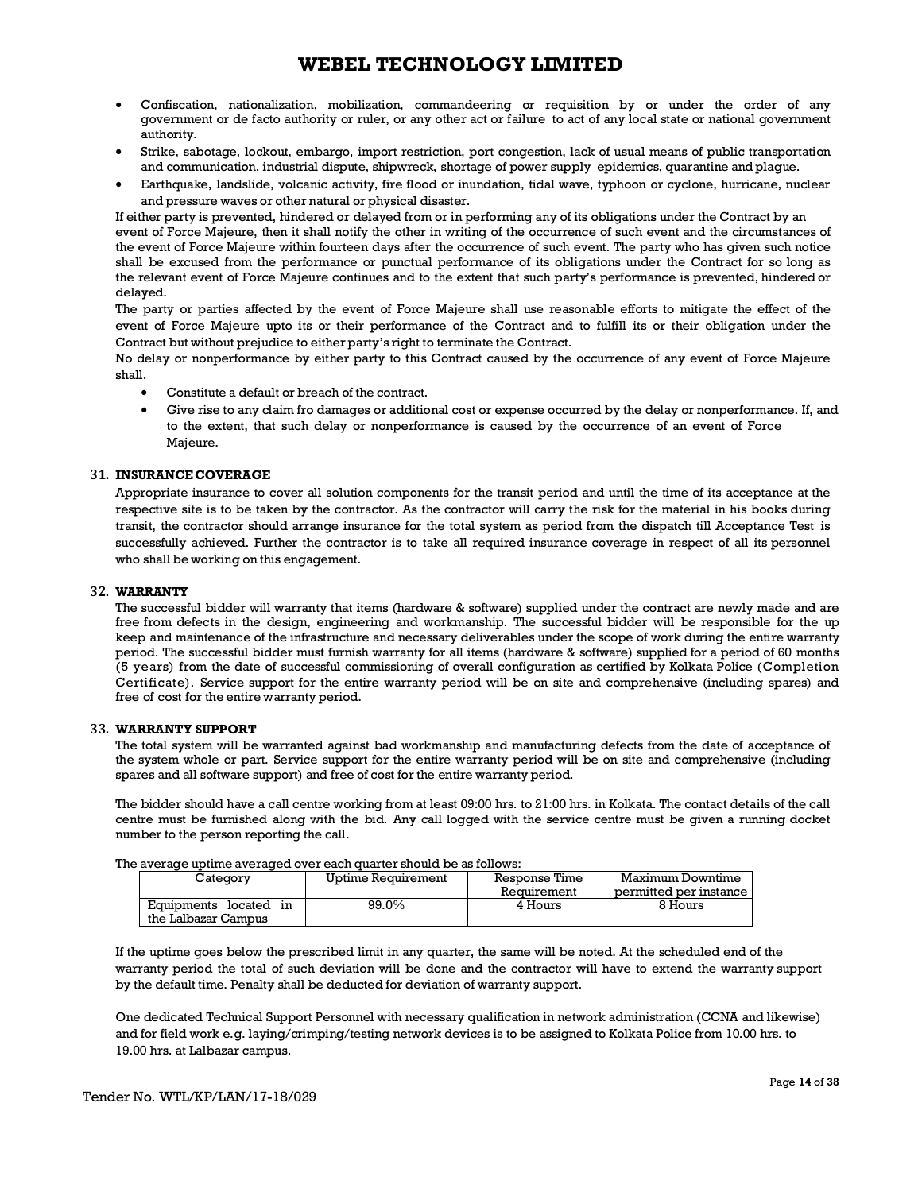- · Confiscation, nationalization, mobilization, commandeering or requisition by or under the order of any government or de facto authority or ruler, or any other act or failure to act of any local state or national government authority.
- Strike, sabotage, lockout, embargo, import restriction, port congestion, lack of usual means of public transportation and communication, industrial dispute, shipwreck, shortage of power supply epidemics, quarantine and plague.
- · Earthquake, landslide, volcanic activity, fire flood or inundation, tidal wave, typhoon or cyclone, hurricane, nuclear and pressure waves or other natural or physical disaster.

If either party is prevented, hindered or delayed from or in performing any of its obligations under the Contract by an event of Force Majeure, then it shall notify the other in writing of the occurrence of such event and the circumstances of the event of Force Majeure within fourteen days after the occurrence of such event. The party who has given such notice shall be excused from the performance or punctual performance of its obligations under the Contract for so long as the relevant event of Force Majeure continues and to the extent that such party's performance is prevented, hindered or delayed.

The party or parties affected by the event of Force Majeure shall use reasonable efforts to mitigate the effect of the event of Force Majeure upto its or their performance of the Contract and to fulfill its or their obligation under the Contract but without prejudice to either party's right to terminate the Contract.

No delay or nonperformance by either party to this Contract caused by the occurrence of any event of Force Majeure shall.

- Constitute a default or breach of the contract.
- Give rise to any claim fro damages or additional cost or expense occurred by the delay or nonperformance. If, and to the extent, that such delay or nonperformance is caused by the occurrence of an event of Force Majeure.

### **31. INSURANCECOVERAGE**

Appropriate insurance to cover all solution components for the transit period and until the time of its acceptance at the respective site is to be taken by the contractor. As the contractor will carry the risk for the material in his books during transit, the contractor should arrange insurance for the total system as period from the dispatch till Acceptance Test is successfully achieved. Further the contractor is to take all required insurance coverage in respect of all its personnel who shall be working on this engagement.

#### **32. WARRANTY**

The successful bidder will warranty that items (hardware & software) supplied under the contract are newly made and are free from defects in the design, engineering and workmanship. The successful bidder will be responsible for the up keep and maintenance of the infrastructure and necessary deliverables under the scope of work during the entire warranty period. The successful bidder must furnish warranty for all items (hardware & software) supplied for a period of 60 months (5 years) from the date of successful commissioning of overall configuration as certified by Kolkata Police (Completion Certificate). Service support for the entire warranty period will be on site and comprehensive (including spares) and free of cost for the entire warranty period.

### **33. WARRANTY SUPPORT**

The total system will be warranted against bad workmanship and manufacturing defects from the date of acceptance of the system whole or part. Service support for the entire warranty period will be on site and comprehensive (including spares and all software support) and free of cost for the entire warranty period.

The bidder should have a call centre working from at least 09:00 hrs. to 21:00 hrs. in Kolkata. The contact details of the call centre must be furnished along with the bid. Any call logged with the service centre must be given a running docket number to the person reporting the call.

| The average uptime averaged over each quarter should be as follows: |  |  |
|---------------------------------------------------------------------|--|--|
|                                                                     |  |  |

| Category                                        | Uptime Requirement | Response Time<br>Requirement | Maximum Downtime<br>permitted per instance |
|-------------------------------------------------|--------------------|------------------------------|--------------------------------------------|
| Equipments located<br>ın<br>the Lalbazar Campus | 99.0%              | 4 Hours                      | 8 Hours                                    |

If the uptime goes below the prescribed limit in any quarter, the same will be noted. At the scheduled end of the warranty period the total of such deviation will be done and the contractor will have to extend the warranty support by the default time. Penalty shall be deducted for deviation of warranty support.

One dedicated Technical Support Personnel with necessary qualification in network administration (CCNA and likewise) and for field work e.g. laying/crimping/testing network devices is to be assigned to Kolkata Police from 10.00 hrs. to 19.00 hrs. at Lalbazar campus.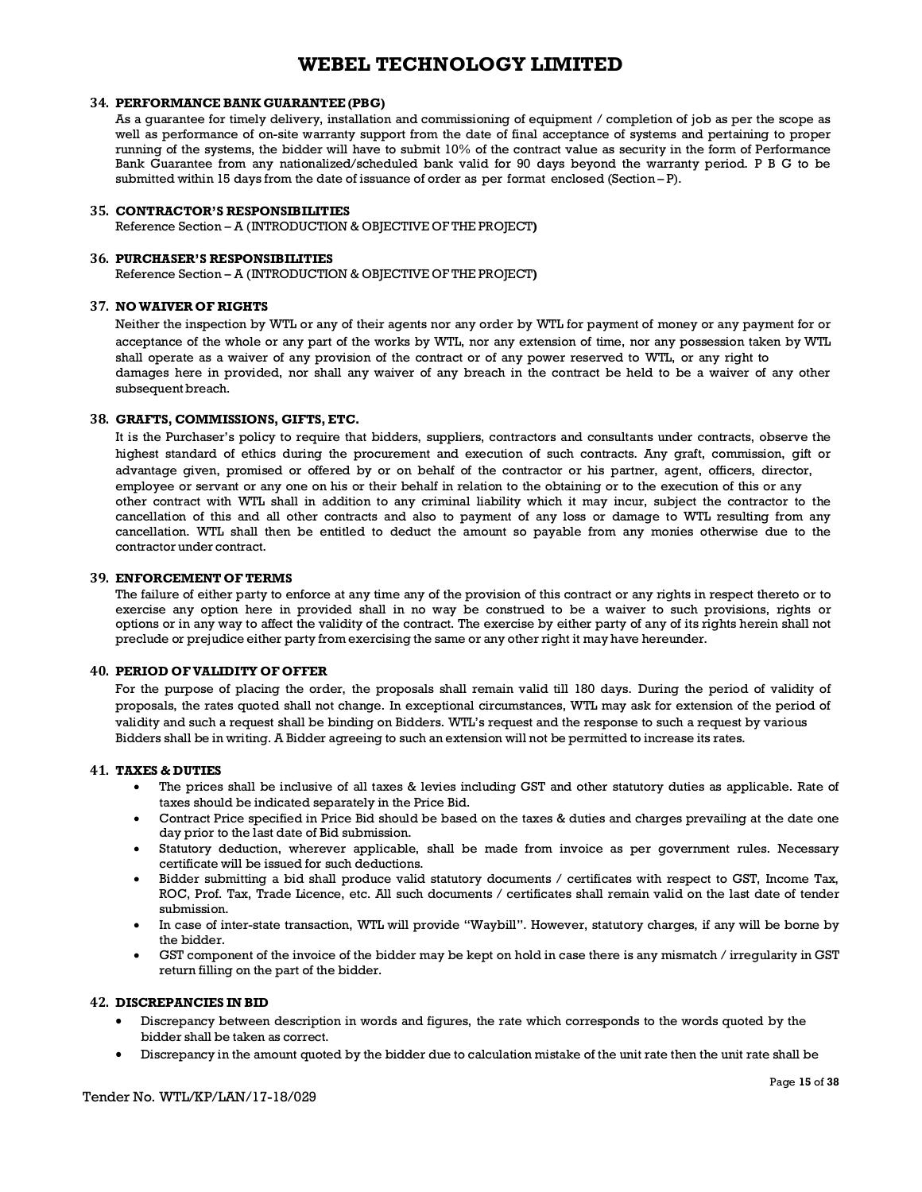#### **34. PERFORMANCE BANK GUARANTEE (PBG)**

As a guarantee for timely delivery, installation and commissioning of equipment / completion of job as per the scope as well as performance of on-site warranty support from the date of final acceptance of systems and pertaining to proper running of the systems, the bidder will have to submit 10% of the contract value as security in the form of Performance Bank Guarantee from any nationalized/scheduled bank valid for 90 days beyond the warranty period. P B G to be submitted within 15 days from the date of issuance of order as per format enclosed (Section – P).

#### **35. CONTRACTOR'S RESPONSIBILITIES**

Reference Section – A (INTRODUCTION & OBJECTIVE OF THE PROJECT**)**

#### **36. PURCHASER'S RESPONSIBILITIES**

Reference Section – A (INTRODUCTION & OBJECTIVE OF THE PROJECT**)**

### **37. NOWAIVER OF RIGHTS**

Neither the inspection by WTL or any of their agents nor any order by WTL for payment of money or any payment for or acceptance of the whole or any part of the works by WTL, nor any extension of time, nor any possession taken by WTL shall operate as a waiver of any provision of the contract or of any power reserved to WTL, or any right to damages here in provided, nor shall any waiver of any breach in the contract be held to be a waiver of any other subsequent breach.

#### **38. GRAFTS, COMMISSIONS, GIFTS, ETC.**

It is the Purchaser's policy to require that bidders, suppliers, contractors and consultants under contracts, observe the highest standard of ethics during the procurement and execution of such contracts. Any graft, commission, gift or advantage given, promised or offered by or on behalf of the contractor or his partner, agent, officers, director, employee or servant or any one on his or their behalf in relation to the obtaining or to the execution of this or any other contract with WTL shall in addition to any criminal liability which it may incur, subject the contractor to the cancellation of this and all other contracts and also to payment of any loss or damage to WTL resulting from any cancellation. WTL shall then be entitled to deduct the amount so payable from any monies otherwise due to the contractor under contract.

### **39. ENFORCEMENT OFTERMS**

The failure of either party to enforce at any time any of the provision of this contract or any rights in respect thereto or to exercise any option here in provided shall in no way be construed to be a waiver to such provisions, rights or options or in any way to affect the validity of the contract. The exercise by either party of any of its rights herein shall not preclude or prejudice either party from exercising the same or any other right it may have hereunder.

#### **40. PERIOD OFVALIDITY OF OFFER**

For the purpose of placing the order, the proposals shall remain valid till 180 days. During the period of validity of proposals, the rates quoted shall not change. In exceptional circumstances, WTL may ask for extension of the period of validity and such a request shall be binding on Bidders. WTL's request and the response to such a request by various Bidders shall be in writing. A Bidder agreeing to such an extension will not be permitted to increase its rates.

#### **41. TAXES & DUTIES**

- The prices shall be inclusive of all taxes & levies including GST and other statutory duties as applicable. Rate of taxes should be indicated separately in the Price Bid.
- Contract Price specified in Price Bid should be based on the taxes & duties and charges prevailing at the date one day prior to the last date of Bid submission.
- Statutory deduction, wherever applicable, shall be made from invoice as per government rules. Necessary certificate will be issued for such deductions.
- · Bidder submitting a bid shall produce valid statutory documents / certificates with respect to GST, Income Tax, ROC, Prof. Tax, Trade Licence, etc. All such documents / certificates shall remain valid on the last date of tender submission.
- · In case of inter-state transaction, WTL will provide "Waybill". However, statutory charges, if any will be borne by the bidder.
- GST component of the invoice of the bidder may be kept on hold in case there is any mismatch / irregularity in GST return filling on the part of the bidder.

### **42. DISCREPANCIES IN BID**

- · Discrepancy between description in words and figures, the rate which corresponds to the words quoted by the bidder shall be taken as correct.
- · Discrepancy in the amount quoted by the bidder due to calculation mistake of the unit rate then the unit rate shall be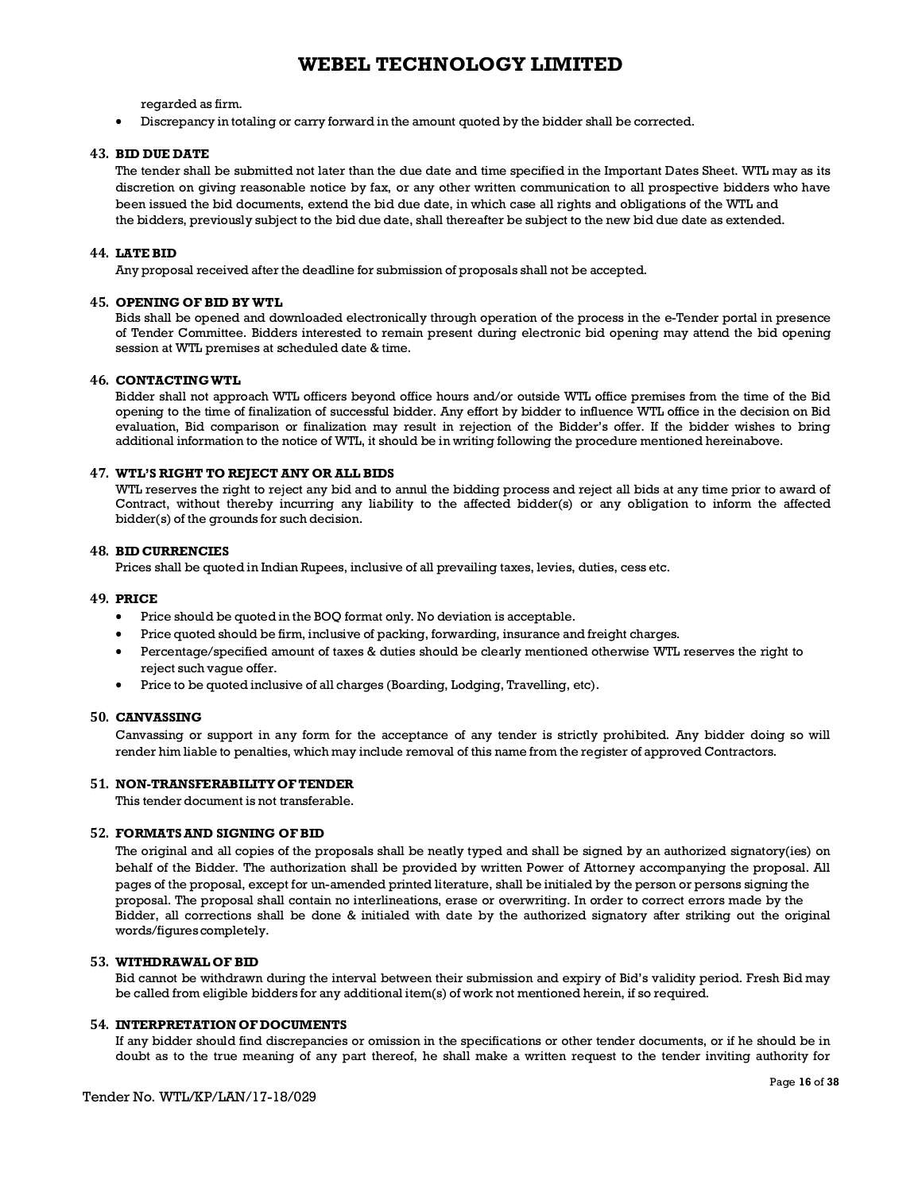regarded as firm.

· Discrepancy in totaling or carry forward in the amount quoted by the bidder shall be corrected.

#### **43. BID DUE DATE**

The tender shall be submitted not later than the due date and time specified in the Important Dates Sheet. WTL may as its discretion on giving reasonable notice by fax, or any other written communication to all prospective bidders who have been issued the bid documents, extend the bid due date, in which case all rights and obligations of the WTL and the bidders, previously subject to the bid due date, shall thereafter be subject to the new bid due date as extended.

#### **44. LATEBID**

Any proposal received after the deadline for submission of proposals shall not be accepted.

#### **45. OPENING OF BID BY WTL**

Bids shall be opened and downloaded electronically through operation of the process in the e-Tender portal in presence of Tender Committee. Bidders interested to remain present during electronic bid opening may attend the bid opening session at WTL premises at scheduled date & time.

#### **46. CONTACTINGWTL**

Bidder shall not approach WTL officers beyond office hours and/or outside WTL office premises from the time of the Bid opening to the time of finalization of successful bidder. Any effort by bidder to influence WTL office in the decision on Bid evaluation, Bid comparison or finalization may result in rejection of the Bidder's offer. If the bidder wishes to bring additional information to the notice of WTL, it should be in writing following the procedure mentioned hereinabove.

#### **47. WTL'S RIGHT TO REJECT ANY OR ALL BIDS**

WTL reserves the right to reject any bid and to annul the bidding process and reject all bids at any time prior to award of Contract, without thereby incurring any liability to the affected bidder(s) or any obligation to inform the affected bidder(s) of the grounds for such decision.

#### **48. BID CURRENCIES**

Prices shall be quoted in Indian Rupees, inclusive of all prevailing taxes, levies, duties, cess etc.

#### **49. PRICE**

- · Price should be quoted in the BOQ format only. No deviation is acceptable.
- · Price quoted should be firm, inclusive of packing, forwarding, insurance and freight charges.
- · Percentage/specified amount of taxes & duties should be clearly mentioned otherwise WTL reserves the right to reject such vague offer.
- · Price to be quoted inclusive of all charges (Boarding, Lodging, Travelling, etc).

#### **50. CANVASSING**

Canvassing or support in any form for the acceptance of any tender is strictly prohibited. Any bidder doing so will render him liable to penalties, which may include removal of this name from the register of approved Contractors.

#### **51. NON-TRANSFERABILITYOFTENDER**

This tender document is not transferable.

#### **52. FORMATSAND SIGNING OFBID**

The original and all copies of the proposals shall be neatly typed and shall be signed by an authorized signatory(ies) on behalf of the Bidder. The authorization shall be provided by written Power of Attorney accompanying the proposal. All pages of the proposal, except for un-amended printed literature, shall be initialed by the person or persons signing the proposal. The proposal shall contain no interlineations, erase or overwriting. In order to correct errors made by the Bidder, all corrections shall be done & initialed with date by the authorized signatory after striking out the original words/figures completely.

### **53. WITHDRAWAL OF BID**

Bid cannot be withdrawn during the interval between their submission and expiry of Bid's validity period. Fresh Bid may be called from eligible bidders for any additional item(s) of work not mentioned herein, if so required.

#### **54. INTERPRETATION OF DOCUMENTS**

If any bidder should find discrepancies or omission in the specifications or other tender documents, or if he should be in doubt as to the true meaning of any part thereof, he shall make a written request to the tender inviting authority for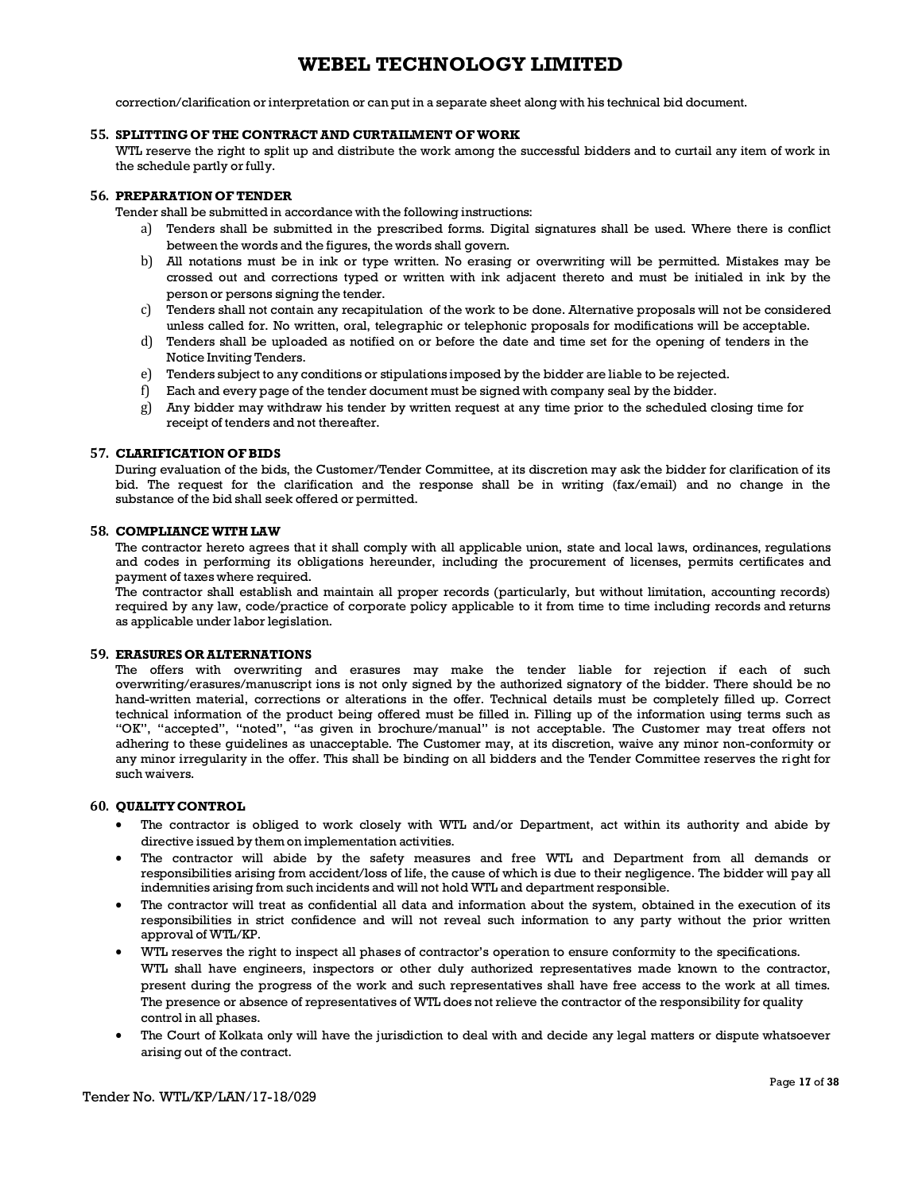correction/clarification or interpretation or can put in a separate sheet along with his technical bid document.

#### **55. SPLITTINGOF THE CONTRACT AND CURTAILMENT OF WORK**

WTL reserve the right to split up and distribute the work among the successful bidders and to curtail any item of work in the schedule partly or fully.

#### **56. PREPARATION OFTENDER**

Tender shall be submitted in accordance with the following instructions:

- a) Tenders shall be submitted in the prescribed forms. Digital signatures shall be used. Where there is conflict between the words and the figures, the words shall govern.
- b) All notations must be in ink or type written. No erasing or overwriting will be permitted. Mistakes may be crossed out and corrections typed or written with ink adjacent thereto and must be initialed in ink by the person or persons signing the tender.
- c) Tenders shall not contain any recapitulation of the work to be done. Alternative proposals will not be considered unless called for. No written, oral, telegraphic or telephonic proposals for modifications will be acceptable.
- d) Tenders shall be uploaded as notified on or before the date and time set for the opening of tenders in the Notice Inviting Tenders.
- e) Tenders subject to any conditions or stipulations imposed by the bidder are liable to be rejected.
- f) Each and every page of the tender document must be signed with company seal by the bidder.
- g) Any bidder may withdraw his tender by written request at any time prior to the scheduled closing time for receipt of tenders and not thereafter.

#### **57. CLARIFICATION OFBIDS**

During evaluation of the bids, the Customer/Tender Committee, at its discretion may ask the bidder for clarification of its bid. The request for the clarification and the response shall be in writing (fax/email) and no change in the substance of the bid shall seek offered or permitted.

#### **58. COMPLIANCE WITH LAW**

The contractor hereto agrees that it shall comply with all applicable union, state and local laws, ordinances, regulations and codes in performing its obligations hereunder, including the procurement of licenses, permits certificates and payment of taxes where required.

The contractor shall establish and maintain all proper records (particularly, but without limitation, accounting records) required by any law, code/practice of corporate policy applicable to it from time to time including records and returns as applicable under labor legislation.

#### **59. ERASURESOR ALTERNATIONS**

The offers with overwriting and erasures may make the tender liable for rejection if each of such overwriting/erasures/manuscript ions is not only signed by the authorized signatory of the bidder. There should be no hand-written material, corrections or alterations in the offer. Technical details must be completely filled up. Correct technical information of the product being offered must be filled in. Filling up of the information using terms such as "OK", "accepted", "noted", "as given in brochure/manual" is not acceptable. The Customer may treat offers not adhering to these guidelines as unacceptable. The Customer may, at its discretion, waive any minor non-conformity or any minor irregularity in the offer. This shall be binding on all bidders and the Tender Committee reserves the right for such waivers.

#### **60. QUALITYCONTROL**

- · The contractor is obliged to work closely with WTL and/or Department, act within its authority and abide by directive issued by them on implementation activities.
- The contractor will abide by the safety measures and free WTL and Department from all demands or responsibilities arising from accident/loss of life, the cause of which is due to their negligence. The bidder will pay all indemnities arising from such incidents and will not hold WTL and department responsible.
- The contractor will treat as confidential all data and information about the system, obtained in the execution of its responsibilities in strict confidence and will not reveal such information to any party without the prior written approval of WTL/KP.
- · WTL reserves the right to inspect all phases of contractor's operation to ensure conformity to the specifications. WTL shall have engineers, inspectors or other duly authorized representatives made known to the contractor, present during the progress of the work and such representatives shall have free access to the work at all times. The presence or absence of representatives of WTL does not relieve the contractor of the responsibility for quality control in all phases.
- · The Court of Kolkata only will have the jurisdiction to deal with and decide any legal matters or dispute whatsoever arising out of the contract.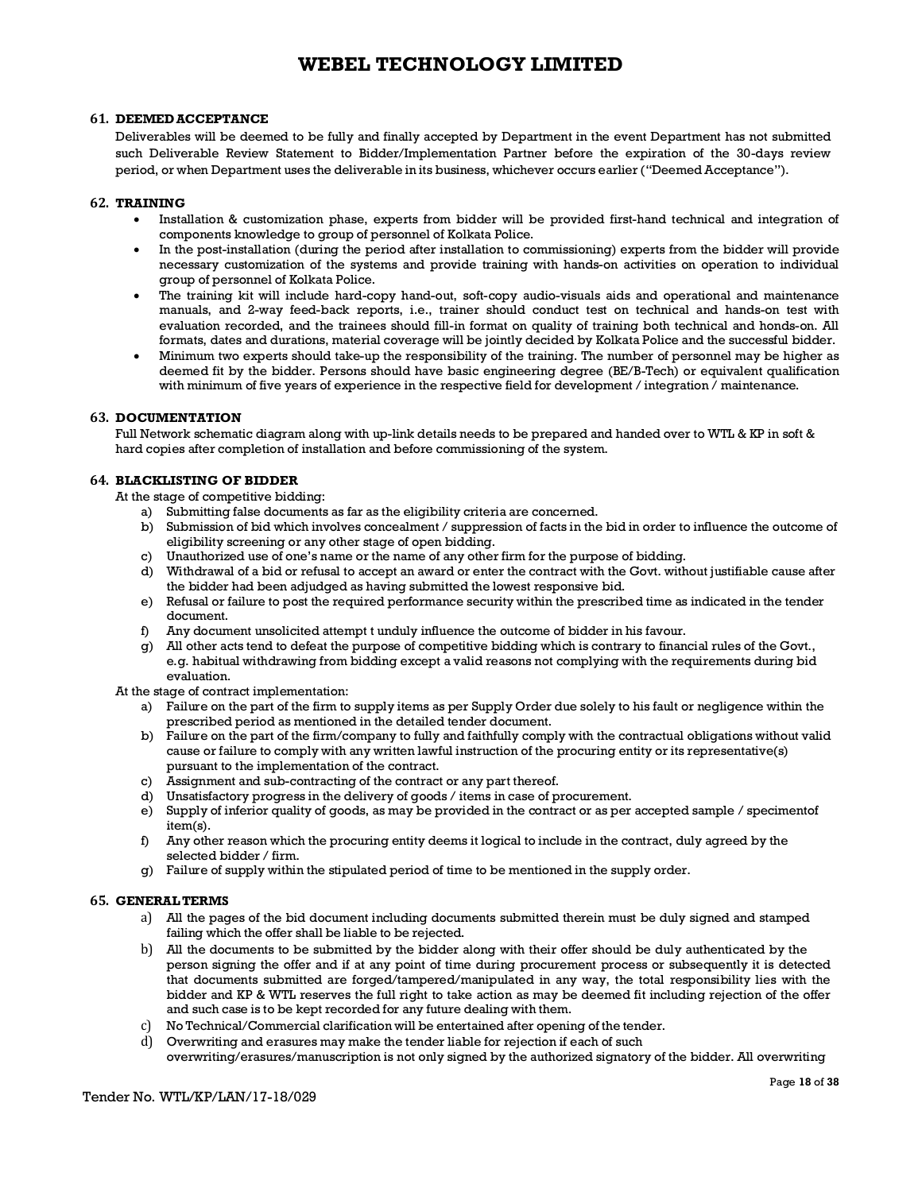#### **61. DEEMEDACCEPTANCE**

Deliverables will be deemed to be fully and finally accepted by Department in the event Department has not submitted such Deliverable Review Statement to Bidder/Implementation Partner before the expiration of the 30-days review period, or when Department uses the deliverable in its business, whichever occurs earlier ("Deemed Acceptance").

#### **62. TRAINING**

- · Installation & customization phase, experts from bidder will be provided first-hand technical and integration of components knowledge to group of personnel of Kolkata Police.
- In the post-installation (during the period after installation to commissioning) experts from the bidder will provide necessary customization of the systems and provide training with hands-on activities on operation to individual group of personnel of Kolkata Police.
- The training kit will include hard-copy hand-out, soft-copy audio-visuals aids and operational and maintenance manuals, and 2-way feed-back reports, i.e., trainer should conduct test on technical and hands-on test with evaluation recorded, and the trainees should fill-in format on quality of training both technical and honds-on. All formats, dates and durations, material coverage will be jointly decided by Kolkata Police and the successful bidder.
- · Minimum two experts should take-up the responsibility of the training. The number of personnel may be higher as deemed fit by the bidder. Persons should have basic engineering degree (BE/B-Tech) or equivalent qualification with minimum of five years of experience in the respective field for development / integration / maintenance.

#### **63. DOCUMENTATION**

Full Network schematic diagram along with up-link details needs to be prepared and handed over to WTL & KP in soft & hard copies after completion of installation and before commissioning of the system.

#### **64. BLACKLISTING OF BIDDER**

At the stage of competitive bidding:

- a) Submitting false documents as far as the eligibility criteria are concerned.
- b) Submission of bid which involves concealment / suppression of facts in the bid in order to influence the outcome of eligibility screening or any other stage of open bidding.
- c) Unauthorized use of one's name or the name of any other firm for the purpose of bidding.
- d) Withdrawal of a bid or refusal to accept an award or enter the contract with the Govt. without justifiable cause after the bidder had been adjudged as having submitted the lowest responsive bid.
- e) Refusal or failure to post the required performance security within the prescribed time as indicated in the tender document.
- f) Any document unsolicited attempt t unduly influence the outcome of bidder in his favour.
- g) All other acts tend to defeat the purpose of competitive bidding which is contrary to financial rules of the Govt., e.g. habitual withdrawing from bidding except a valid reasons not complying with the requirements during bid evaluation.

At the stage of contract implementation:

- a) Failure on the part of the firm to supply items as per Supply Order due solely to his fault or negligence within the prescribed period as mentioned in the detailed tender document.
- b) Failure on the part of the firm/company to fully and faithfully comply with the contractual obligations without valid cause or failure to comply with any written lawful instruction of the procuring entity or its representative(s) pursuant to the implementation of the contract.
- c) Assignment and sub-contracting of the contract or any part thereof.
- d) Unsatisfactory progress in the delivery of goods / items in case of procurement.
- e) Supply of inferior quality of goods, as may be provided in the contract or as per accepted sample / specimentof item(s).
- f) Any other reason which the procuring entity deems it logical to include in the contract, duly agreed by the selected bidder / firm.
- g) Failure of supply within the stipulated period of time to be mentioned in the supply order.

#### **65. GENERALTERMS**

- a) All the pages of the bid document including documents submitted therein must be duly signed and stamped failing which the offer shall be liable to be rejected.
- b) All the documents to be submitted by the bidder along with their offer should be duly authenticated by the person signing the offer and if at any point of time during procurement process or subsequently it is detected that documents submitted are forged/tampered/manipulated in any way, the total responsibility lies with the bidder and KP & WTL reserves the full right to take action as may be deemed fit including rejection of the offer and such case is to be kept recorded for any future dealing with them.
- c) No Technical/Commercial clarification will be entertained after opening of the tender.
- d) Overwriting and erasures may make the tender liable for rejection if each of such overwriting/erasures/manuscription is not only signed by the authorized signatory of the bidder. All overwriting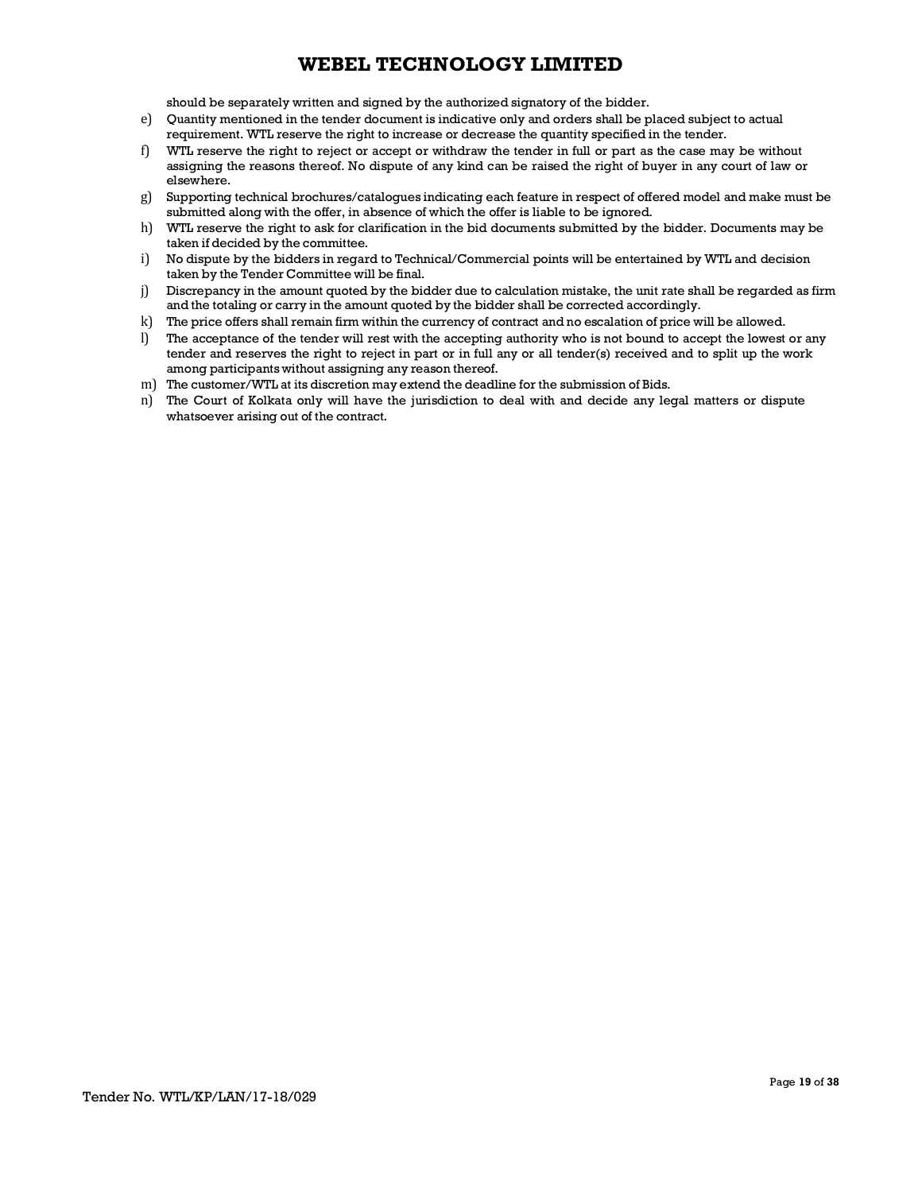should be separately written and signed by the authorized signatory of the bidder.

- e) Quantity mentioned in the tender document is indicative only and orders shall be placed subject to actual requirement. WTL reserve the right to increase or decrease the quantity specified in the tender.
- f) WTL reserve the right to reject or accept or withdraw the tender in full or part as the case may be without assigning the reasons thereof. No dispute of any kind can be raised the right of buyer in any court of law or elsewhere.
- g) Supporting technical brochures/catalogues indicating each feature in respect of offered model and make must be submitted along with the offer, in absence of which the offer is liable to be ignored.
- h) WTL reserve the right to ask for clarification in the bid documents submitted by the bidder. Documents may be taken if decided by the committee.
- i) No dispute by the bidders in regard to Technical/Commercial points will be entertained by WTL and decision taken by the Tender Committee will be final.
- j) Discrepancy in the amount quoted by the bidder due to calculation mistake, the unit rate shall be regarded as firm and the totaling or carry in the amount quoted by the bidder shall be corrected accordingly.
- k) The price offers shall remain firm within the currency of contract and no escalation of price will be allowed.
- l) The acceptance of the tender will rest with the accepting authority who is not bound to accept the lowest or any tender and reserves the right to reject in part or in full any or all tender(s) received and to split up the work among participants without assigning any reason thereof.
- m) The customer/WTL at its discretion may extend the deadline for the submission of Bids.
- n) The Court of Kolkata only will have the jurisdiction to deal with and decide any legal matters or dispute whatsoever arising out of the contract.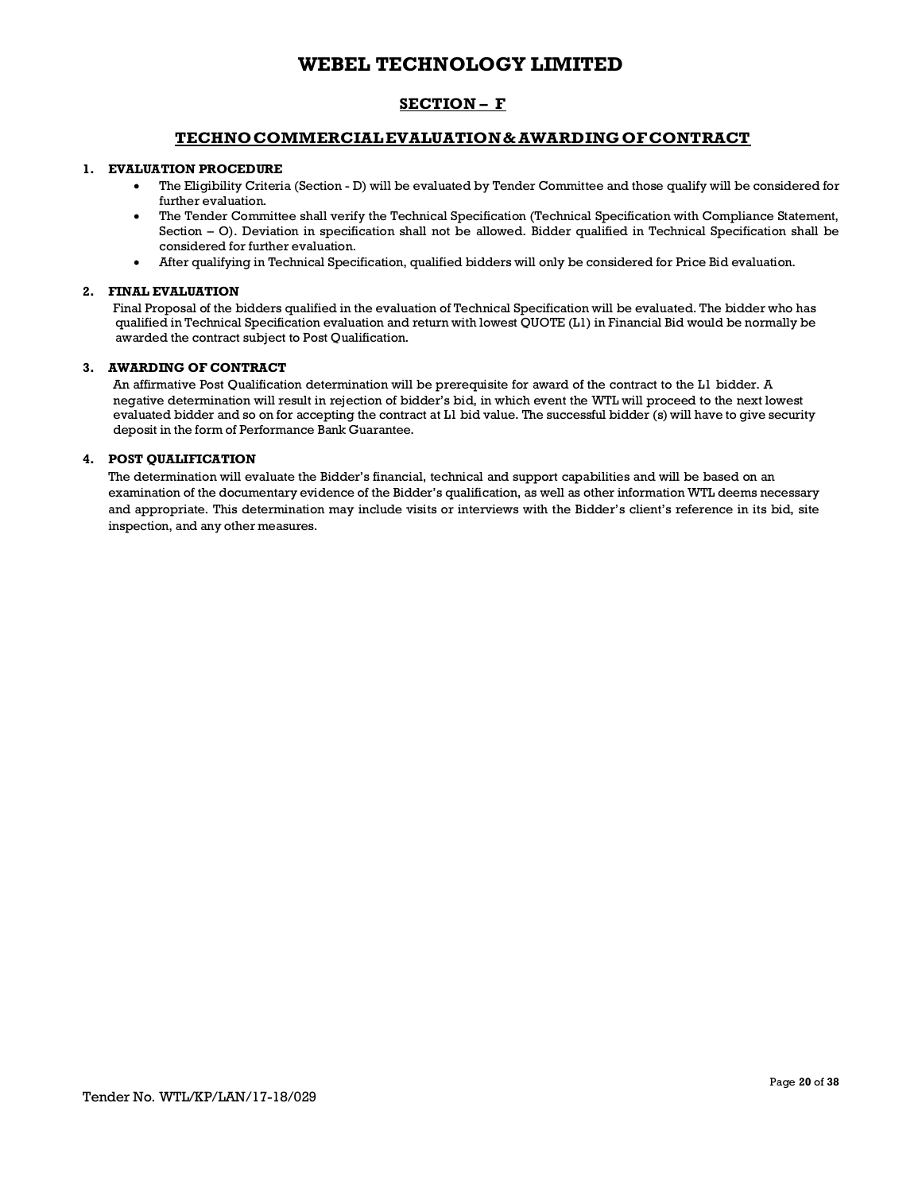## **SECTION – F**

## **TECHNOCOMMERCIALEVALUATION& AWARDINGOFCONTRACT**

#### **1. EVALUATION PROCEDURE**

- · The Eligibility Criteria (Section D) will be evaluated by Tender Committee and those qualify will be considered for further evaluation.
- · The Tender Committee shall verify the Technical Specification (Technical Specification with Compliance Statement, Section – O). Deviation in specification shall not be allowed. Bidder qualified in Technical Specification shall be considered for further evaluation.
- · After qualifying in Technical Specification, qualified bidders will only be considered for Price Bid evaluation.

#### **2. FINAL EVALUATION**

Final Proposal of the bidders qualified in the evaluation of Technical Specification will be evaluated. The bidder who has qualified in Technical Specification evaluation and return with lowest QUOTE (L1) in Financial Bid would be normally be awarded the contract subject to Post Qualification.

## **3. AWARDING OF CONTRACT**

An affirmative Post Qualification determination will be prerequisite for award of the contract to the L1 bidder. A negative determination will result in rejection of bidder's bid, in which event the WTL will proceed to the next lowest evaluated bidder and so on for accepting the contract at L1 bid value. The successful bidder (s) will have to give security deposit in the form of Performance Bank Guarantee.

### **4. POST QUALIFICATION**

The determination will evaluate the Bidder's financial, technical and support capabilities and will be based on an examination of the documentary evidence of the Bidder's qualification, as well as other information WTL deems necessary and appropriate. This determination may include visits or interviews with the Bidder's client's reference in its bid, site inspection, and any other measures.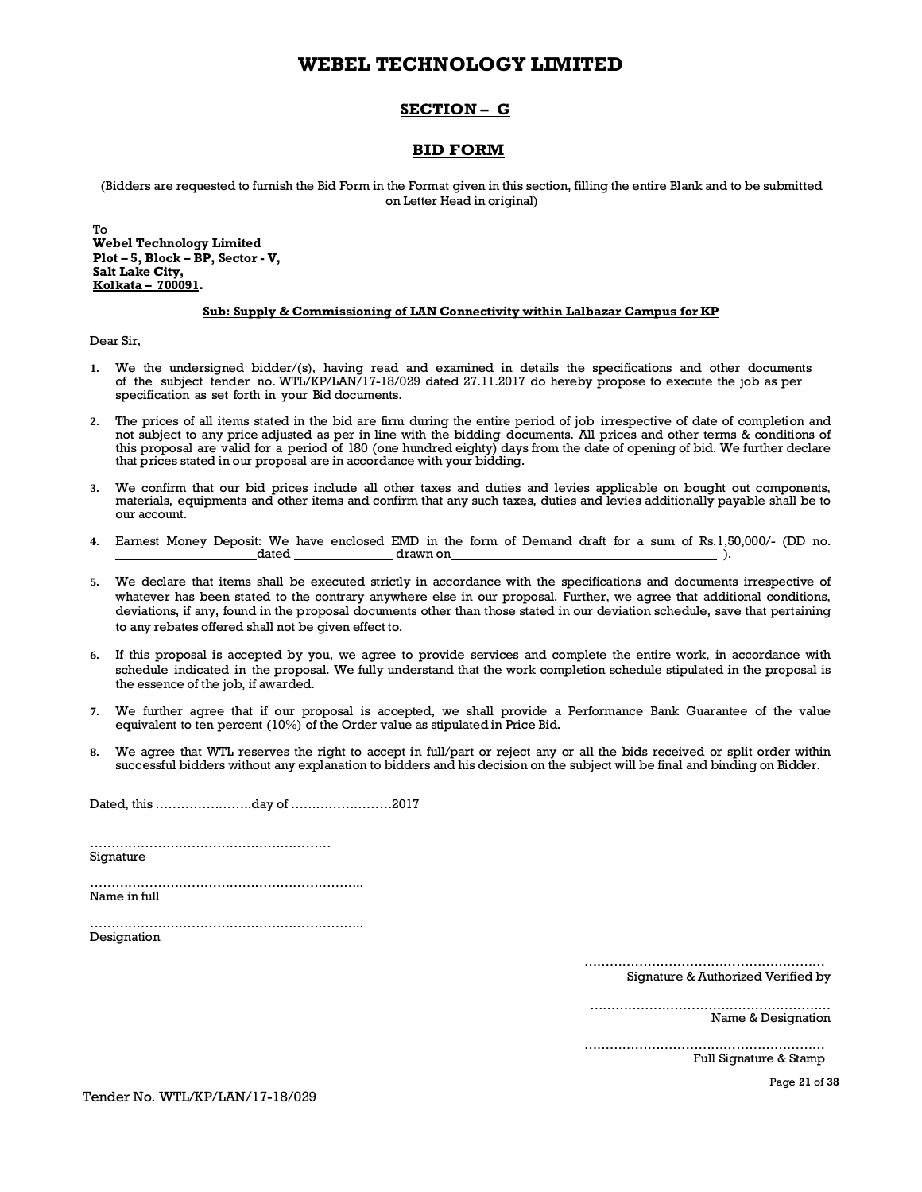## **SECTION – G**

## **BID FORM**

(Bidders are requested to furnish the Bid Form in the Format given in this section, filling the entire Blank and to be submitted on Letter Head in original)

To **Webel Technology Limited Plot – 5, Block – BP, Sector - V, Salt Lake City, Kolkata – 700091.**

#### **Sub: Supply & Commissioning of LAN Connectivity within Lalbazar Campus for KP**

Dear Sir,

- **1.** We the undersigned bidder/(s), having read and examined in details the specifications and other documents of the subject tender no. WTL/KP/LAN/17-18/029 dated 27.11.2017 do hereby propose to execute the job as per specification as set forth in your Bid documents.
- **2.** The prices of all items stated in the bid are firm during the entire period of job irrespective of date of completion and not subject to any price adjusted as per in line with the bidding documents. All prices and other terms & conditions of this proposal are valid for a period of 180 (one hundred eighty) days from the date of opening of bid. We further declare that prices stated in our proposal are in accordance with your bidding.
- **3.** We confirm that our bid prices include all other taxes and duties and levies applicable on bought out components, materials, equipments and other items and confirm that any such taxes, duties and levies additionally payable shall be to our account.
- **4.** Earnest Money Deposit: We have enclosed EMD in the form of Demand draft for a sum of Rs.1,50,000/- (DD no. dated \_\_\_\_\_\_\_\_\_\_\_\_\_\_\_ drawn on \_).
- **5.** We declare that items shall be executed strictly in accordance with the specifications and documents irrespective of whatever has been stated to the contrary anywhere else in our proposal. Further, we agree that additional conditions, deviations, if any, found in the proposal documents other than those stated in our deviation schedule, save that pertaining to any rebates offered shall not be given effect to.
- **6.** If this proposal is accepted by you, we agree to provide services and complete the entire work, in accordance with schedule indicated in the proposal. We fully understand that the work completion schedule stipulated in the proposal is the essence of the job, if awarded.
- **7.** We further agree that if our proposal is accepted, we shall provide a Performance Bank Guarantee of the value equivalent to ten percent (10%) of the Order value as stipulated in Price Bid.
- **8.** We agree that WTL reserves the right to accept in full/part or reject any or all the bids received or split order within successful bidders without any explanation to bidders and his decision on the subject will be final and binding on Bidder.

Dated, this …………………..day of ……………………2017

………………………………………………… Signature

……………………………………………………….. Name in full

……………………………………………………….. Designation

…………………………………………………

Signature & Authorized Verified by

………………………………………………… Name & Designation

………………………………………………… Full Signature & Stamp

Page **21** of **38**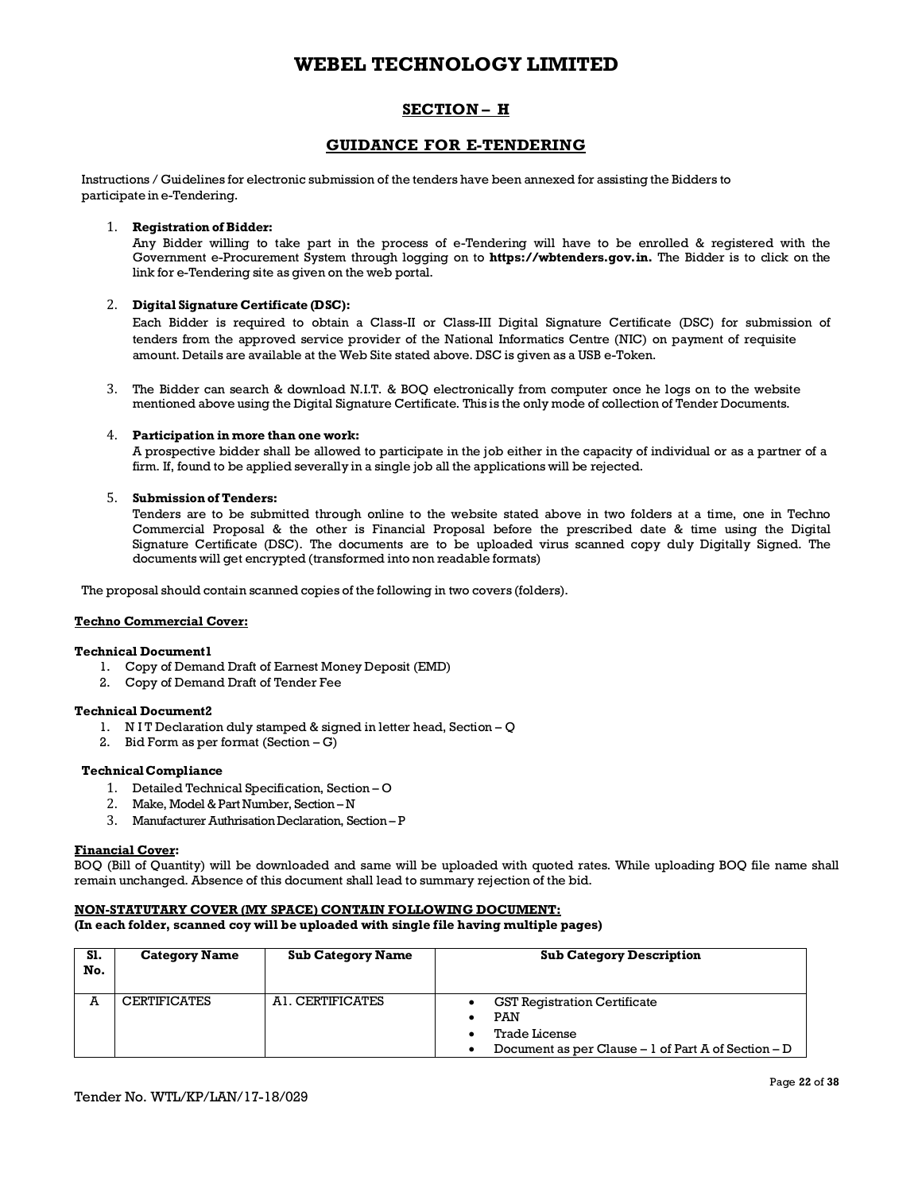## **SECTION – H**

## **GUIDANCE FOR E-TENDERING**

Instructions / Guidelines for electronic submission of the tenders have been annexed for assisting the Bidders to participate in e-Tendering.

#### 1. **Registration of Bidder:**

Any Bidder willing to take part in the process of e-Tendering will have to be enrolled & registered with the Government e-Procurement System through logging on to **https://wbtenders.gov.in.** The Bidder is to click on the link for e-Tendering site as given on the web portal.

### 2. **Digital Signature Certificate (DSC):**

Each Bidder is required to obtain a Class-II or Class-III Digital Signature Certificate (DSC) for submission of tenders from the approved service provider of the National Informatics Centre (NIC) on payment of requisite amount. Details are available at the Web Site stated above. DSC is given as a USB e-Token.

3. The Bidder can search & download N.I.T. & BOQ electronically from computer once he logs on to the website mentioned above using the Digital Signature Certificate. This is the only mode of collection of Tender Documents.

#### 4. **Participation in more than one work:**

A prospective bidder shall be allowed to participate in the job either in the capacity of individual or as a partner of a firm. If, found to be applied severally in a single job all the applications will be rejected.

#### 5. **Submission of Tenders:**

Tenders are to be submitted through online to the website stated above in two folders at a time, one in Techno Commercial Proposal & the other is Financial Proposal before the prescribed date & time using the Digital Signature Certificate (DSC). The documents are to be uploaded virus scanned copy duly Digitally Signed. The documents will get encrypted (transformed into non readable formats)

The proposal should contain scanned copies of the following in two covers (folders).

#### **Techno Commercial Cover:**

#### **Technical Document1**

- 1. Copy of Demand Draft of Earnest Money Deposit (EMD)
- 2. Copy of Demand Draft of Tender Fee

### **Technical Document2**

- 1. N I T Declaration duly stamped & signed in letter head, Section Q
- 2. Bid Form as per format  $(Section G)$

### **TechnicalCompliance**

- 1. Detailed Technical Specification, Section O
- 2. Make, Model & Part Number, Section N
- 3. Manufacturer Authrisation Declaration, Section P

#### **Financial Cover:**

BOQ (Bill of Quantity) will be downloaded and same will be uploaded with quoted rates. While uploading BOQ file name shall remain unchanged. Absence of this document shall lead to summary rejection of the bid.

#### **NON-STATUTARY COVER (MY SPACE) CONTAIN FOLLOWING DOCUMENT:**

**(In each folder, scanned coy will be uploaded with single file having multiple pages)**

| S1.<br>No. | <b>Category Name</b> | <b>Sub Category Name</b> | <b>Sub Category Description</b>                                                                                              |
|------------|----------------------|--------------------------|------------------------------------------------------------------------------------------------------------------------------|
| A          | <b>CERTIFICATES</b>  | AI. CERTIFICATES         | <b>GST Registration Certificate</b><br>PAN<br><b>Trade License</b><br>Document as per Clause $-1$ of Part A of Section $- D$ |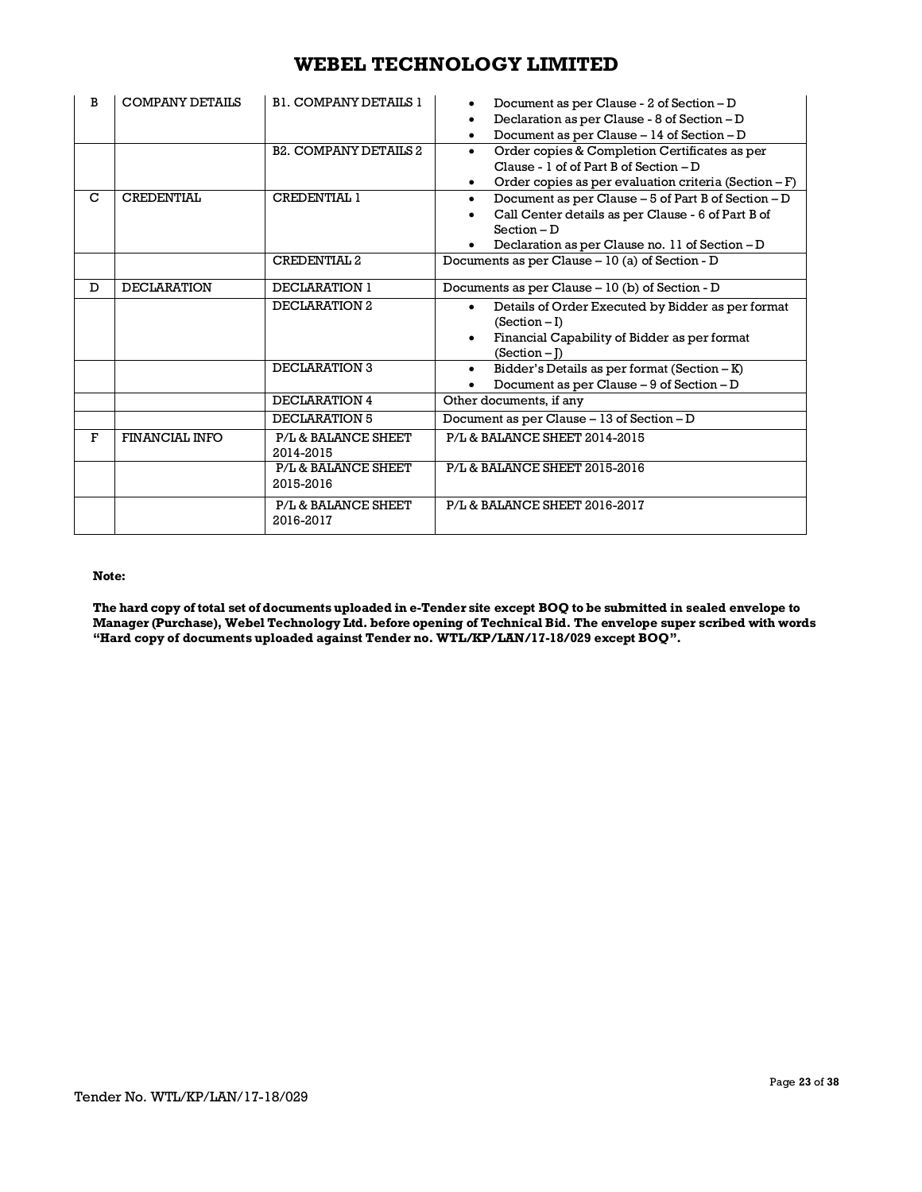| B | <b>COMPANY DETAILS</b> | <b>B1. COMPANY DETAILS 1</b><br><b>B2. COMPANY DETAILS 2</b> | Document as per Clause - 2 of Section - D<br>Declaration as per Clause - 8 of Section - D<br>Document as per Clause - 14 of Section - D<br>$\bullet$<br>Order copies & Completion Certificates as per<br>$\bullet$<br>Clause - $1$ of of Part B of Section $-D$<br>Order copies as per evaluation criteria (Section $-F$ )<br>$\bullet$ |
|---|------------------------|--------------------------------------------------------------|-----------------------------------------------------------------------------------------------------------------------------------------------------------------------------------------------------------------------------------------------------------------------------------------------------------------------------------------|
| C | CREDENTIAL             | CREDENTIAL 1<br><b>CREDENTIAL 2</b>                          | Document as per Clause - 5 of Part B of Section - D<br>$\bullet$<br>Call Center details as per Clause - 6 of Part B of<br>$Section - D$<br>Declaration as per Clause no. 11 of Section - D<br>Documents as per Clause - 10 (a) of Section - D                                                                                           |
|   |                        |                                                              |                                                                                                                                                                                                                                                                                                                                         |
| D | <b>DECLARATION</b>     | <b>DECLARATION 1</b>                                         | Documents as per Clause – 10 (b) of Section - D                                                                                                                                                                                                                                                                                         |
|   |                        | DECLARATION 2                                                | Details of Order Executed by Bidder as per format<br>$\bullet$<br>$(Section - I)$<br>Financial Capability of Bidder as per format<br>$\bullet$<br>$(Section - I)$                                                                                                                                                                       |
|   |                        | DECLARATION 3                                                | Bidder's Details as per format (Section - K)<br>$\bullet$<br>Document as per Clause - 9 of Section - D<br>$\bullet$                                                                                                                                                                                                                     |
|   |                        | DECLARATION 4                                                | Other documents, if any                                                                                                                                                                                                                                                                                                                 |
|   |                        | DECLARATION 5                                                | Document as per Clause - 13 of Section - D                                                                                                                                                                                                                                                                                              |
| F | <b>FINANCIAL INFO</b>  | P/L & BALANCE SHEET<br>2014-2015                             | P/L & BALANCE SHEET 2014-2015                                                                                                                                                                                                                                                                                                           |
|   |                        | P/L & BALANCE SHEET<br>2015-2016                             | P/L & BALANCE SHEET 2015-2016                                                                                                                                                                                                                                                                                                           |
|   |                        | P/L & BALANCE SHEET<br>2016-2017                             | P/L & BALANCE SHEET 2016-2017                                                                                                                                                                                                                                                                                                           |

### **Note:**

The hard copy of total set of documents uploaded in e-Tender site except BOQ to be submitted in sealed envelope to **Manager (Purchase), Webel Technology Ltd. before opening of Technical Bid. The envelope super scribed with words "Hard copy of documents uploaded against Tender no. WTL/KP/LAN/17-18/029 except BOQ".**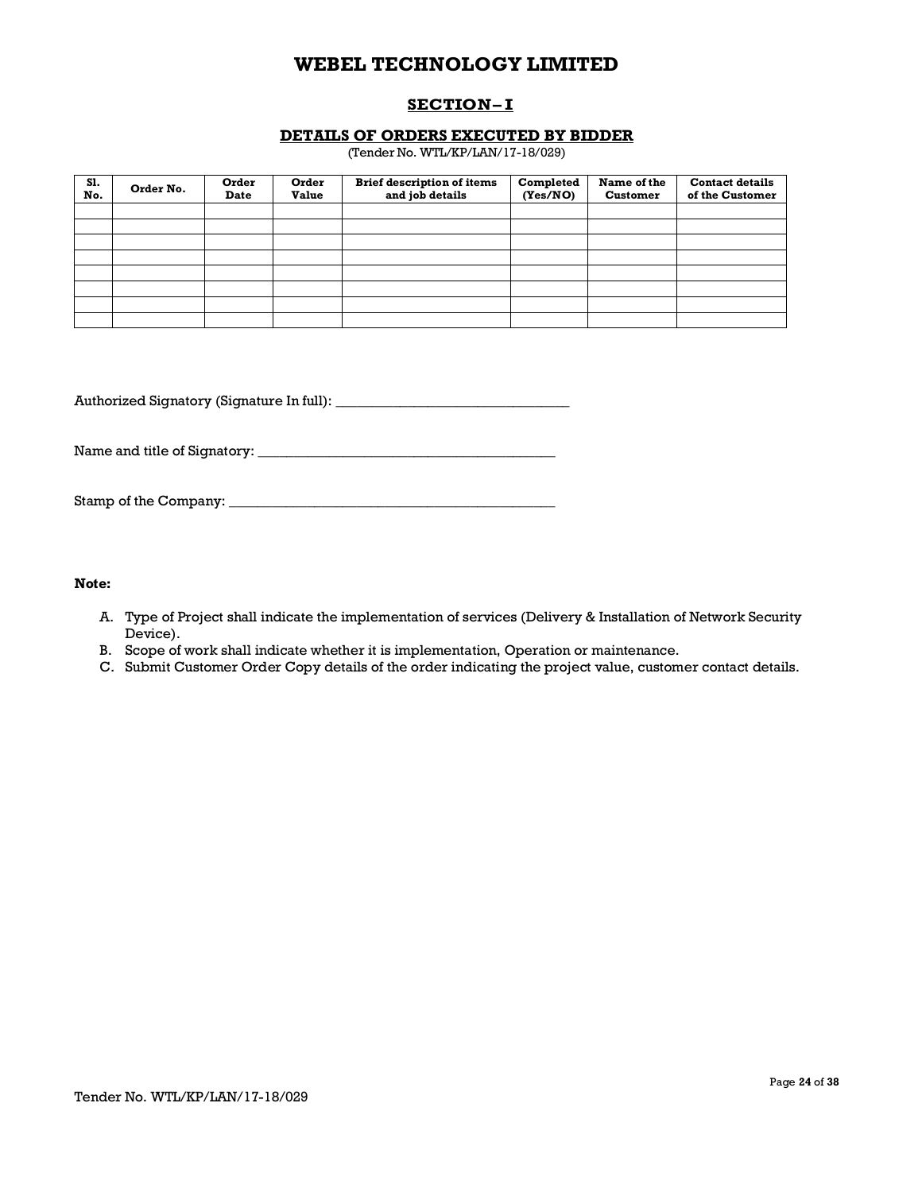## **SECTION– I**

### **DETAILS OF ORDERS EXECUTED BY BIDDER**

(Tender No. WTL/KP/LAN/17-18/029)

| S1.<br>No. | Order No. | Order<br><b>Date</b> | Order<br><b>Value</b> | <b>Brief description of items</b><br>and job details | Completed<br>(Yes/NO) | Name of the<br><b>Customer</b> | <b>Contact details</b><br>of the Customer |
|------------|-----------|----------------------|-----------------------|------------------------------------------------------|-----------------------|--------------------------------|-------------------------------------------|
|            |           |                      |                       |                                                      |                       |                                |                                           |
|            |           |                      |                       |                                                      |                       |                                |                                           |
|            |           |                      |                       |                                                      |                       |                                |                                           |
|            |           |                      |                       |                                                      |                       |                                |                                           |
|            |           |                      |                       |                                                      |                       |                                |                                           |
|            |           |                      |                       |                                                      |                       |                                |                                           |
|            |           |                      |                       |                                                      |                       |                                |                                           |
|            |           |                      |                       |                                                      |                       |                                |                                           |

Authorized Signatory (Signature In full): \_\_\_\_\_\_\_\_\_\_\_\_\_\_\_\_\_\_\_\_\_\_\_\_\_\_\_\_\_\_\_\_\_

Name and title of Signatory: \_\_\_\_\_\_\_\_\_\_\_\_\_\_\_\_\_\_\_\_\_\_\_\_\_\_\_\_\_\_\_\_\_\_\_\_\_\_\_\_\_\_

Stamp of the Company: \_\_\_\_\_\_\_\_\_\_\_\_\_\_\_\_\_\_\_\_\_\_\_\_\_\_\_\_\_\_\_\_\_\_\_\_\_\_\_\_\_\_\_\_\_\_

### **Note:**

- A. Type of Project shall indicate the implementation of services (Delivery & Installation of Network Security Device).
- B. Scope of work shall indicate whether it is implementation, Operation or maintenance.
- C. Submit Customer Order Copy details of the order indicating the project value, customer contact details.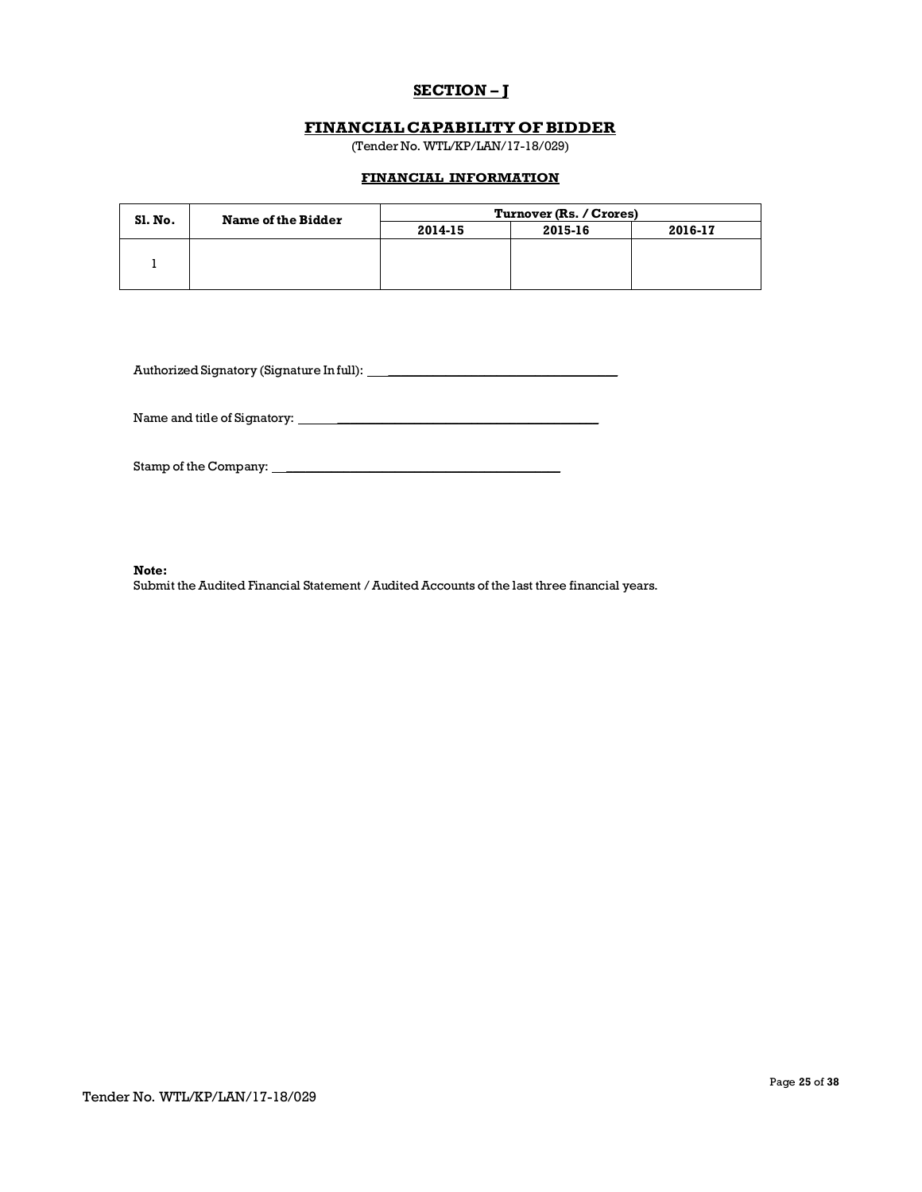## **SECTION – J**

## **FINANCIALCAPABILITY OFBIDDER**

(Tender No. WTL/KP/LAN/17-18/029)

## **FINANCIAL INFORMATION**

| <b>Sl. No.</b> | <b>Name of the Bidder</b> | Turnover (Rs. / Crores) |         |         |
|----------------|---------------------------|-------------------------|---------|---------|
|                |                           | 2014-15                 | 2015-16 | 2016-17 |
|                |                           |                         |         |         |
|                |                           |                         |         |         |
|                |                           |                         |         |         |

Authorized Signatory (Signature In full): \_\_\_\_\_\_\_\_\_\_\_\_\_\_\_\_\_\_\_\_\_\_\_\_\_\_\_\_\_\_\_\_\_\_\_\_

Name and title of Signatory: \_\_\_\_\_\_\_\_\_\_\_\_\_\_\_\_\_\_\_\_\_\_\_\_\_\_\_\_\_\_\_\_\_\_\_\_\_\_\_\_\_

Stamp of the Company: \_\_\_\_\_\_\_\_\_\_\_\_\_\_\_\_\_\_\_\_\_\_\_\_\_\_\_\_\_\_\_\_\_\_\_\_\_\_\_\_\_\_\_

**Note:**

Submit the Audited Financial Statement / Audited Accounts of the last three financial years.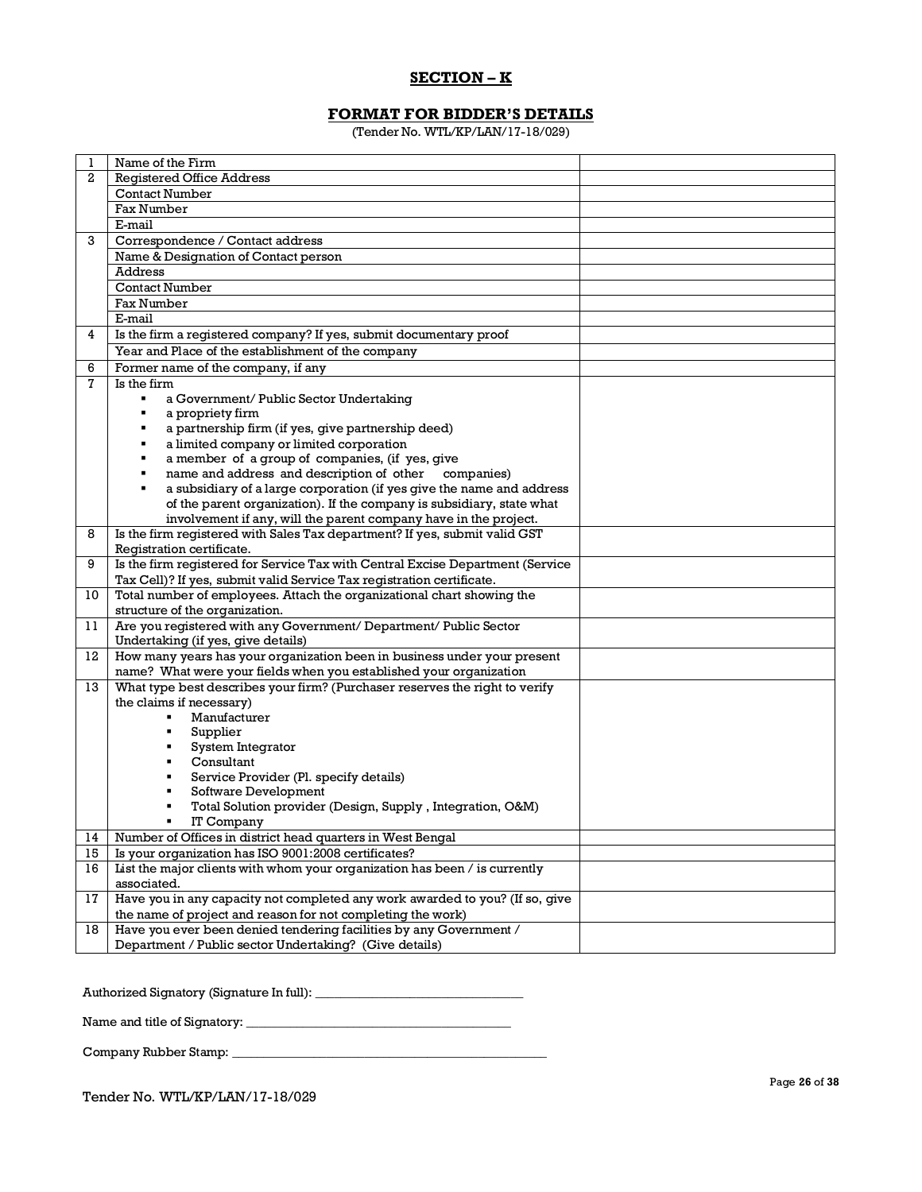## **SECTION – K**

## **FORMAT FOR BIDDER'S DETAILS**

(Tender No. WTL/KP/LAN/17-18/029)

| 1              | Name of the Firm                                                                                                                                        |  |  |  |  |  |
|----------------|---------------------------------------------------------------------------------------------------------------------------------------------------------|--|--|--|--|--|
| 2              | <b>Registered Office Address</b>                                                                                                                        |  |  |  |  |  |
|                |                                                                                                                                                         |  |  |  |  |  |
|                | <b>Contact Number</b>                                                                                                                                   |  |  |  |  |  |
|                | Fax Number                                                                                                                                              |  |  |  |  |  |
|                | E-mail                                                                                                                                                  |  |  |  |  |  |
| 3              | Correspondence / Contact address                                                                                                                        |  |  |  |  |  |
|                | Name & Designation of Contact person                                                                                                                    |  |  |  |  |  |
|                | Address                                                                                                                                                 |  |  |  |  |  |
|                | <b>Contact Number</b>                                                                                                                                   |  |  |  |  |  |
|                | <b>Fax Number</b>                                                                                                                                       |  |  |  |  |  |
|                | E-mail                                                                                                                                                  |  |  |  |  |  |
| 4              | Is the firm a registered company? If yes, submit documentary proof                                                                                      |  |  |  |  |  |
|                | Year and Place of the establishment of the company                                                                                                      |  |  |  |  |  |
| 6              | Former name of the company, if any                                                                                                                      |  |  |  |  |  |
| $\overline{7}$ | Is the firm                                                                                                                                             |  |  |  |  |  |
|                | $\blacksquare$<br>a Government/ Public Sector Undertaking                                                                                               |  |  |  |  |  |
|                | a propriety firm                                                                                                                                        |  |  |  |  |  |
|                | a partnership firm (if yes, give partnership deed)                                                                                                      |  |  |  |  |  |
|                | a limited company or limited corporation                                                                                                                |  |  |  |  |  |
|                | a member of a group of companies, (if yes, give                                                                                                         |  |  |  |  |  |
|                | name and address and description of other companies)                                                                                                    |  |  |  |  |  |
|                | a subsidiary of a large corporation (if yes give the name and address                                                                                   |  |  |  |  |  |
|                | of the parent organization). If the company is subsidiary, state what                                                                                   |  |  |  |  |  |
|                | involvement if any, will the parent company have in the project.                                                                                        |  |  |  |  |  |
| 8              | Is the firm registered with Sales Tax department? If yes, submit valid GST                                                                              |  |  |  |  |  |
|                | Registration certificate.                                                                                                                               |  |  |  |  |  |
| 9              | Is the firm registered for Service Tax with Central Excise Department (Service<br>Tax Cell)? If yes, submit valid Service Tax registration certificate. |  |  |  |  |  |
| 10             | Total number of employees. Attach the organizational chart showing the                                                                                  |  |  |  |  |  |
|                | structure of the organization.                                                                                                                          |  |  |  |  |  |
| 11             | Are you registered with any Government/ Department/ Public Sector                                                                                       |  |  |  |  |  |
|                | Undertaking (if yes, give details)                                                                                                                      |  |  |  |  |  |
| 12             | How many years has your organization been in business under your present                                                                                |  |  |  |  |  |
|                | name? What were your fields when you established your organization                                                                                      |  |  |  |  |  |
| 13             | What type best describes your firm? (Purchaser reserves the right to verify                                                                             |  |  |  |  |  |
|                | the claims if necessary)                                                                                                                                |  |  |  |  |  |
|                | Manufacturer                                                                                                                                            |  |  |  |  |  |
|                | Supplier<br>٠                                                                                                                                           |  |  |  |  |  |
|                | System Integrator<br>٠                                                                                                                                  |  |  |  |  |  |
|                | Consultant                                                                                                                                              |  |  |  |  |  |
|                | Service Provider (Pl. specify details)<br>٠                                                                                                             |  |  |  |  |  |
|                | Software Development<br>٠                                                                                                                               |  |  |  |  |  |
|                | Total Solution provider (Design, Supply, Integration, O&M)                                                                                              |  |  |  |  |  |
|                | IT Company                                                                                                                                              |  |  |  |  |  |
| 14             | Number of Offices in district head quarters in West Bengal                                                                                              |  |  |  |  |  |
| 15             | Is your organization has ISO 9001:2008 certificates?                                                                                                    |  |  |  |  |  |
| 16             | List the major clients with whom your organization has been / is currently                                                                              |  |  |  |  |  |
|                | associated.                                                                                                                                             |  |  |  |  |  |
| 17             | Have you in any capacity not completed any work awarded to you? (If so, give                                                                            |  |  |  |  |  |
|                | the name of project and reason for not completing the work)                                                                                             |  |  |  |  |  |
| 18             | Have you ever been denied tendering facilities by any Government /                                                                                      |  |  |  |  |  |
|                | Department / Public sector Undertaking? (Give details)                                                                                                  |  |  |  |  |  |

Authorized Signatory (Signature In full): \_\_\_\_\_\_\_\_\_\_\_\_\_\_\_\_\_\_\_\_\_\_\_\_\_\_\_\_\_\_\_\_\_

Name and title of Signatory: \_\_\_\_\_\_\_\_\_\_\_\_\_\_\_\_\_\_\_\_\_\_\_\_\_\_\_\_\_\_\_\_\_\_\_\_\_\_\_\_\_\_

Company Rubber Stamp: \_\_\_\_\_\_\_\_\_\_\_\_\_\_\_\_\_\_\_\_\_\_\_\_\_\_\_\_\_\_\_\_\_\_\_\_\_\_\_\_\_\_\_\_\_\_\_\_\_\_

Tender No. WTL/KP/LAN/17-18/029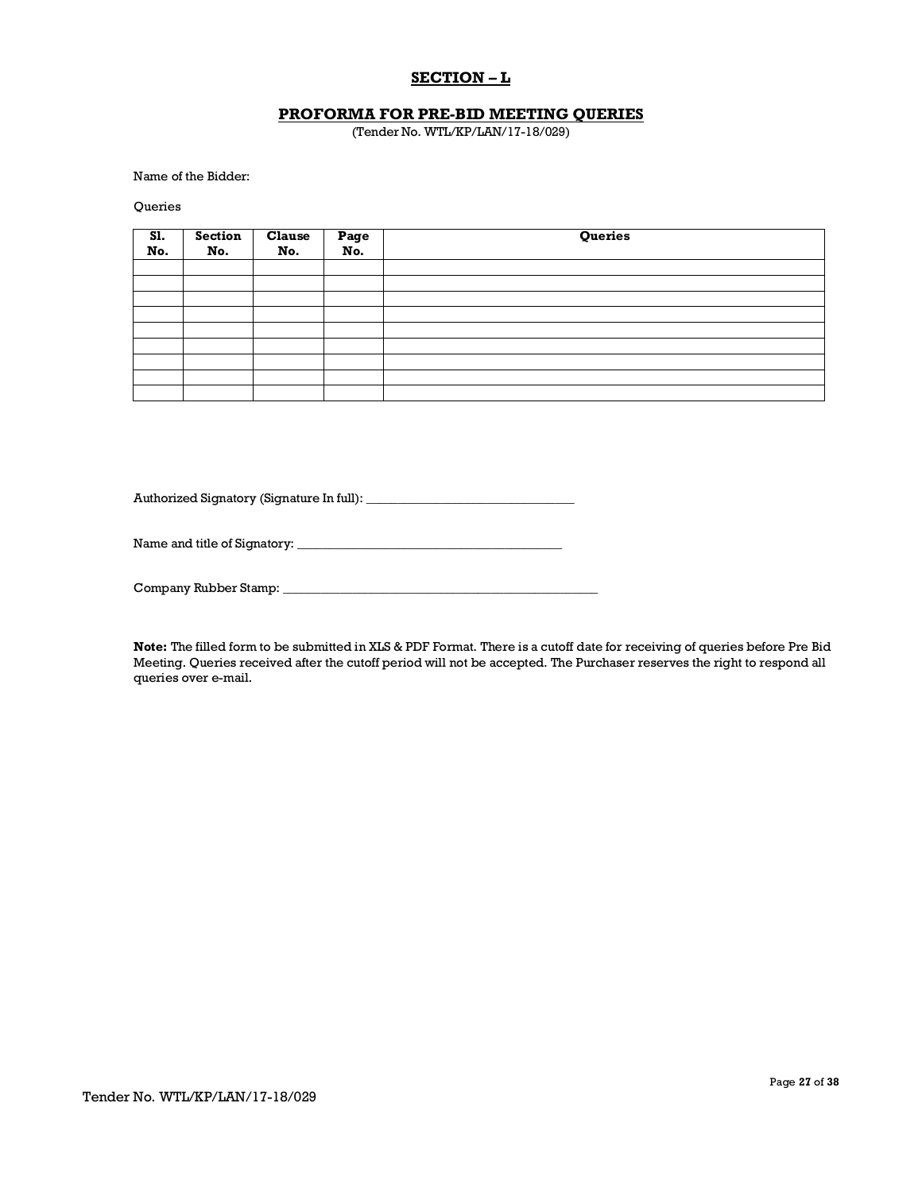## **SECTION – L**

## **PROFORMA FOR PRE-BID MEETING QUERIES**

(Tender No. WTL/KP/LAN/17-18/029)

Name of the Bidder:

Queries

| S1.<br>No. | Section<br>No. | Clause<br>No. | Page<br>No. | Queries |
|------------|----------------|---------------|-------------|---------|
|            |                |               |             |         |
|            |                |               |             |         |
|            |                |               |             |         |
|            |                |               |             |         |
|            |                |               |             |         |
|            |                |               |             |         |
|            |                |               |             |         |
|            |                |               |             |         |
|            |                |               |             |         |

Authorized Signatory (Signature In full): \_\_\_\_\_\_\_\_\_\_\_\_\_\_\_\_\_\_\_\_\_\_\_\_\_\_\_\_\_\_\_\_\_

Name and title of Signatory: \_\_\_\_\_\_\_\_\_\_\_\_\_\_\_\_\_\_\_\_\_\_\_\_\_\_\_\_\_\_\_\_\_\_\_\_\_\_\_\_\_\_

Company Rubber Stamp:

**Note:** The filled form to be submitted in XLS & PDF Format. There is a cutoff date for receiving of queries before Pre Bid Meeting. Queries received after the cutoff period will not be accepted. The Purchaser reserves the right to respond all queries over e-mail.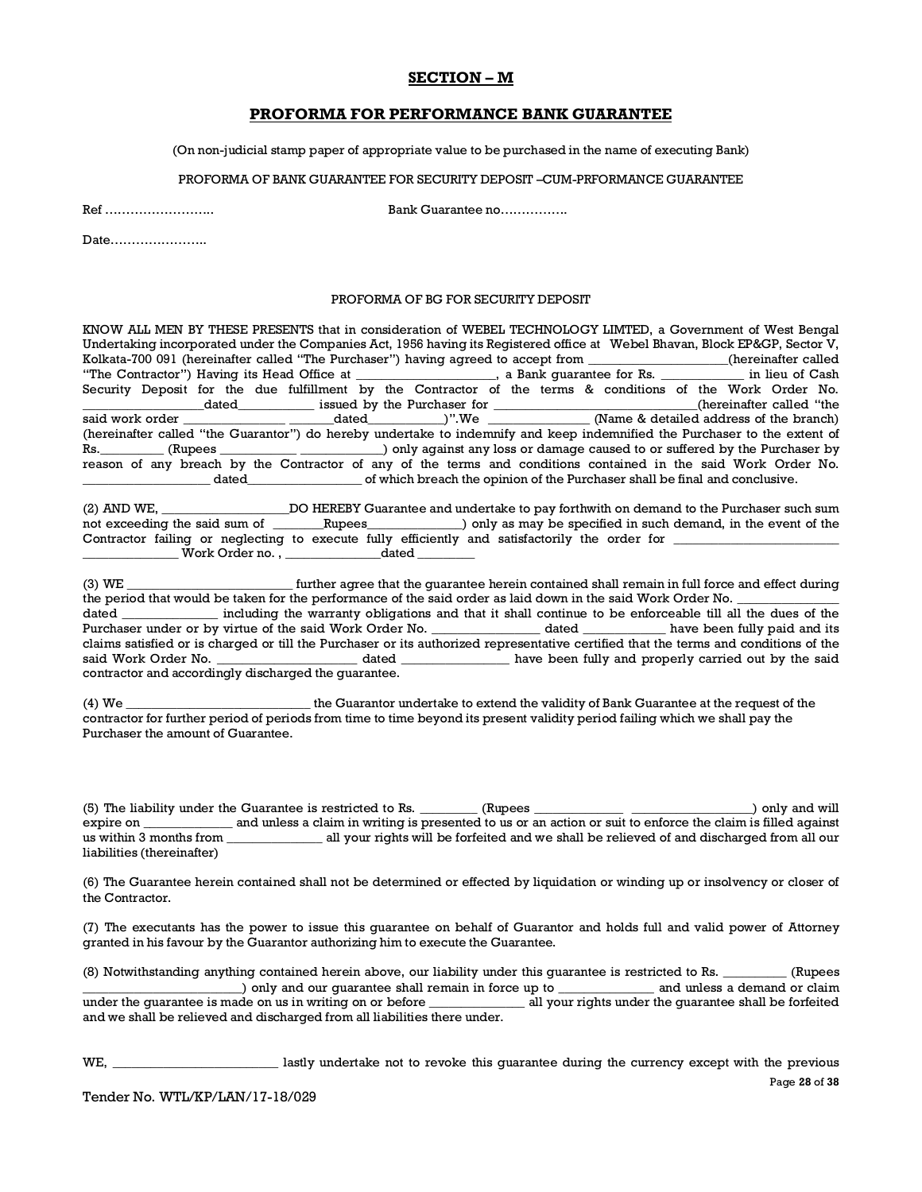### **SECTION – M**

### **PROFORMA FOR PERFORMANCE BANK GUARANTEE**

(On non-judicial stamp paper of appropriate value to be purchased in the name of executing Bank)

PROFORMA OF BANK GUARANTEE FOR SECURITY DEPOSIT –CUM-PRFORMANCE GUARANTEE

Ref …………………….. Bank Guarantee no…………….

Date…………………..

#### PROFORMA OF BG FOR SECURITY DEPOSIT

KNOW ALL MEN BY THESE PRESENTS that in consideration of WEBEL TECHNOLOGY LIMTED, a Government of West Bengal Undertaking incorporated under the Companies Act, 1956 having its Registered office at Webel Bhavan, Block EP&GP, Sector V, Kolkata-700 091 (hereinafter called "The Purchaser") having agreed to accept from \_\_\_\_\_\_\_\_\_\_\_\_\_(hereinafter called<br>"The Contractor") Having its Head Office at \_\_\_\_\_\_\_\_\_\_\_\_\_\_\_\_\_, a Bank guarantee for Rs. \_\_\_\_\_\_\_\_\_\_\_\_ in lie "The Contractor") Having its Head Office at Security Deposit for the due fulfillment by the Contractor of the terms & conditions of the Work Order No.  $\frac{1}{\text{said work order}}$  dated issued by the Purchaser for  $\frac{1}{\text{void work order}}$  $s$  dated  $\qquad$  we  $\qquad \qquad$  (Name & detailed address of the branch) (hereinafter called "the Guarantor") do hereby undertake to indemnify and keep indemnified the Purchaser to the extent of Rs.\_\_\_\_\_\_\_\_\_\_ (Rupees \_\_\_\_\_\_\_\_\_\_\_\_ \_\_\_\_\_\_\_\_\_\_\_\_\_) only against any loss or damage caused to or suffered by the Purchaser by reason of any breach by the Contractor of any of the terms and conditions contained in the said Work Order No. \_\_\_\_\_\_\_\_\_\_\_\_\_\_\_\_\_\_\_\_ dated\_\_\_\_\_\_\_\_\_\_\_\_\_\_\_\_\_\_ of which breach the opinion of the Purchaser shall be final and conclusive.

(2) AND WE, \_\_\_\_\_\_\_\_\_\_\_\_\_\_\_\_\_\_\_\_DO HEREBY Guarantee and undertake to pay forthwith on demand to the Purchaser such sum not exceeding the said sum of \_\_\_\_\_\_\_Rupees\_\_\_\_\_\_\_\_\_\_\_\_) only as may be specified in such demand, in the event of the Contractor failing or neglecting to execute fully efficiently and satisfactorily the order for  $\overline{\phantom{a}}$ \_\_\_\_\_\_\_\_\_\_\_\_\_\_\_ Work Order no. , \_\_\_\_\_\_\_\_\_\_\_\_\_\_\_dated \_\_\_\_\_\_\_\_\_

(3) WE \_\_\_\_\_\_\_\_\_\_\_\_\_\_\_\_\_\_\_\_\_\_\_\_\_\_ further agree that the guarantee herein contained shall remain in full force and effect during the period that would be taken for the performance of the said order as laid down in the said Work Order No. dated \_\_\_\_\_\_\_\_\_\_\_\_\_\_\_ including the warranty obligations and that it shall continue to be enforceable till all the dues of the Purchaser under or by virtue of the said Work Order No. \_\_\_\_\_\_\_\_\_\_\_\_\_\_\_\_\_ dated \_\_\_\_\_\_\_\_\_\_\_\_\_\_ have been fully paid and its claims satisfied or is charged or till the Purchaser or its authorized representative certified that the terms and conditions of the said Work Order No. \_\_\_\_\_\_\_\_\_\_\_\_\_\_\_\_\_\_\_\_\_\_\_\_\_ dated \_\_\_\_\_\_\_\_\_\_\_\_\_\_\_\_\_\_\_ have been fully and properly carried out by the said contractor and accordingly discharged the guarantee.

(4) We \_\_\_\_\_\_\_\_\_\_\_\_\_\_\_\_\_\_\_\_\_\_\_\_\_\_\_\_\_ the Guarantor undertake to extend the validity of Bank Guarantee at the request of the contractor for further period of periods from time to time beyond its present validity period failing which we shall pay the Purchaser the amount of Guarantee.

(5) The liability under the Guarantee is restricted to Rs. \_\_\_\_\_\_\_\_\_ (Rupees \_\_\_\_\_\_\_\_\_\_\_\_\_\_ \_\_\_\_\_\_\_\_\_\_\_\_\_\_\_\_\_\_\_) only and will and unless a claim in writing is presented to us or an action or suit to enforce the claim is filled against us within 3 months from \_\_\_\_\_\_\_\_\_\_\_\_\_\_\_ all your rights will be forfeited and we shall be relieved of and discharged from all our liabilities (thereinafter)

(6) The Guarantee herein contained shall not be determined or effected by liquidation or winding up or insolvency or closer of the Contractor.

(7) The executants has the power to issue this guarantee on behalf of Guarantor and holds full and valid power of Attorney granted in his favour by the Guarantor authorizing him to execute the Guarantee.

(8) Notwithstanding anything contained herein above, our liability under this guarantee is restricted to Rs. \_\_\_\_\_\_\_\_\_\_ (Rupees \_\_\_\_\_\_\_\_\_\_\_\_\_\_\_\_\_\_\_\_\_\_\_\_\_) only and our guarantee shall remain in force up to \_\_\_\_\_\_\_\_\_\_\_\_\_\_\_ and unless a demand or claim under the guarantee is made on us in writing on or before \_\_\_\_\_\_\_\_\_\_\_\_\_\_ all your rights under the guarantee shall be forfeited and we shall be relieved and discharged from all liabilities there under.

Page **28** of **38** WE, **EXECUTE:** lastly undertake not to revoke this quarantee during the currency except with the previous

Tender No. WTL/KP/LAN/17-18/029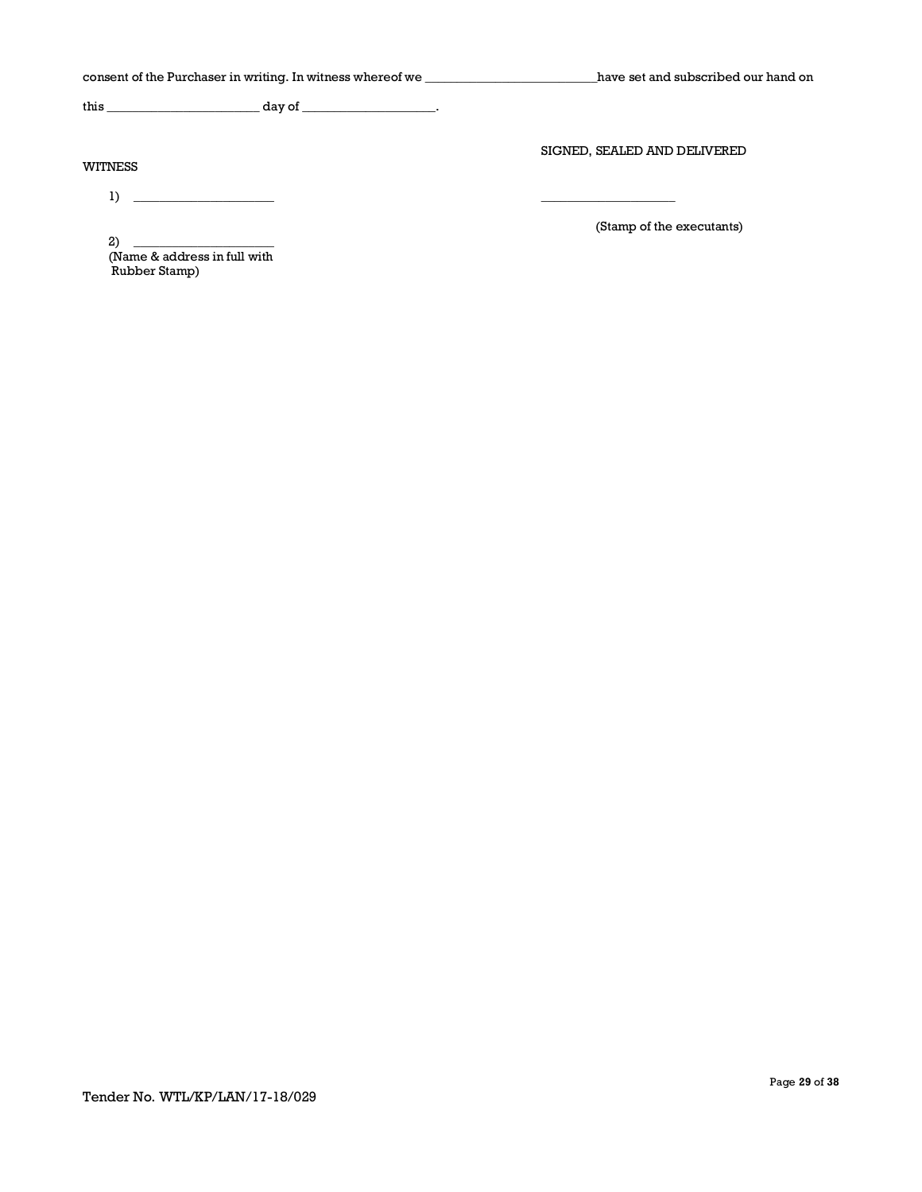| consent of the Purchaser in writing. In witness whereof we _____________________               | have set and subscribed our hand on |
|------------------------------------------------------------------------------------------------|-------------------------------------|
|                                                                                                |                                     |
| <b>WITNESS</b>                                                                                 | SIGNED, SEALED AND DELIVERED        |
| 1)                                                                                             | (Stamp of the executants)           |
| 2)<br><u> 1989 - Johann Barbara, martin a</u><br>(Name & address in full with<br>Rubber Stamp) |                                     |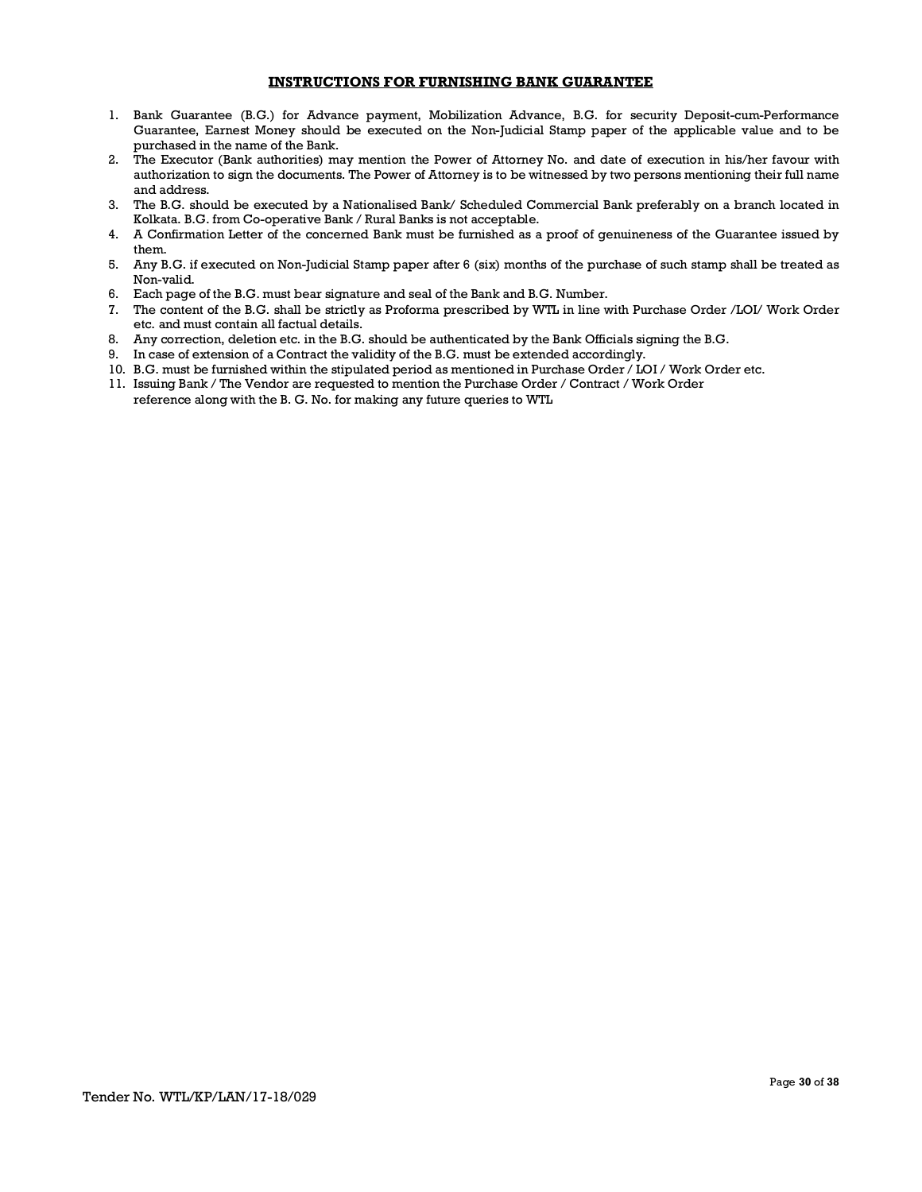### **INSTRUCTIONS FOR FURNISHING BANK GUARANTEE**

- 1. Bank Guarantee (B.G.) for Advance payment, Mobilization Advance, B.G. for security Deposit-cum-Performance Guarantee, Earnest Money should be executed on the Non-Judicial Stamp paper of the applicable value and to be purchased in the name of the Bank.
- 2. The Executor (Bank authorities) may mention the Power of Attorney No. and date of execution in his/her favour with authorization to sign the documents. The Power of Attorney is to be witnessed by two persons mentioning their full name and address.
- 3. The B.G. should be executed by a Nationalised Bank/ Scheduled Commercial Bank preferably on a branch located in Kolkata. B.G. from Co-operative Bank / Rural Banks is not acceptable.
- 4. A Confirmation Letter of the concerned Bank must be furnished as a proof of genuineness of the Guarantee issued by them.
- 5. Any B.G. if executed on Non-Judicial Stamp paper after 6 (six) months of the purchase of such stamp shall be treated as Non-valid.
- 6. Each page of the B.G. must bear signature and seal of the Bank and B.G. Number.
- 7. The content of the B.G. shall be strictly as Proforma prescribed by WTL in line with Purchase Order /LOI/ Work Order etc. and must contain all factual details.
- 8. Any correction, deletion etc. in the B.G. should be authenticated by the Bank Officials signing the B.G.
- 9. In case of extension of a Contract the validity of the B.G. must be extended accordingly.
- 10. B.G. must be furnished within the stipulated period as mentioned in Purchase Order / LOI / Work Order etc.
- 11. Issuing Bank / The Vendor are requested to mention the Purchase Order / Contract / Work Order reference along with the B. G. No. for making any future queries to WTL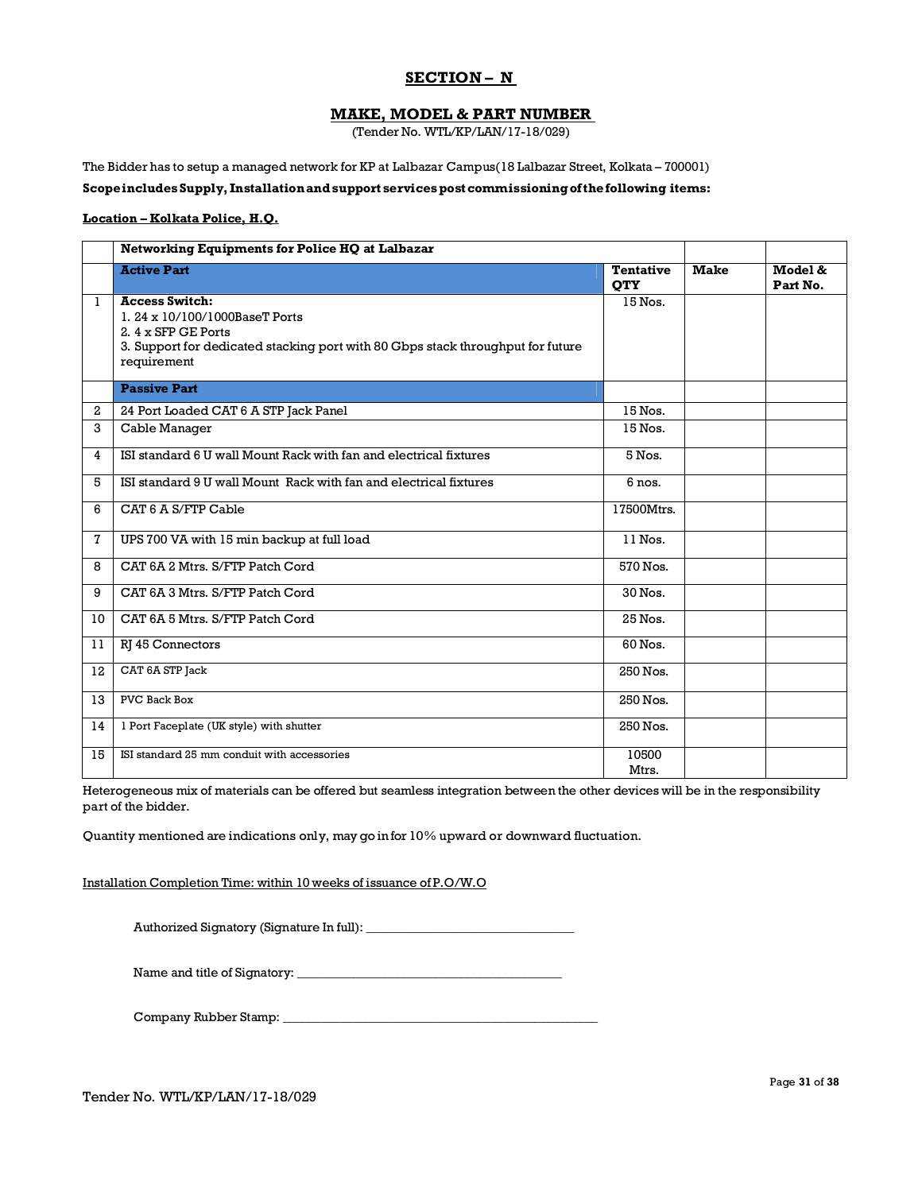## **SECTION – N**

### **MAKE, MODEL & PART NUMBER**

(Tender No. WTL/KP/LAN/17-18/029)

The Bidder has to setup a managed network for KP at Lalbazar Campus(18 Lalbazar Street, Kolkata – 700001)

### **ScopeincludesSupply, Installationandsupport servicespost commissioningofthefollowing items:**

#### **Location – Kolkata Police, H.Q.**

|              | Networking Equipments for Police HQ at Lalbazar                                                                                                                                 |                                |             |                     |
|--------------|---------------------------------------------------------------------------------------------------------------------------------------------------------------------------------|--------------------------------|-------------|---------------------|
|              | <b>Active Part</b>                                                                                                                                                              | <b>Tentative</b><br><b>OTY</b> | <b>Make</b> | Model &<br>Part No. |
| $\mathbf{1}$ | <b>Access Switch:</b><br>1.24 x 10/100/1000BaseT Ports<br>2. 4 x SFP GE Ports<br>3. Support for dedicated stacking port with 80 Gbps stack throughput for future<br>requirement | 15 Nos.                        |             |                     |
|              | <b>Passive Part</b>                                                                                                                                                             |                                |             |                     |
| $\mathbf{2}$ | 24 Port Loaded CAT 6 A STP Jack Panel                                                                                                                                           | 15 Nos.                        |             |                     |
| 3            | Cable Manager                                                                                                                                                                   | 15 Nos.                        |             |                     |
| 4            | ISI standard 6 U wall Mount Rack with fan and electrical fixtures                                                                                                               | 5 Nos.                         |             |                     |
| 5            | ISI standard 9 U wall Mount Rack with fan and electrical fixtures                                                                                                               | 6 nos.                         |             |                     |
| 6            | CAT 6 A S/FTP Cable                                                                                                                                                             | 17500Mtrs.                     |             |                     |
| 7            | UPS 700 VA with 15 min backup at full load                                                                                                                                      | $\overline{1}$ l Nos.          |             |                     |
| 8            | CAT 6A 2 Mtrs. S/FTP Patch Cord                                                                                                                                                 | 570 Nos.                       |             |                     |
| 9            | CAT 6A 3 Mtrs. S/FTP Patch Cord                                                                                                                                                 | 30 Nos.                        |             |                     |
| 10           | CAT 6A 5 Mtrs. S/FTP Patch Cord                                                                                                                                                 | 25 Nos.                        |             |                     |
| 11           | RJ 45 Connectors                                                                                                                                                                | 60 Nos.                        |             |                     |
| 12           | CAT 6A STP Jack                                                                                                                                                                 | 250 Nos.                       |             |                     |
| 13           | <b>PVC Back Box</b>                                                                                                                                                             | 250 Nos.                       |             |                     |
| 14           | 1 Port Faceplate (UK style) with shutter                                                                                                                                        | 250 Nos.                       |             |                     |
| 15           | ISI standard 25 mm conduit with accessories                                                                                                                                     | 10500<br>Mtrs.                 |             |                     |

Heterogeneous mix of materials can be offered but seamless integration between the other devices will be in the responsibility part of the bidder.

Quantity mentioned are indications only, may go in for 10% upward or downward fluctuation.

Installation Completion Time: within 10 weeks of issuance of P.O/W.O

Authorized Signatory (Signature In full): \_\_\_\_\_\_\_\_\_\_\_\_\_\_\_\_\_\_\_\_\_\_\_\_\_\_\_\_\_\_\_\_\_

Name and title of Signatory: \_\_\_\_\_\_\_\_\_\_\_\_\_\_\_\_\_\_\_\_\_\_\_\_\_\_\_\_\_\_\_\_\_\_\_\_\_\_\_\_\_\_

Company Rubber Stamp: \_\_\_\_\_\_\_\_\_\_\_\_\_\_\_\_\_\_\_\_\_\_\_\_\_\_\_\_\_\_\_\_\_\_\_\_\_\_\_\_\_\_\_\_\_\_\_\_\_\_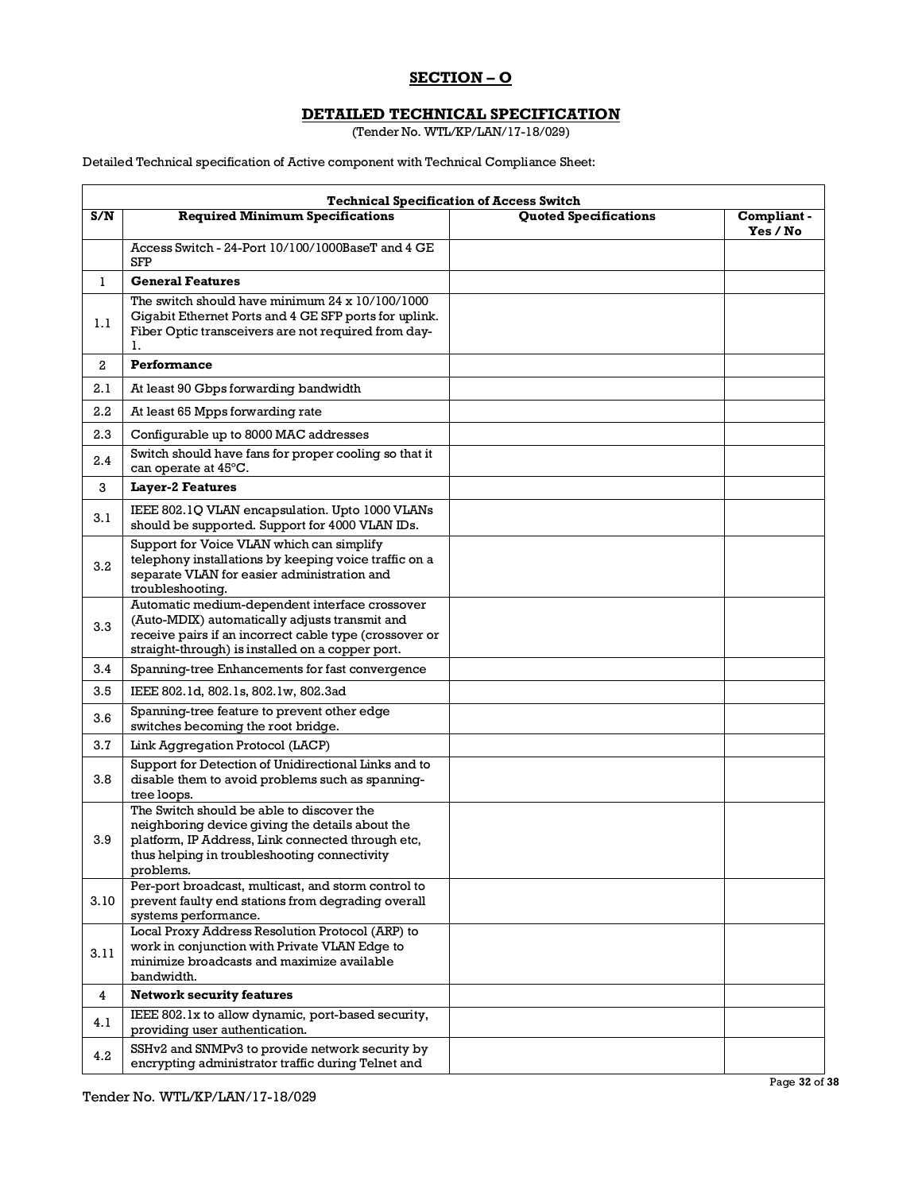## **SECTION – O**

# **DETAILED TECHNICAL SPECIFICATION**

(Tender No. WTL/KP/LAN/17-18/029)

Detailed Technical specification of Active component with Technical Compliance Sheet:

|                         | <b>Technical Specification of Access Switch</b>                                                                                                                                                                |                              |                         |  |  |
|-------------------------|----------------------------------------------------------------------------------------------------------------------------------------------------------------------------------------------------------------|------------------------------|-------------------------|--|--|
| S/N                     | <b>Required Minimum Specifications</b>                                                                                                                                                                         | <b>Quoted Specifications</b> | Compliant -<br>Yes / No |  |  |
|                         | Access Switch - 24-Port 10/100/1000BaseT and 4 GE<br><b>SFP</b>                                                                                                                                                |                              |                         |  |  |
| 1                       | <b>General Features</b>                                                                                                                                                                                        |                              |                         |  |  |
| 1.1                     | The switch should have minimum $24 \times 10/100/1000$<br>Gigabit Ethernet Ports and 4 GE SFP ports for uplink.<br>Fiber Optic transceivers are not required from day-<br>ı.                                   |                              |                         |  |  |
| $\mathbf{2}$            | Performance                                                                                                                                                                                                    |                              |                         |  |  |
| 2.1                     | At least 90 Gbps forwarding bandwidth                                                                                                                                                                          |                              |                         |  |  |
| 2.2                     | At least 65 Mpps forwarding rate                                                                                                                                                                               |                              |                         |  |  |
| 2.3                     | Configurable up to 8000 MAC addresses                                                                                                                                                                          |                              |                         |  |  |
| 2.4                     | Switch should have fans for proper cooling so that it<br>can operate at 45°C.                                                                                                                                  |                              |                         |  |  |
| 3                       | <b>Layer-2 Features</b>                                                                                                                                                                                        |                              |                         |  |  |
| 3.1                     | IEEE 802.1Q VLAN encapsulation. Upto 1000 VLANs<br>should be supported. Support for 4000 VLAN IDs.                                                                                                             |                              |                         |  |  |
| 3.2                     | Support for Voice VLAN which can simplify<br>telephony installations by keeping voice traffic on a<br>separate VLAN for easier administration and<br>troubleshooting.                                          |                              |                         |  |  |
| 3.3                     | Automatic medium-dependent interface crossover<br>(Auto-MDIX) automatically adjusts transmit and<br>receive pairs if an incorrect cable type (crossover or<br>straight-through) is installed on a copper port. |                              |                         |  |  |
| 3.4                     | Spanning-tree Enhancements for fast convergence                                                                                                                                                                |                              |                         |  |  |
| 3.5                     | IEEE 802.1d, 802.1s, 802.1w, 802.3ad                                                                                                                                                                           |                              |                         |  |  |
| 3.6                     | Spanning-tree feature to prevent other edge<br>switches becoming the root bridge.                                                                                                                              |                              |                         |  |  |
| 3.7                     | Link Aggregation Protocol (LACP)                                                                                                                                                                               |                              |                         |  |  |
| 3.8                     | Support for Detection of Unidirectional Links and to<br>disable them to avoid problems such as spanning-<br>tree loops.                                                                                        |                              |                         |  |  |
| 3.9                     | The Switch should be able to discover the<br>neighboring device giving the details about the<br>platform, IP Address, Link connected through etc,<br>thus helping in troubleshooting connectivity<br>problems. |                              |                         |  |  |
| 3.10                    | Per-port broadcast, multicast, and storm control to<br>prevent faulty end stations from degrading overall<br>systems performance.                                                                              |                              |                         |  |  |
| 3.11                    | Local Proxy Address Resolution Protocol (ARP) to<br>work in conjunction with Private VLAN Edge to<br>minimize broadcasts and maximize available<br>bandwidth.                                                  |                              |                         |  |  |
| $\overline{\mathbf{4}}$ | <b>Network security features</b>                                                                                                                                                                               |                              |                         |  |  |
| 4.1                     | IEEE 802.1x to allow dynamic, port-based security,<br>providing user authentication.                                                                                                                           |                              |                         |  |  |
| 4.2                     | SSHv2 and SNMPv3 to provide network security by<br>encrypting administrator traffic during Telnet and                                                                                                          |                              |                         |  |  |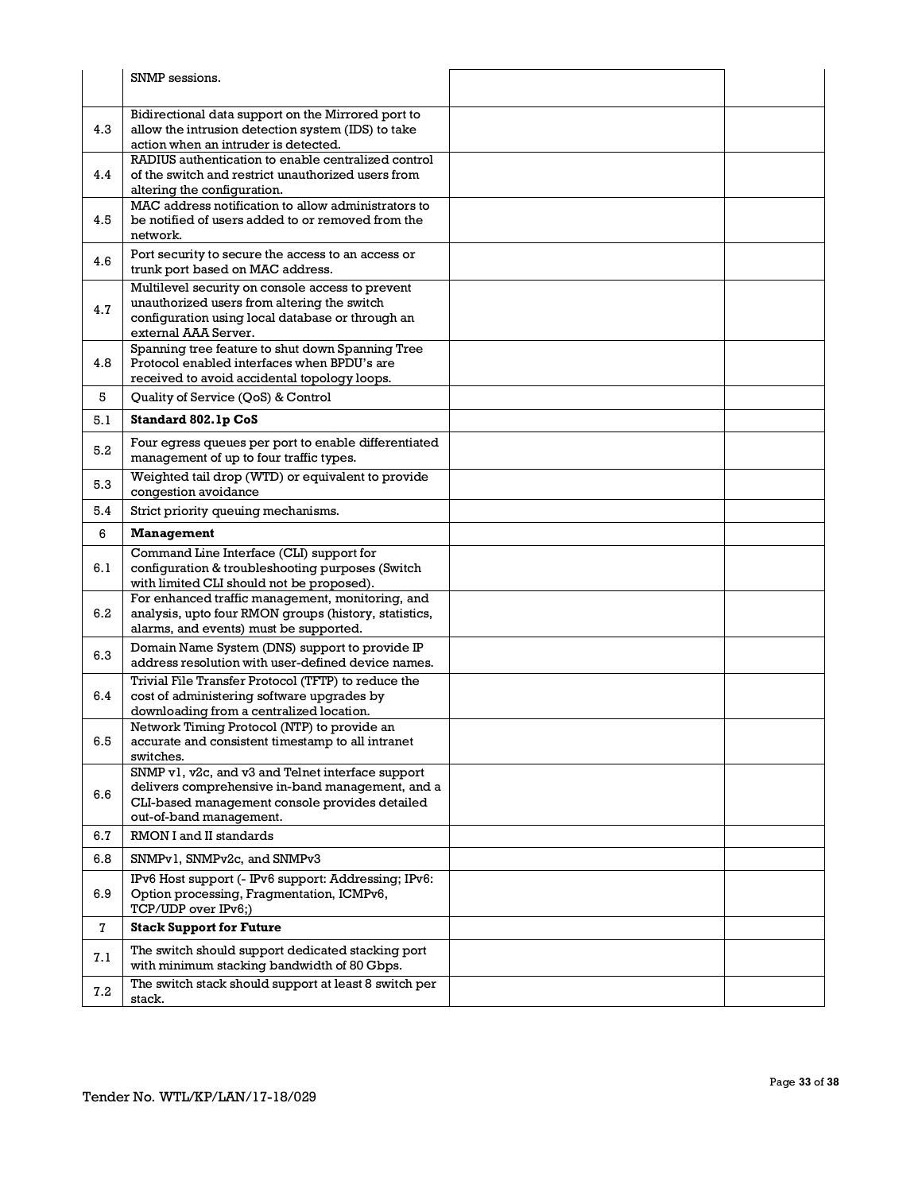|              | SNMP sessions.                                                                                                                                   |  |
|--------------|--------------------------------------------------------------------------------------------------------------------------------------------------|--|
|              |                                                                                                                                                  |  |
| 4.3          | Bidirectional data support on the Mirrored port to<br>allow the intrusion detection system (IDS) to take<br>action when an intruder is detected. |  |
|              | RADIUS authentication to enable centralized control                                                                                              |  |
| 4.4          | of the switch and restrict unauthorized users from<br>altering the configuration.                                                                |  |
|              | MAC address notification to allow administrators to                                                                                              |  |
| 4.5          | be notified of users added to or removed from the                                                                                                |  |
|              | network.<br>Port security to secure the access to an access or                                                                                   |  |
| 4.6          | trunk port based on MAC address.                                                                                                                 |  |
|              | Multilevel security on console access to prevent                                                                                                 |  |
| 4.7          | unauthorized users from altering the switch<br>configuration using local database or through an                                                  |  |
|              | external AAA Server.                                                                                                                             |  |
|              | Spanning tree feature to shut down Spanning Tree                                                                                                 |  |
| 4.8          | Protocol enabled interfaces when BPDU's are                                                                                                      |  |
|              | received to avoid accidental topology loops.                                                                                                     |  |
| 5            | Quality of Service (QoS) & Control                                                                                                               |  |
| 5.1          | Standard 802.1p CoS                                                                                                                              |  |
| 5.2          | Four egress queues per port to enable differentiated<br>management of up to four traffic types.                                                  |  |
| 5.3          | Weighted tail drop (WTD) or equivalent to provide<br>congestion avoidance                                                                        |  |
| 5.4          | Strict priority queuing mechanisms.                                                                                                              |  |
| 6            | <b>Management</b>                                                                                                                                |  |
|              | Command Line Interface (CLI) support for                                                                                                         |  |
| 6.1          | configuration & troubleshooting purposes (Switch                                                                                                 |  |
|              | with limited CLI should not be proposed).<br>For enhanced traffic management, monitoring, and                                                    |  |
| 6.2          | analysis, upto four RMON groups (history, statistics,                                                                                            |  |
|              | alarms, and events) must be supported.                                                                                                           |  |
| 6.3          | Domain Name System (DNS) support to provide IP<br>address resolution with user-defined device names.                                             |  |
|              |                                                                                                                                                  |  |
| 6.4          | Trivial File Transfer Protocol (TFTP) to reduce the<br>cost of administering software upgrades by                                                |  |
|              | downloading from a centralized location.                                                                                                         |  |
|              | Network Timing Protocol (NTP) to provide an                                                                                                      |  |
| 6.5          | accurate and consistent timestamp to all intranet<br>switches.                                                                                   |  |
|              | SNMP v1, v2c, and v3 and Telnet interface support                                                                                                |  |
| 6.6          | delivers comprehensive in-band management, and a                                                                                                 |  |
|              | CLI-based management console provides detailed                                                                                                   |  |
|              | out-of-band management.                                                                                                                          |  |
| 6.7          | RMON I and II standards                                                                                                                          |  |
| 6.8          | SNMPv1, SNMPv2c, and SNMPv3                                                                                                                      |  |
| 6.9          | IPv6 Host support (- IPv6 support: Addressing; IPv6:<br>Option processing, Fragmentation, ICMPv6,                                                |  |
| $\mathbf{7}$ | TCP/UDP over IPv6;)<br><b>Stack Support for Future</b>                                                                                           |  |
|              |                                                                                                                                                  |  |
| 7.1          | The switch should support dedicated stacking port<br>with minimum stacking bandwidth of 80 Gbps.                                                 |  |
| $7.2\,$      | The switch stack should support at least 8 switch per<br>stack.                                                                                  |  |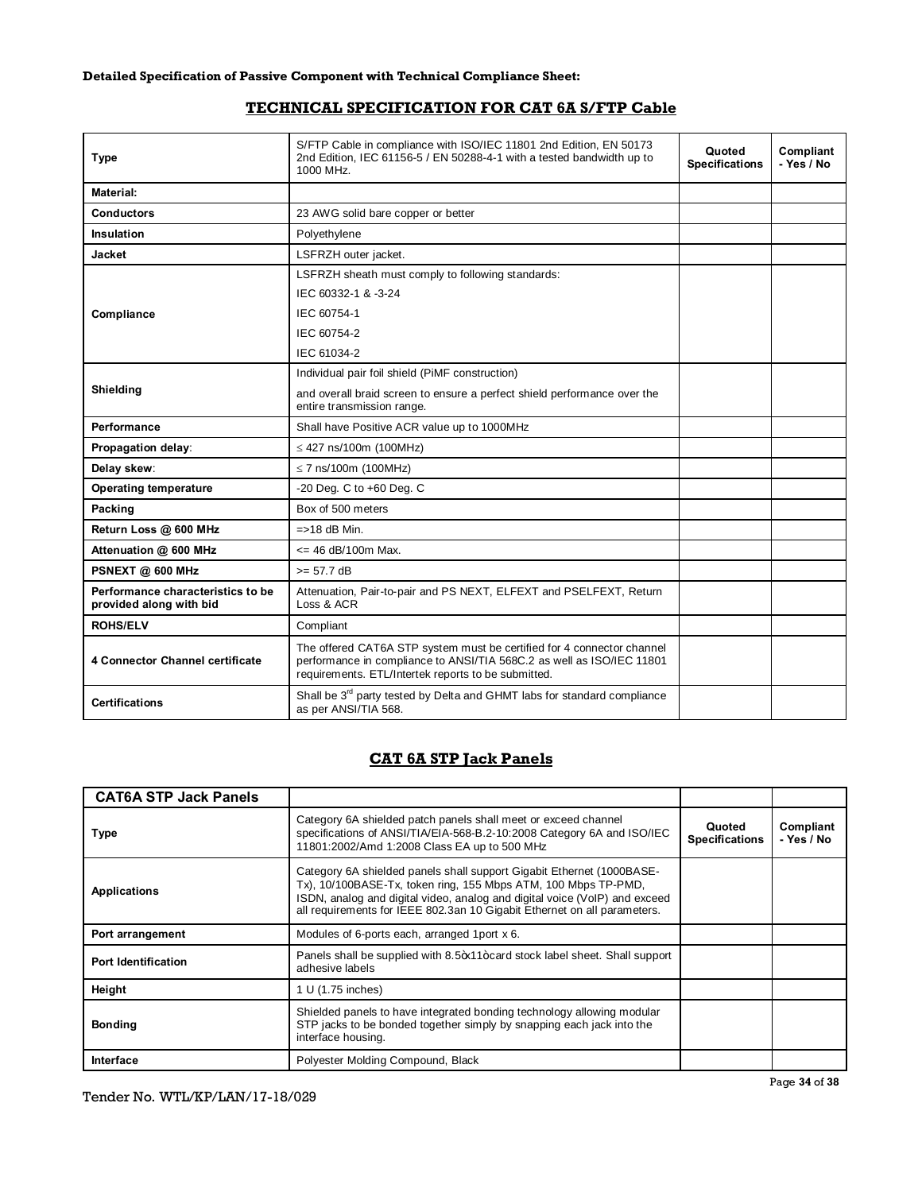## **TECHNICAL SPECIFICATION FOR CAT 6A S/FTP Cable**

| <b>Type</b>                                                  | S/FTP Cable in compliance with ISO/IEC 11801 2nd Edition, EN 50173<br>2nd Edition, IEC 61156-5 / EN 50288-4-1 with a tested bandwidth up to<br>1000 MHz.                                               | Quoted<br><b>Specifications</b> | Compliant<br>- Yes / No |
|--------------------------------------------------------------|--------------------------------------------------------------------------------------------------------------------------------------------------------------------------------------------------------|---------------------------------|-------------------------|
| Material:                                                    |                                                                                                                                                                                                        |                                 |                         |
| <b>Conductors</b>                                            | 23 AWG solid bare copper or better                                                                                                                                                                     |                                 |                         |
| Insulation                                                   | Polyethylene                                                                                                                                                                                           |                                 |                         |
| Jacket                                                       | LSFRZH outer jacket.                                                                                                                                                                                   |                                 |                         |
|                                                              | LSFRZH sheath must comply to following standards:                                                                                                                                                      |                                 |                         |
|                                                              | IEC 60332-1 & -3-24                                                                                                                                                                                    |                                 |                         |
| Compliance                                                   | IEC 60754-1                                                                                                                                                                                            |                                 |                         |
|                                                              | IEC 60754-2                                                                                                                                                                                            |                                 |                         |
|                                                              | IEC 61034-2                                                                                                                                                                                            |                                 |                         |
|                                                              | Individual pair foil shield (PiMF construction)                                                                                                                                                        |                                 |                         |
| Shielding                                                    | and overall braid screen to ensure a perfect shield performance over the<br>entire transmission range.                                                                                                 |                                 |                         |
| Performance                                                  | Shall have Positive ACR value up to 1000MHz                                                                                                                                                            |                                 |                         |
| Propagation delay:                                           | $\leq$ 427 ns/100m (100MHz)                                                                                                                                                                            |                                 |                         |
| Delay skew:                                                  | $\leq$ 7 ns/100m (100MHz)                                                                                                                                                                              |                                 |                         |
| <b>Operating temperature</b>                                 | -20 Deg. C to +60 Deg. C                                                                                                                                                                               |                                 |                         |
| Packing                                                      | Box of 500 meters                                                                                                                                                                                      |                                 |                         |
| Return Loss @ 600 MHz                                        | $=$ >18 dB Min.                                                                                                                                                                                        |                                 |                         |
| Attenuation @ 600 MHz                                        | $\epsilon$ = 46 dB/100m Max.                                                                                                                                                                           |                                 |                         |
| PSNEXT @ 600 MHz                                             | $>= 57.7 dB$                                                                                                                                                                                           |                                 |                         |
| Performance characteristics to be<br>provided along with bid | Attenuation, Pair-to-pair and PS NEXT, ELFEXT and PSELFEXT, Return<br>Loss & ACR                                                                                                                       |                                 |                         |
| <b>ROHS/ELV</b>                                              | Compliant                                                                                                                                                                                              |                                 |                         |
| 4 Connector Channel certificate                              | The offered CAT6A STP system must be certified for 4 connector channel<br>performance in compliance to ANSI/TIA 568C.2 as well as ISO/IEC 11801<br>requirements. ETL/Intertek reports to be submitted. |                                 |                         |
| <b>Certifications</b>                                        | Shall be 3 <sup>rd</sup> party tested by Delta and GHMT labs for standard compliance<br>as per ANSI/TIA 568.                                                                                           |                                 |                         |

## **CAT 6A STP Jack Panels**

| <b>CAT6A STP Jack Panels</b>                                                                                                              |                                                                                                                                                                                                                                                                                                   |  |                         |
|-------------------------------------------------------------------------------------------------------------------------------------------|---------------------------------------------------------------------------------------------------------------------------------------------------------------------------------------------------------------------------------------------------------------------------------------------------|--|-------------------------|
| Type                                                                                                                                      | Category 6A shielded patch panels shall meet or exceed channel<br>specifications of ANSI/TIA/EIA-568-B.2-10:2008 Category 6A and ISO/IEC<br><b>Specifications</b><br>11801:2002/Amd 1:2008 Class EA up to 500 MHz                                                                                 |  | Compliant<br>- Yes / No |
| <b>Applications</b>                                                                                                                       | Category 6A shielded panels shall support Gigabit Ethernet (1000BASE-<br>Tx), 10/100BASE-Tx, token ring, 155 Mbps ATM, 100 Mbps TP-PMD,<br>ISDN, analog and digital video, analog and digital voice (VoIP) and exceed<br>all requirements for IEEE 802.3an 10 Gigabit Ethernet on all parameters. |  |                         |
| Port arrangement                                                                                                                          | Modules of 6-ports each, arranged 1port x 6.                                                                                                                                                                                                                                                      |  |                         |
| Panels shall be supplied with 8.5 <sup>+</sup> x11+card stock label sheet. Shall support<br><b>Port Identification</b><br>adhesive labels |                                                                                                                                                                                                                                                                                                   |  |                         |
| Height                                                                                                                                    | 1 U (1.75 inches)                                                                                                                                                                                                                                                                                 |  |                         |
| <b>Bonding</b>                                                                                                                            | Shielded panels to have integrated bonding technology allowing modular<br>STP jacks to be bonded together simply by snapping each jack into the<br>interface housing.                                                                                                                             |  |                         |
| Interface                                                                                                                                 | Polyester Molding Compound, Black                                                                                                                                                                                                                                                                 |  |                         |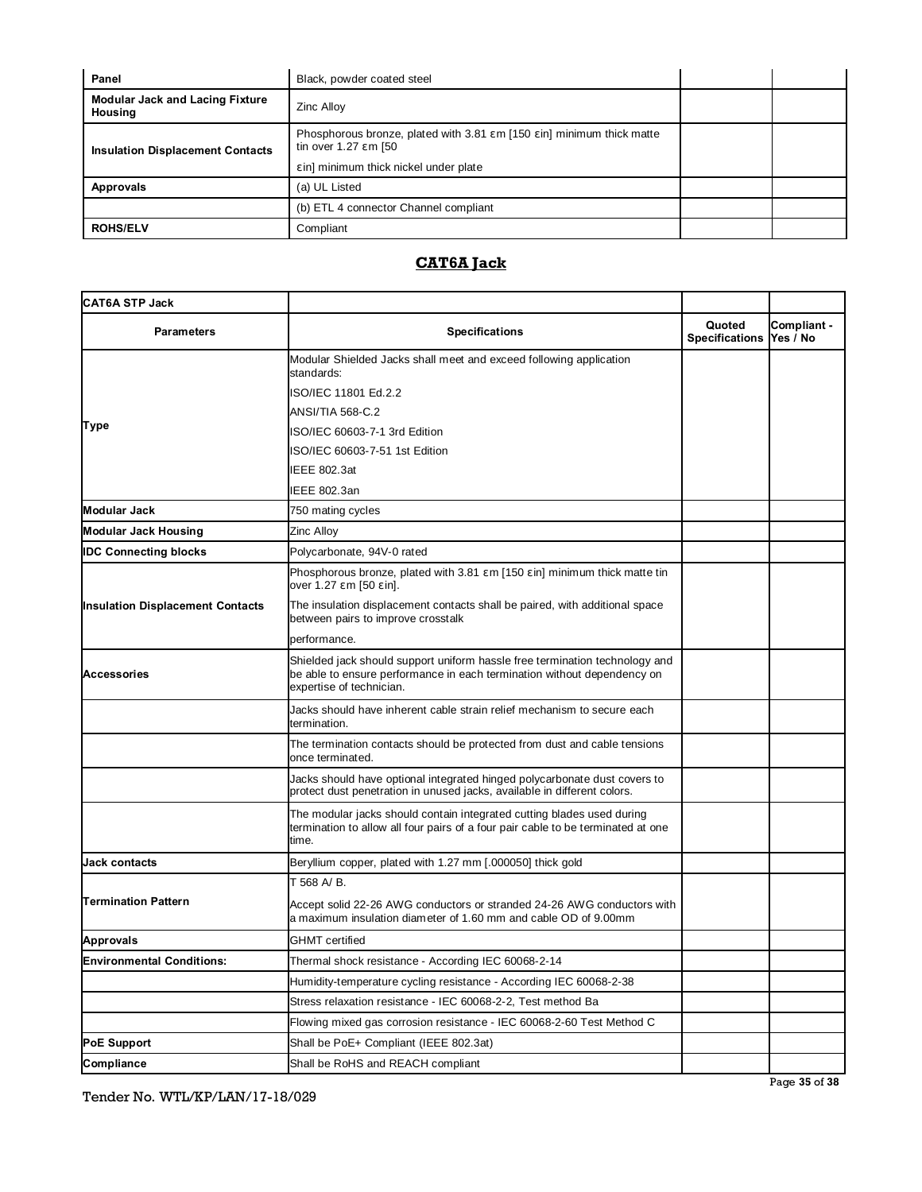| Panel                                             | Black, powder coated steel                                                                                                         |  |  |
|---------------------------------------------------|------------------------------------------------------------------------------------------------------------------------------------|--|--|
| <b>Modular Jack and Lacing Fixture</b><br>Housing | Zinc Alloy                                                                                                                         |  |  |
| <b>Insulation Displacement Contacts</b>           | Phosphorous bronze, plated with 3.81 m [150 in] minimum thick matte<br>tin over 1.27 m [50<br>in] minimum thick nickel under plate |  |  |
| <b>Approvals</b>                                  | (a) UL Listed                                                                                                                      |  |  |
|                                                   | (b) ETL 4 connector Channel compliant                                                                                              |  |  |
| <b>ROHS/ELV</b>                                   | Compliant                                                                                                                          |  |  |

# **CAT6A Jack**

| <b>CAT6A STP Jack</b>                   |                                                                                                                                                                                    |                                 |                         |
|-----------------------------------------|------------------------------------------------------------------------------------------------------------------------------------------------------------------------------------|---------------------------------|-------------------------|
| <b>Parameters</b>                       | <b>Specifications</b>                                                                                                                                                              | Quoted<br><b>Specifications</b> | Compliant -<br>Yes / No |
|                                         | Modular Shielded Jacks shall meet and exceed following application<br>standards:                                                                                                   |                                 |                         |
|                                         | ISO/IEC 11801 Ed.2.2                                                                                                                                                               |                                 |                         |
|                                         | ANSI/TIA 568-C.2                                                                                                                                                                   |                                 |                         |
| <b>Type</b>                             | ISO/IEC 60603-7-1 3rd Edition                                                                                                                                                      |                                 |                         |
|                                         | ISO/IEC 60603-7-51 1st Edition                                                                                                                                                     |                                 |                         |
|                                         | IEEE 802.3at                                                                                                                                                                       |                                 |                         |
|                                         | IEEE 802.3an                                                                                                                                                                       |                                 |                         |
| Modular Jack                            | 750 mating cycles                                                                                                                                                                  |                                 |                         |
| <b>Modular Jack Housing</b>             | Zinc Alloy                                                                                                                                                                         |                                 |                         |
| <b>IDC Connecting blocks</b>            | Polycarbonate, 94V-0 rated                                                                                                                                                         |                                 |                         |
|                                         | Phosphorous bronze, plated with 3.81 m [150 in] minimum thick matte tin<br>over 1.27 m [50 in].                                                                                    |                                 |                         |
| <b>Insulation Displacement Contacts</b> | The insulation displacement contacts shall be paired, with additional space<br>between pairs to improve crosstalk                                                                  |                                 |                         |
|                                         | performance.                                                                                                                                                                       |                                 |                         |
| <b>Accessories</b>                      | Shielded jack should support uniform hassle free termination technology and<br>be able to ensure performance in each termination without dependency on<br>expertise of technician. |                                 |                         |
|                                         | Jacks should have inherent cable strain relief mechanism to secure each<br>termination.                                                                                            |                                 |                         |
|                                         | The termination contacts should be protected from dust and cable tensions<br>once terminated.                                                                                      |                                 |                         |
|                                         | Jacks should have optional integrated hinged polycarbonate dust covers to<br>protect dust penetration in unused jacks, available in different colors.                              |                                 |                         |
|                                         | The modular jacks should contain integrated cutting blades used during<br>termination to allow all four pairs of a four pair cable to be terminated at one<br>time.                |                                 |                         |
| <b>Jack contacts</b>                    | Beryllium copper, plated with 1.27 mm [.000050] thick gold                                                                                                                         |                                 |                         |
|                                         | T 568 A/B.                                                                                                                                                                         |                                 |                         |
| <b>Termination Pattern</b>              | Accept solid 22-26 AWG conductors or stranded 24-26 AWG conductors with<br>a maximum insulation diameter of 1.60 mm and cable OD of 9.00mm                                         |                                 |                         |
| Approvals                               | <b>GHMT</b> certified                                                                                                                                                              |                                 |                         |
| <b>Environmental Conditions:</b>        | Thermal shock resistance - According IEC 60068-2-14                                                                                                                                |                                 |                         |
|                                         | Humidity-temperature cycling resistance - According IEC 60068-2-38                                                                                                                 |                                 |                         |
|                                         | Stress relaxation resistance - IEC 60068-2-2, Test method Ba                                                                                                                       |                                 |                         |
|                                         | Flowing mixed gas corrosion resistance - IEC 60068-2-60 Test Method C                                                                                                              |                                 |                         |
| <b>PoE Support</b>                      | Shall be PoE+ Compliant (IEEE 802.3at)                                                                                                                                             |                                 |                         |
| Compliance                              | Shall be RoHS and REACH compliant                                                                                                                                                  |                                 |                         |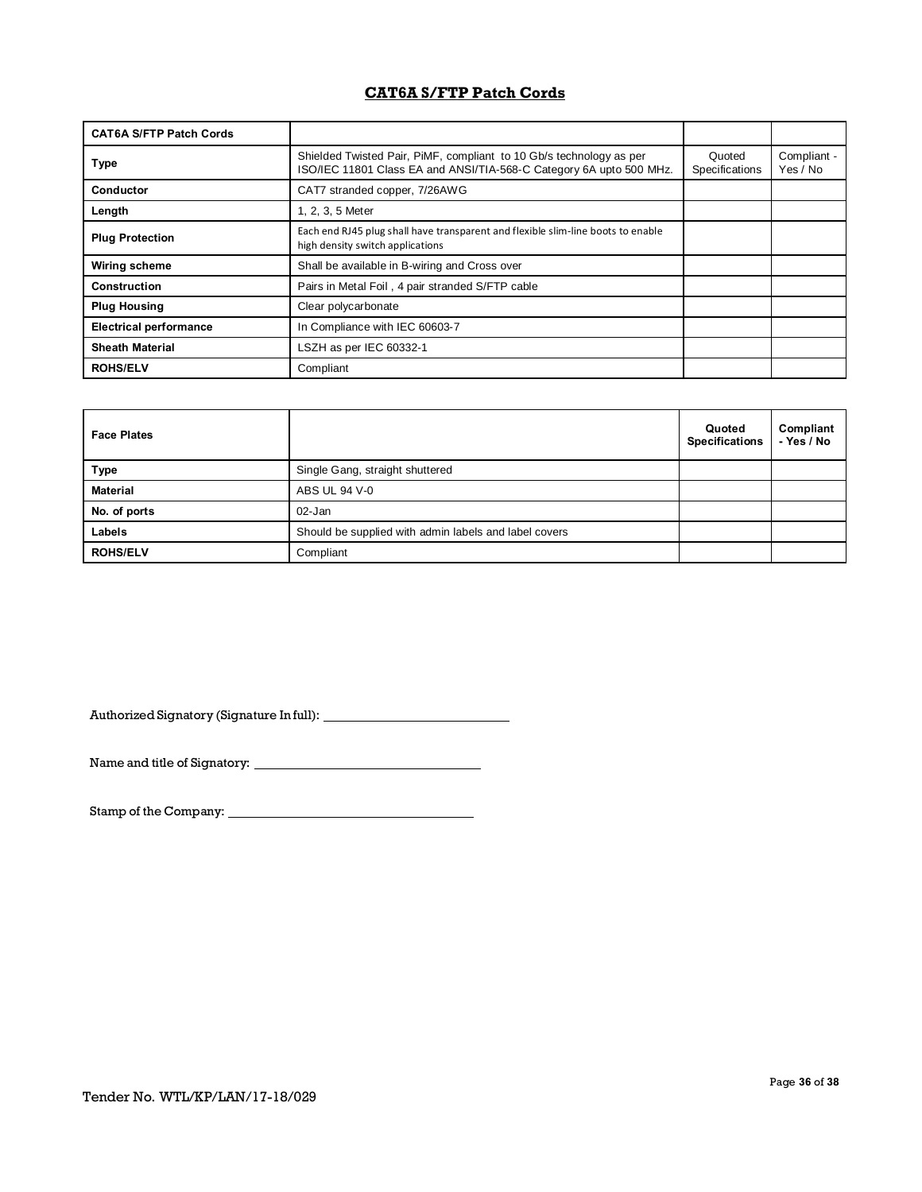## **CAT6A S/FTP Patch Cords**

| <b>CAT6A S/FTP Patch Cords</b> |                                                                                                                                            |                          |                         |
|--------------------------------|--------------------------------------------------------------------------------------------------------------------------------------------|--------------------------|-------------------------|
| <b>Type</b>                    | Shielded Twisted Pair, PiMF, compliant to 10 Gb/s technology as per<br>ISO/IEC 11801 Class EA and ANSI/TIA-568-C Category 6A upto 500 MHz. | Quoted<br>Specifications | Compliant -<br>Yes / No |
| Conductor                      | CAT7 stranded copper, 7/26AWG                                                                                                              |                          |                         |
| Length                         | 1, 2, 3, 5 Meter                                                                                                                           |                          |                         |
| <b>Plug Protection</b>         | Each end RJ45 plug shall have transparent and flexible slim-line boots to enable<br>high density switch applications                       |                          |                         |
| Wiring scheme                  | Shall be available in B-wiring and Cross over                                                                                              |                          |                         |
| Construction                   | Pairs in Metal Foil, 4 pair stranded S/FTP cable                                                                                           |                          |                         |
| <b>Plug Housing</b>            | Clear polycarbonate                                                                                                                        |                          |                         |
| <b>Electrical performance</b>  | In Compliance with IEC 60603-7                                                                                                             |                          |                         |
| <b>Sheath Material</b>         | LSZH as per IEC 60332-1                                                                                                                    |                          |                         |
| <b>ROHS/ELV</b>                | Compliant                                                                                                                                  |                          |                         |

| <b>Face Plates</b> |                                                       | Quoted<br><b>Specifications</b> | Compliant<br>- Yes / No |
|--------------------|-------------------------------------------------------|---------------------------------|-------------------------|
| <b>Type</b>        | Single Gang, straight shuttered                       |                                 |                         |
| <b>Material</b>    | ABS UL 94 V-0                                         |                                 |                         |
| No. of ports       | $02 - Jan$                                            |                                 |                         |
| Labels             | Should be supplied with admin labels and label covers |                                 |                         |
| <b>ROHS/ELV</b>    | Compliant                                             |                                 |                         |

Authorized Signatory (Signature In full):

Name and title of Signatory:

Stamp of the Company: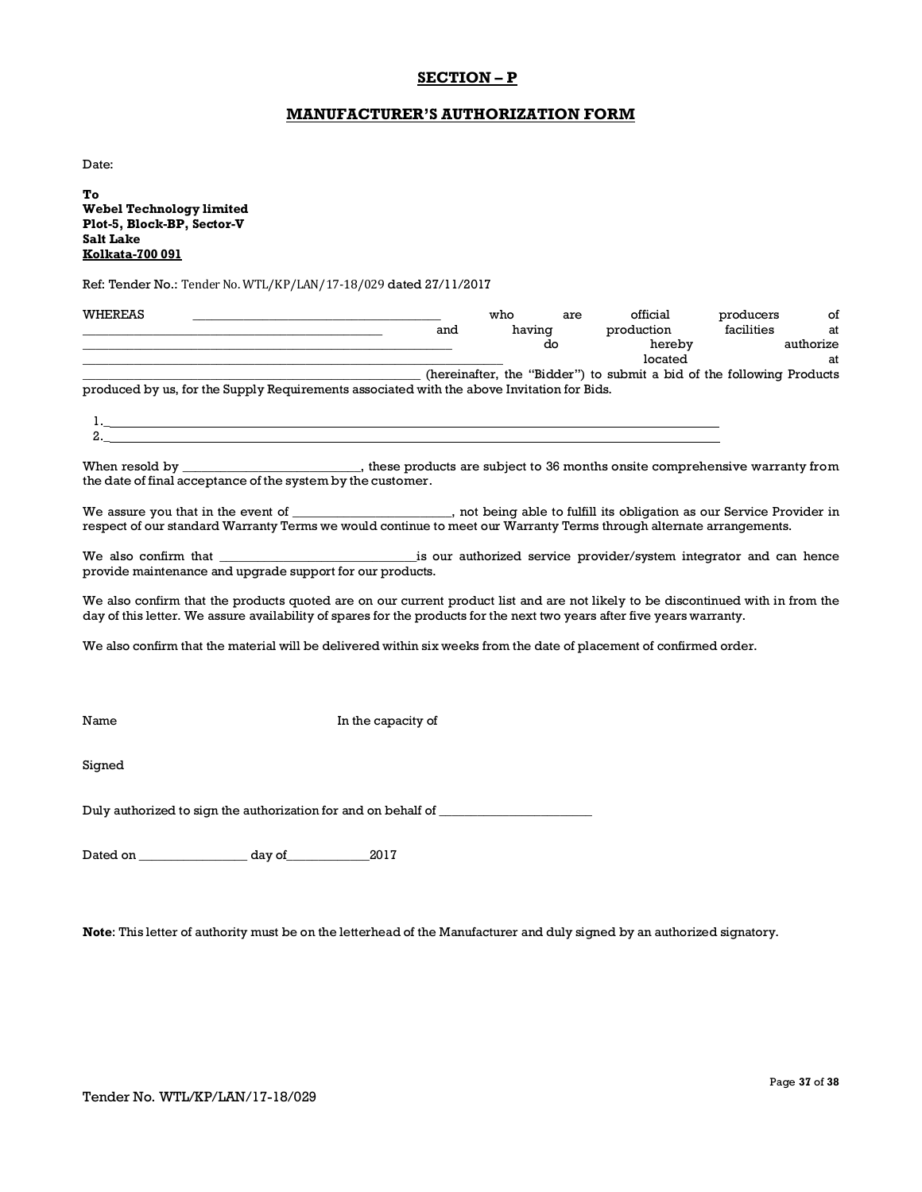## **SECTION – P**

### **MANUFACTURER'S AUTHORIZATION FORM**

Date:

 $\mathbf{1}$ . 2.\_

**To Webel Technology limited Plot-5, Block-BP, Sector-V Salt Lake Kolkata-700 091**

Ref: Tender No.: Tender No. WTL/KP/LAN/17-18/029 dated 27/11/2017

| WHEREAS |                                                                                            |     | who    | are | official                                                              | producers  | οf        |
|---------|--------------------------------------------------------------------------------------------|-----|--------|-----|-----------------------------------------------------------------------|------------|-----------|
|         |                                                                                            | and | having |     | production                                                            | facilities | at        |
|         |                                                                                            |     |        | do  | hereby                                                                |            | authorize |
|         |                                                                                            |     |        |     | located                                                               |            | at        |
|         |                                                                                            |     |        |     | (hereinafter, the "Bidder") to submit a bid of the following Products |            |           |
|         | produced by us, for the Supply Requirements associated with the above Invitation for Bids. |     |        |     |                                                                       |            |           |

| When resold by                                              | , these products are subject to 36 months onsite comprehensive warranty from |
|-------------------------------------------------------------|------------------------------------------------------------------------------|
| the date of final acceptance of the system by the customer. |                                                                              |

We assure you that in the event of \_\_\_\_\_\_\_\_\_\_\_\_\_\_\_\_\_\_\_\_, not being able to fulfill its obligation as our Service Provider in respect of our standard Warranty Terms we would continue to meet our Warranty Terms through alternate arrangements.

We also confirm that \_\_\_\_\_\_\_\_\_\_\_\_\_\_\_\_\_\_\_\_\_\_\_\_\_\_\_\_\_\_\_is our authorized service provider/system integrator and can hence provide maintenance and upgrade support for our products.

We also confirm that the products quoted are on our current product list and are not likely to be discontinued with in from the day of this letter. We assure availability of spares for the products for the next two years after five years warranty.

We also confirm that the material will be delivered within six weeks from the date of placement of confirmed order.

Name In the capacity of

Signed

Duly authorized to sign the authorization for and on behalf of \_\_\_\_\_\_\_\_\_\_\_\_\_\_\_\_\_

Dated on \_\_\_\_\_\_\_\_\_\_\_\_\_\_\_\_\_ day of\_\_\_\_\_\_\_\_\_\_\_\_\_2017

**Note**: This letter of authority must be on the letterhead of the Manufacturer and duly signed by an authorized signatory.